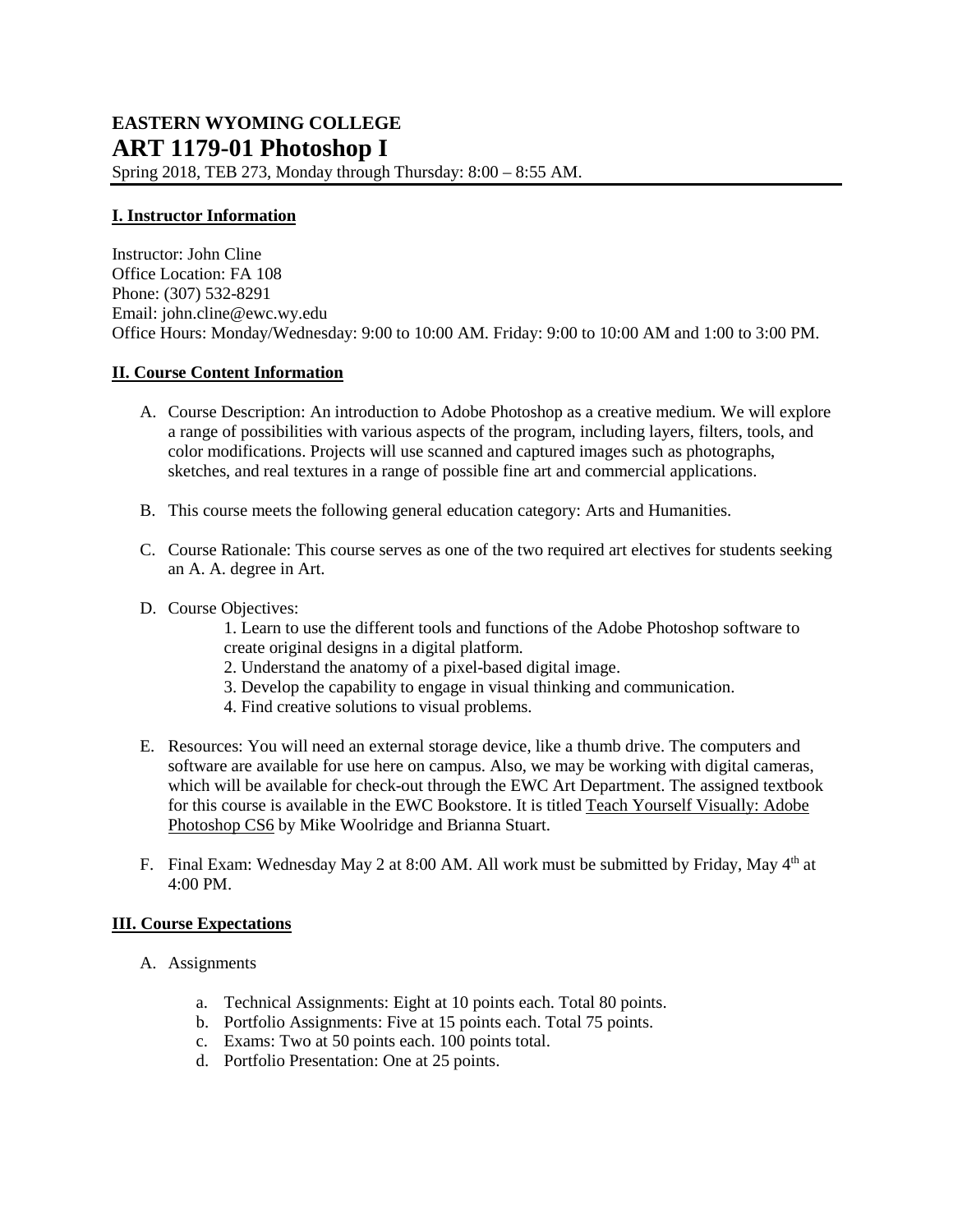Spring 2018, TEB 273, Monday through Thursday: 8:00 – 8:55 AM.

## **I. Instructor Information**

Instructor: John Cline Office Location: FA 108 Phone: (307) 532-8291 Email: [john.cline@ewc.wy.edu](mailto:john.cline@ewc.wy.edu) Office Hours: Monday/Wednesday: 9:00 to 10:00 AM. Friday: 9:00 to 10:00 AM and 1:00 to 3:00 PM.

## **II. Course Content Information**

- A. Course Description: An introduction to Adobe Photoshop as a creative medium. We will explore a range of possibilities with various aspects of the program, including layers, filters, tools, and color modifications. Projects will use scanned and captured images such as photographs, sketches, and real textures in a range of possible fine art and commercial applications.
- B. This course meets the following general education category: Arts and Humanities.
- C. Course Rationale: This course serves as one of the two required art electives for students seeking an A. A. degree in Art.
- D. Course Objectives:

1. Learn to use the different tools and functions of the Adobe Photoshop software to create original designs in a digital platform.

- 2. Understand the anatomy of a pixel-based digital image.
- 3. Develop the capability to engage in visual thinking and communication.
- 4. Find creative solutions to visual problems.
- E. Resources: You will need an external storage device, like a thumb drive. The computers and software are available for use here on campus. Also, we may be working with digital cameras, which will be available for check-out through the EWC Art Department. The assigned textbook for this course is available in the EWC Bookstore. It is titled Teach Yourself Visually: Adobe Photoshop CS6 by Mike Woolridge and Brianna Stuart.
- F. Final Exam: Wednesday May 2 at 8:00 AM. All work must be submitted by Friday, May 4<sup>th</sup> at 4:00 PM.

## **III. Course Expectations**

- A. Assignments
	- a. Technical Assignments: Eight at 10 points each. Total 80 points.
	- b. Portfolio Assignments: Five at 15 points each. Total 75 points.
	- c. Exams: Two at 50 points each. 100 points total.
	- d. Portfolio Presentation: One at 25 points.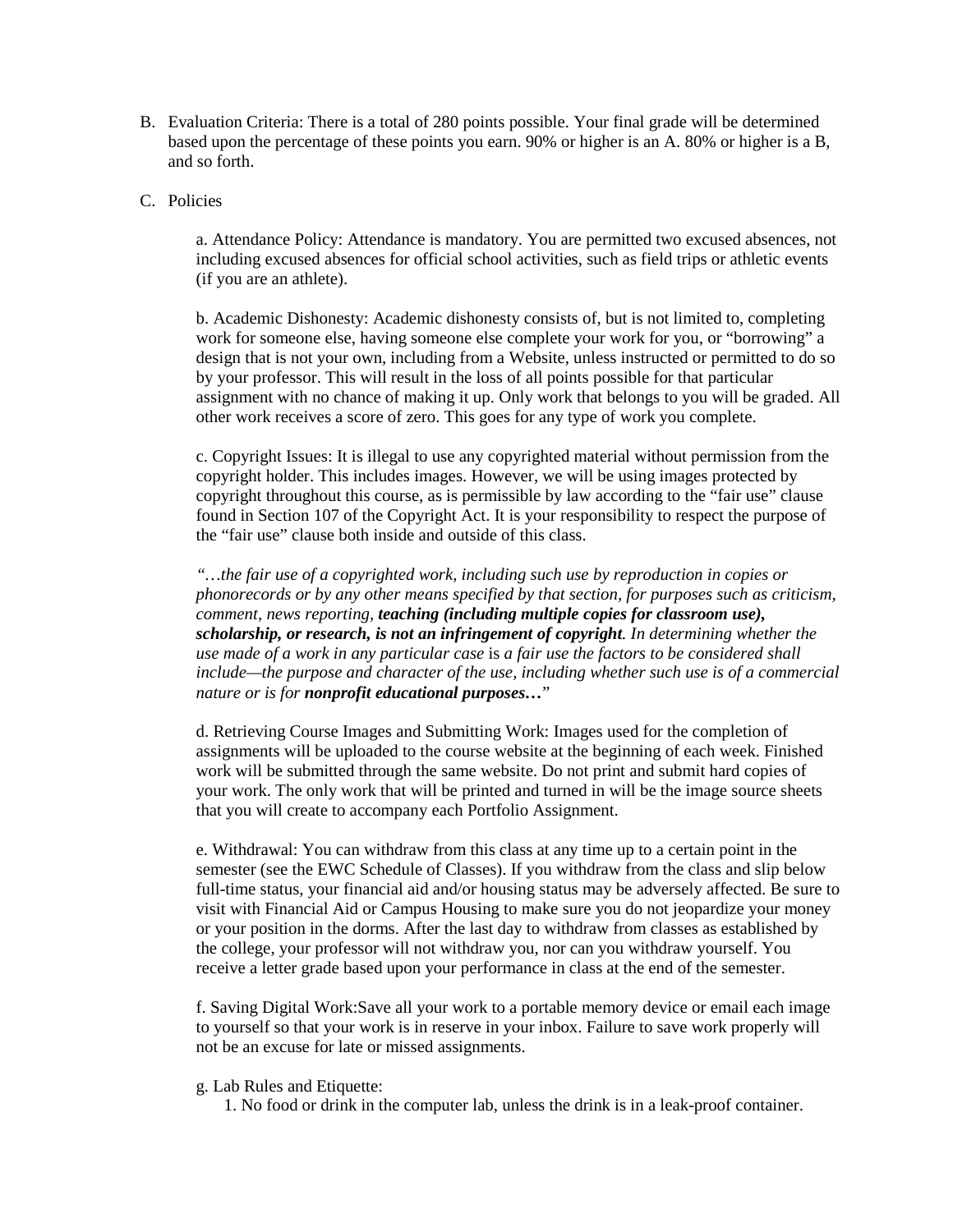- B. Evaluation Criteria: There is a total of 280 points possible. Your final grade will be determined based upon the percentage of these points you earn. 90% or higher is an A. 80% or higher is a B, and so forth.
- C. Policies

a. Attendance Policy: Attendance is mandatory. You are permitted two excused absences, not including excused absences for official school activities, such as field trips or athletic events (if you are an athlete).

b. Academic Dishonesty: Academic dishonesty consists of, but is not limited to, completing work for someone else, having someone else complete your work for you, or "borrowing" a design that is not your own, including from a Website, unless instructed or permitted to do so by your professor. This will result in the loss of all points possible for that particular assignment with no chance of making it up. Only work that belongs to you will be graded. All other work receives a score of zero. This goes for any type of work you complete.

c. Copyright Issues: It is illegal to use any copyrighted material without permission from the copyright holder. This includes images. However, we will be using images protected by copyright throughout this course, as is permissible by law according to the "fair use" clause found in Section 107 of the Copyright Act. It is your responsibility to respect the purpose of the "fair use" clause both inside and outside of this class.

*"…the fair use of a copyrighted work, including such use by reproduction in copies or phonorecords or by any other means specified by that section, for purposes such as criticism, comment, news reporting, teaching (including multiple copies for classroom use), scholarship, or research, is not an infringement of copyright. In determining whether the use made of a work in any particular case* is *a fair use the factors to be considered shall include—the purpose and character of the use, including whether such use is of a commercial nature or is for nonprofit educational purposes…*"

d. Retrieving Course Images and Submitting Work: Images used for the completion of assignments will be uploaded to the course website at the beginning of each week. Finished work will be submitted through the same website. Do not print and submit hard copies of your work. The only work that will be printed and turned in will be the image source sheets that you will create to accompany each Portfolio Assignment.

e. Withdrawal: You can withdraw from this class at any time up to a certain point in the semester (see the EWC Schedule of Classes). If you withdraw from the class and slip below full-time status, your financial aid and/or housing status may be adversely affected. Be sure to visit with Financial Aid or Campus Housing to make sure you do not jeopardize your money or your position in the dorms. After the last day to withdraw from classes as established by the college, your professor will not withdraw you, nor can you withdraw yourself. You receive a letter grade based upon your performance in class at the end of the semester.

f. Saving Digital Work:Save all your work to a portable memory device or email each image to yourself so that your work is in reserve in your inbox. Failure to save work properly will not be an excuse for late or missed assignments.

g. Lab Rules and Etiquette:

1. No food or drink in the computer lab, unless the drink is in a leak-proof container.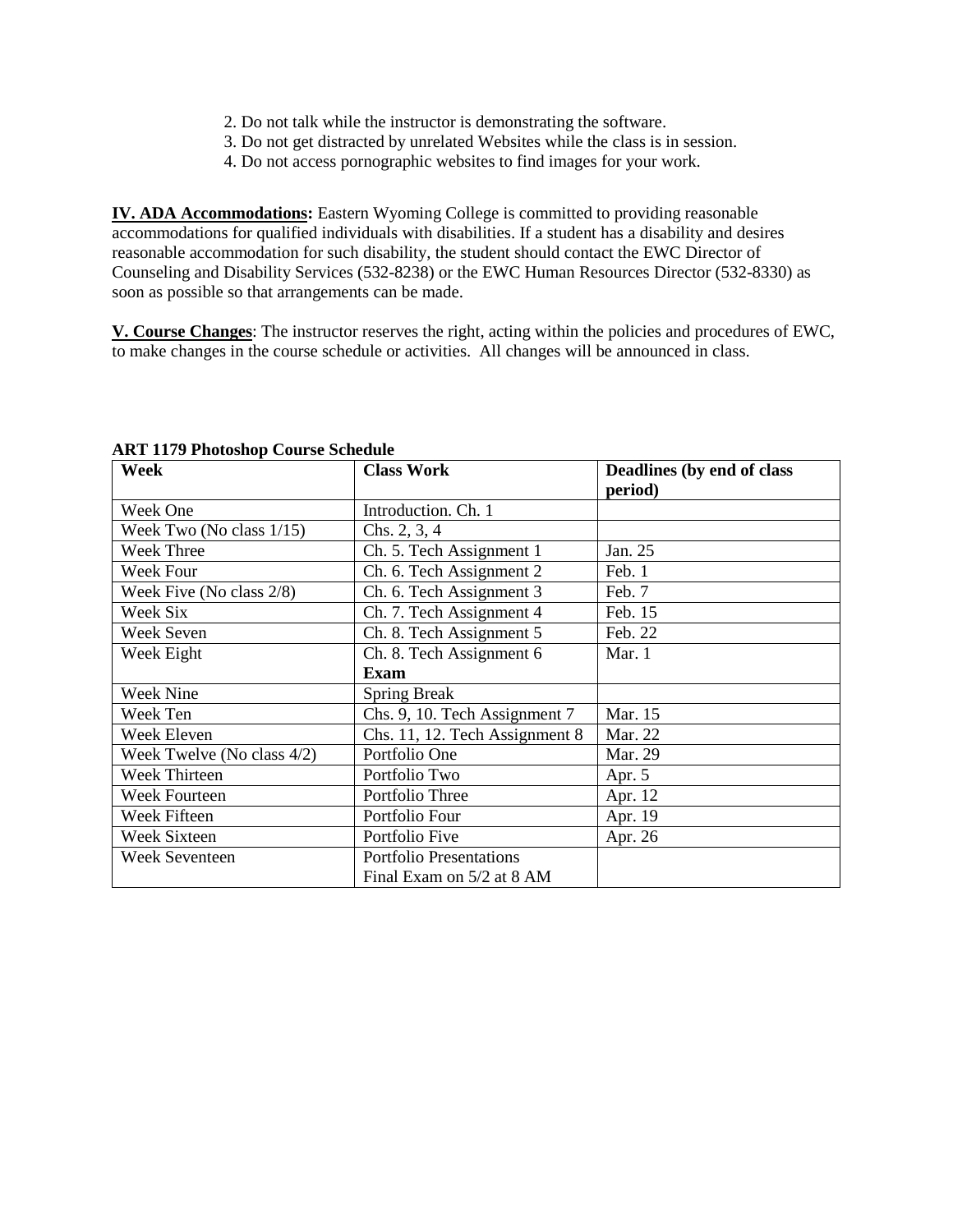- 2. Do not talk while the instructor is demonstrating the software.
- 3. Do not get distracted by unrelated Websites while the class is in session.
- 4. Do not access pornographic websites to find images for your work.

**IV. ADA Accommodations:** Eastern Wyoming College is committed to providing reasonable accommodations for qualified individuals with disabilities. If a student has a disability and desires reasonable accommodation for such disability, the student should contact the EWC Director of Counseling and Disability Services (532-8238) or the EWC Human Resources Director (532-8330) as soon as possible so that arrangements can be made.

**V. Course Changes**: The instructor reserves the right, acting within the policies and procedures of EWC, to make changes in the course schedule or activities. All changes will be announced in class.

| <b>Week</b>                | <b>Class Work</b>              | Deadlines (by end of class |
|----------------------------|--------------------------------|----------------------------|
|                            |                                | period)                    |
| Week One                   | Introduction. Ch. 1            |                            |
| Week Two (No class 1/15)   | Chs. $2, 3, 4$                 |                            |
| Week Three                 | Ch. 5. Tech Assignment 1       | Jan. 25                    |
| Week Four                  | Ch. 6. Tech Assignment 2       | Feb. 1                     |
| Week Five (No class 2/8)   | Ch. 6. Tech Assignment 3       | Feb. 7                     |
| Week Six                   | Ch. 7. Tech Assignment 4       | Feb. 15                    |
| Week Seven                 | Ch. 8. Tech Assignment 5       | Feb. 22                    |
| Week Eight                 | Ch. 8. Tech Assignment 6       | Mar. 1                     |
|                            | Exam                           |                            |
| Week Nine                  | <b>Spring Break</b>            |                            |
| Week Ten                   | Chs. 9, 10. Tech Assignment 7  | Mar. 15                    |
| Week Eleven                | Chs. 11, 12. Tech Assignment 8 | Mar. 22                    |
| Week Twelve (No class 4/2) | Portfolio One                  | Mar. 29                    |
| Week Thirteen              | Portfolio Two                  | Apr. 5                     |
| Week Fourteen              | Portfolio Three                | Apr. 12                    |
| Week Fifteen               | Portfolio Four                 | Apr. 19                    |
| <b>Week Sixteen</b>        | Portfolio Five                 | Apr. 26                    |
| <b>Week Seventeen</b>      | <b>Portfolio Presentations</b> |                            |
|                            | Final Exam on 5/2 at 8 AM      |                            |

**ART 1179 Photoshop Course Schedule**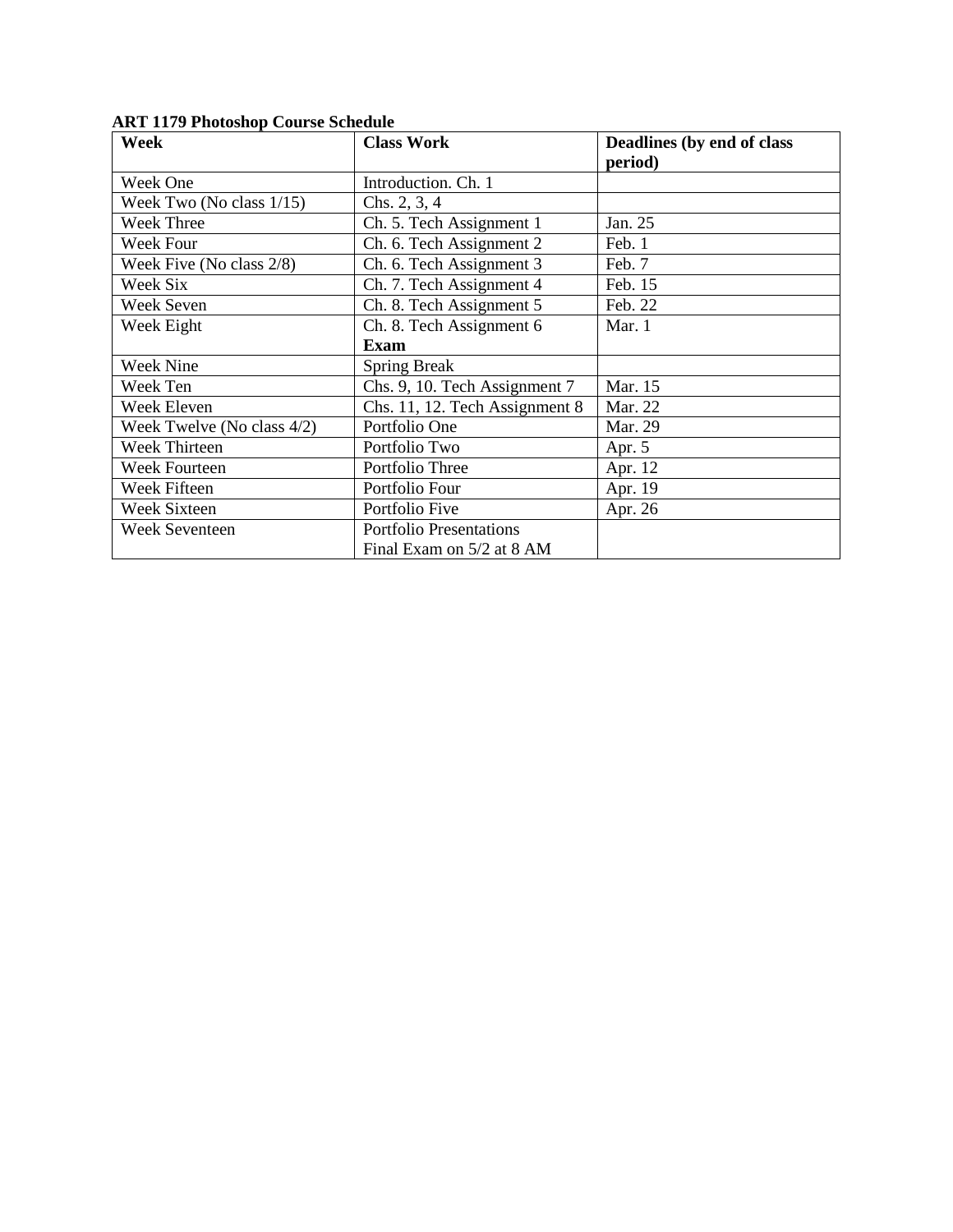| <b>Week</b><br><b>Class Work</b> |                                | Deadlines (by end of class |  |
|----------------------------------|--------------------------------|----------------------------|--|
|                                  |                                | period)                    |  |
| Week One                         | Introduction. Ch. 1            |                            |  |
| Week Two (No class $1/15$ )      | Chs. 2, 3, 4                   |                            |  |
| <b>Week Three</b>                | Ch. 5. Tech Assignment 1       | Jan. 25                    |  |
| Week Four                        | Ch. 6. Tech Assignment 2       | Feb. 1                     |  |
| Week Five (No class 2/8)         | Ch. 6. Tech Assignment 3       | Feb. 7                     |  |
| Week Six                         | Ch. 7. Tech Assignment 4       | Feb. 15                    |  |
| Week Seven                       | Ch. 8. Tech Assignment 5       | Feb. 22                    |  |
| Week Eight                       | Ch. 8. Tech Assignment 6       | Mar. 1                     |  |
|                                  | <b>Exam</b>                    |                            |  |
| <b>Week Nine</b>                 | <b>Spring Break</b>            |                            |  |
| Week Ten                         | Chs. 9, 10. Tech Assignment 7  | Mar. 15                    |  |
| Week Eleven                      | Chs. 11, 12. Tech Assignment 8 | Mar. 22                    |  |
| Week Twelve (No class 4/2)       | Portfolio One                  | Mar. 29                    |  |
| Week Thirteen                    | Portfolio Two                  | Apr. 5                     |  |
| <b>Week Fourteen</b>             | Portfolio Three                | Apr. 12                    |  |
| Week Fifteen                     | Portfolio Four                 | Apr. 19                    |  |
| <b>Week Sixteen</b>              | Portfolio Five                 | Apr. 26                    |  |
| <b>Week Seventeen</b>            | <b>Portfolio Presentations</b> |                            |  |
|                                  | Final Exam on 5/2 at 8 AM      |                            |  |

**ART 1179 Photoshop Course Schedule**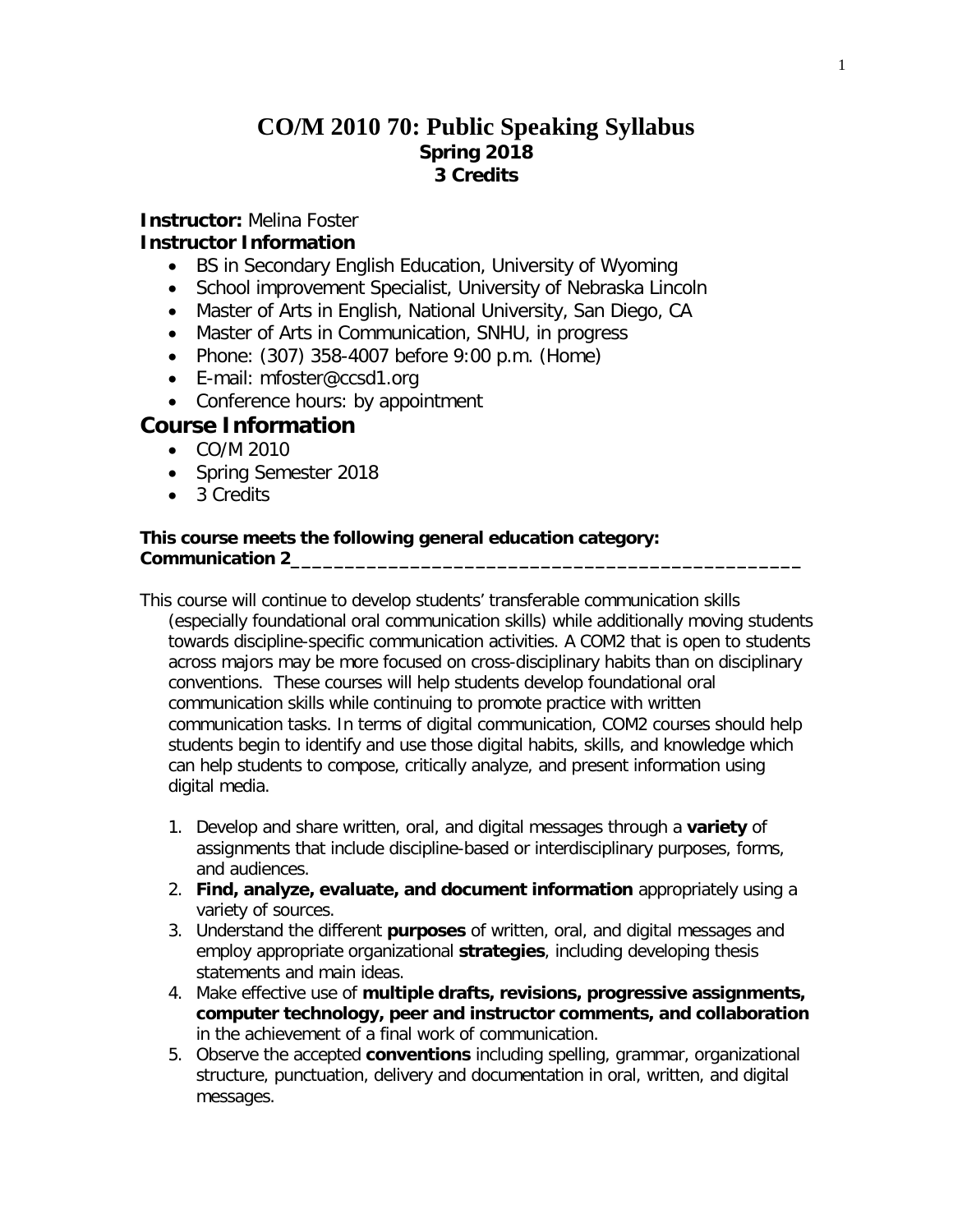## **CO/M 2010 70: Public Speaking Syllabus Spring 2018 3 Credits**

## **Instructor:** Melina Foster

## **Instructor Information**

- BS in Secondary English Education, University of Wyoming
- School improvement Specialist, University of Nebraska Lincoln
- Master of Arts in English, National University, San Diego, CA
- Master of Arts in Communication, SNHU, in progress
- Phone: (307) 358-4007 before 9:00 p.m. (Home)
- E-mail: mfoster@ccsd1.org
- Conference hours: by appointment

## **Course Information**

- CO/M 2010
- Spring Semester 2018
- 3 Credits

#### **This course meets the following general education category: Communication 2\_\_\_\_\_\_\_\_\_\_\_\_\_\_\_\_\_\_\_\_\_\_\_\_\_\_\_\_\_\_\_\_\_\_\_\_\_\_\_\_\_\_\_\_\_\_\_**

- This course will continue to develop students' transferable communication skills (especially foundational oral communication skills) while additionally moving students towards discipline-specific communication activities. A COM2 that is open to students across majors may be more focused on cross-disciplinary habits than on disciplinary conventions. These courses will help students develop foundational oral communication skills while continuing to promote practice with written communication tasks. In terms of digital communication, COM2 courses should help students begin to identify and use those digital habits, skills, and knowledge which can help students to compose, critically analyze, and present information using digital media.
	- 1. Develop and share written, oral, and digital messages through a **variety** of assignments that include discipline-based or interdisciplinary purposes, forms, and audiences.
	- 2. **Find, analyze, evaluate, and document information** appropriately using a variety of sources.
	- 3. Understand the different **purposes** of written, oral, and digital messages and employ appropriate organizational **strategies**, including developing thesis statements and main ideas.
	- 4. Make effective use of **multiple drafts, revisions, progressive assignments, computer technology, peer and instructor comments, and collaboration** in the achievement of a final work of communication.
	- 5. Observe the accepted **conventions** including spelling, grammar, organizational structure, punctuation, delivery and documentation in oral, written, and digital messages.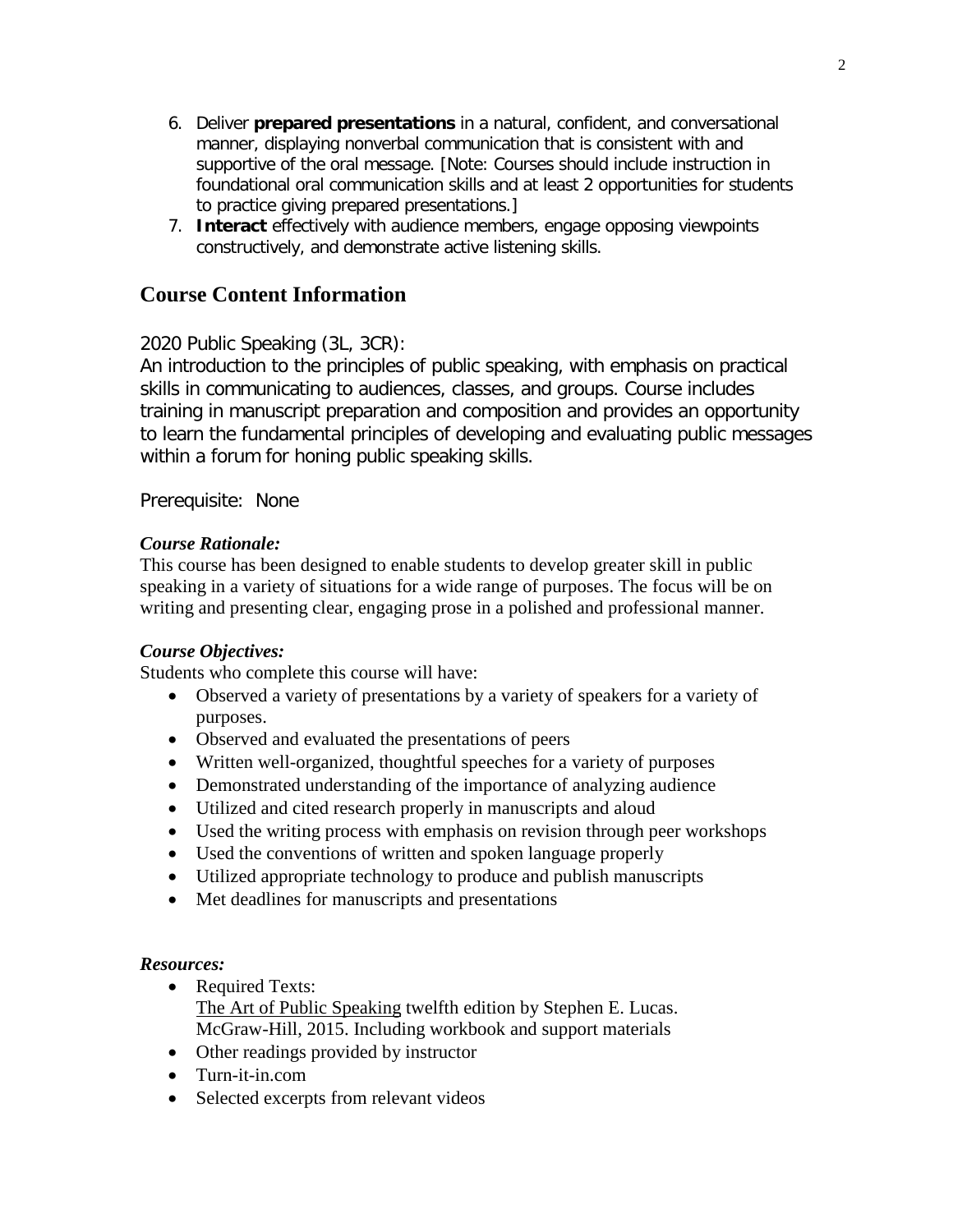- 6. Deliver **prepared presentations** in a natural, confident, and conversational manner, displaying nonverbal communication that is consistent with and supportive of the oral message. [Note: Courses should include instruction in foundational oral communication skills and at least 2 opportunities for students to practice giving prepared presentations.]
- 7. **Interact** effectively with audience members, engage opposing viewpoints constructively, and demonstrate active listening skills.

## **Course Content Information**

## 2020 Public Speaking (3L, 3CR):

An introduction to the principles of public speaking, with emphasis on practical skills in communicating to audiences, classes, and groups. Course includes training in manuscript preparation and composition and provides an opportunity to learn the fundamental principles of developing and evaluating public messages within a forum for honing public speaking skills.

Prerequisite: None

## *Course Rationale:*

This course has been designed to enable students to develop greater skill in public speaking in a variety of situations for a wide range of purposes. The focus will be on writing and presenting clear, engaging prose in a polished and professional manner.

## *Course Objectives:*

Students who complete this course will have:

- Observed a variety of presentations by a variety of speakers for a variety of purposes.
- Observed and evaluated the presentations of peers
- Written well-organized, thoughtful speeches for a variety of purposes
- Demonstrated understanding of the importance of analyzing audience
- Utilized and cited research properly in manuscripts and aloud
- Used the writing process with emphasis on revision through peer workshops
- Used the conventions of written and spoken language properly
- Utilized appropriate technology to produce and publish manuscripts
- Met deadlines for manuscripts and presentations

## *Resources:*

- Required Texts: The Art of Public Speaking twelfth edition by Stephen E. Lucas. McGraw-Hill, 2015. Including workbook and support materials
- Other readings provided by instructor
- Turn-it-in.com
- Selected excerpts from relevant videos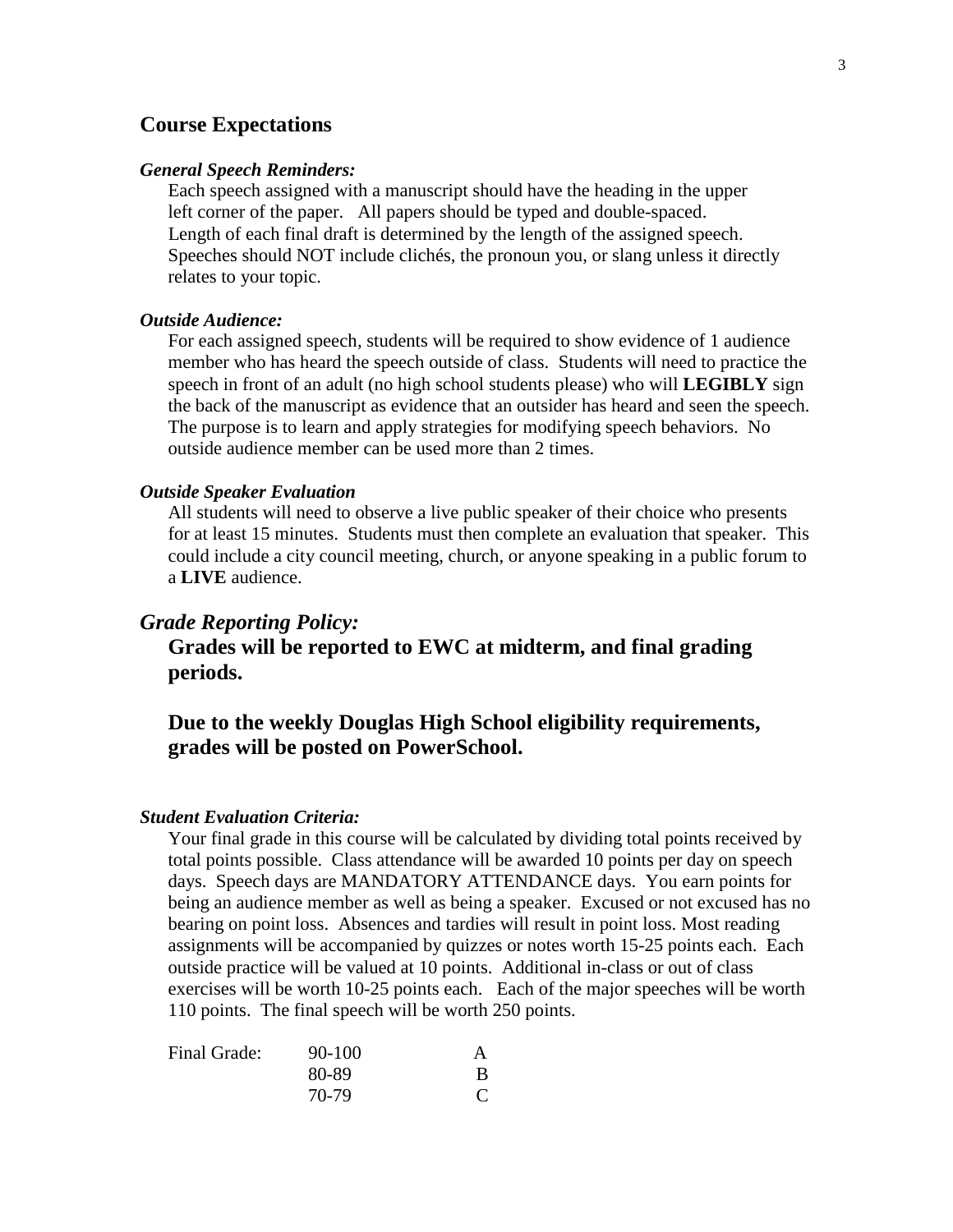## **Course Expectations**

#### *General Speech Reminders:*

 Each speech assigned with a manuscript should have the heading in the upper left corner of the paper. All papers should be typed and double-spaced. Length of each final draft is determined by the length of the assigned speech. Speeches should NOT include clichés, the pronoun you, or slang unless it directly relates to your topic.

#### *Outside Audience:*

For each assigned speech, students will be required to show evidence of 1 audience member who has heard the speech outside of class. Students will need to practice the speech in front of an adult (no high school students please) who will **LEGIBLY** sign the back of the manuscript as evidence that an outsider has heard and seen the speech. The purpose is to learn and apply strategies for modifying speech behaviors. No outside audience member can be used more than 2 times.

#### *Outside Speaker Evaluation*

All students will need to observe a live public speaker of their choice who presents for at least 15 minutes. Students must then complete an evaluation that speaker. This could include a city council meeting, church, or anyone speaking in a public forum to a **LIVE** audience.

#### *Grade Reporting Policy:*

**Grades will be reported to EWC at midterm, and final grading periods.**

## **Due to the weekly Douglas High School eligibility requirements, grades will be posted on PowerSchool.**

#### *Student Evaluation Criteria:*

Your final grade in this course will be calculated by dividing total points received by total points possible. Class attendance will be awarded 10 points per day on speech days. Speech days are MANDATORY ATTENDANCE days. You earn points for being an audience member as well as being a speaker. Excused or not excused has no bearing on point loss. Absences and tardies will result in point loss. Most reading assignments will be accompanied by quizzes or notes worth 15-25 points each. Each outside practice will be valued at 10 points. Additional in-class or out of class exercises will be worth 10-25 points each. Each of the major speeches will be worth 110 points. The final speech will be worth 250 points.

| Final Grade: | $90 - 100$ |   |
|--------------|------------|---|
|              | 80-89      | B |
|              | 70-79      |   |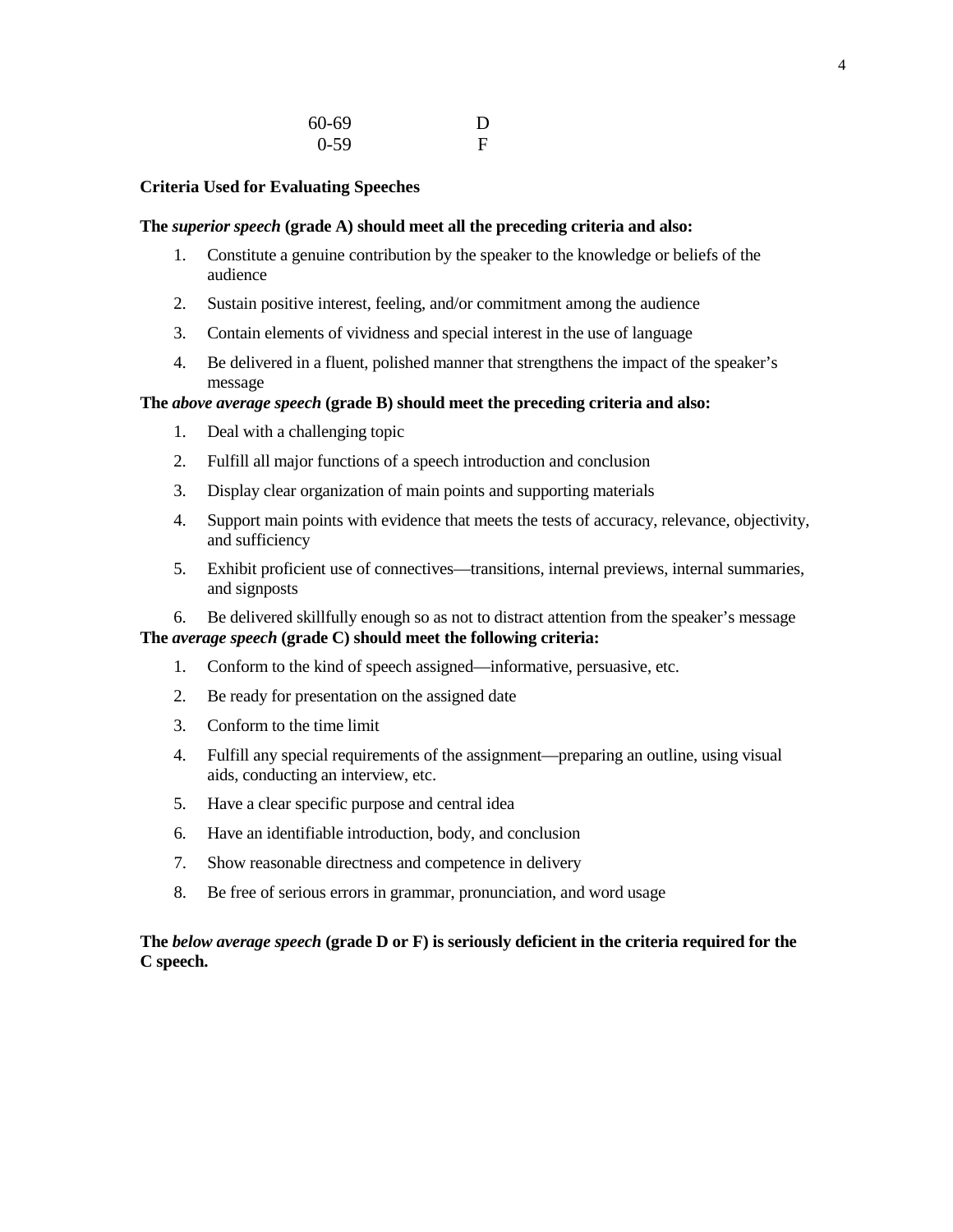| 60-69  | D |
|--------|---|
| $0-59$ | F |

#### **Criteria Used for Evaluating Speeches**

#### **The** *superior speech* **(grade A) should meet all the preceding criteria and also:**

- 1. Constitute a genuine contribution by the speaker to the knowledge or beliefs of the audience
- 2. Sustain positive interest, feeling, and/or commitment among the audience
- 3. Contain elements of vividness and special interest in the use of language
- 4. Be delivered in a fluent, polished manner that strengthens the impact of the speaker's message

#### **The** *above average speech* **(grade B) should meet the preceding criteria and also:**

- 1. Deal with a challenging topic
- 2. Fulfill all major functions of a speech introduction and conclusion
- 3. Display clear organization of main points and supporting materials
- 4. Support main points with evidence that meets the tests of accuracy, relevance, objectivity, and sufficiency
- 5. Exhibit proficient use of connectives—transitions, internal previews, internal summaries, and signposts

6. Be delivered skillfully enough so as not to distract attention from the speaker's message **The** *average speech* **(grade C) should meet the following criteria:**

- 1. Conform to the kind of speech assigned—informative, persuasive, etc.
- 2. Be ready for presentation on the assigned date
- 3. Conform to the time limit
- 4. Fulfill any special requirements of the assignment—preparing an outline, using visual aids, conducting an interview, etc.
- 5. Have a clear specific purpose and central idea
- 6. Have an identifiable introduction, body, and conclusion
- 7. Show reasonable directness and competence in delivery
- 8. Be free of serious errors in grammar, pronunciation, and word usage

### **The** *below average speech* **(grade D or F) is seriously deficient in the criteria required for the C speech.**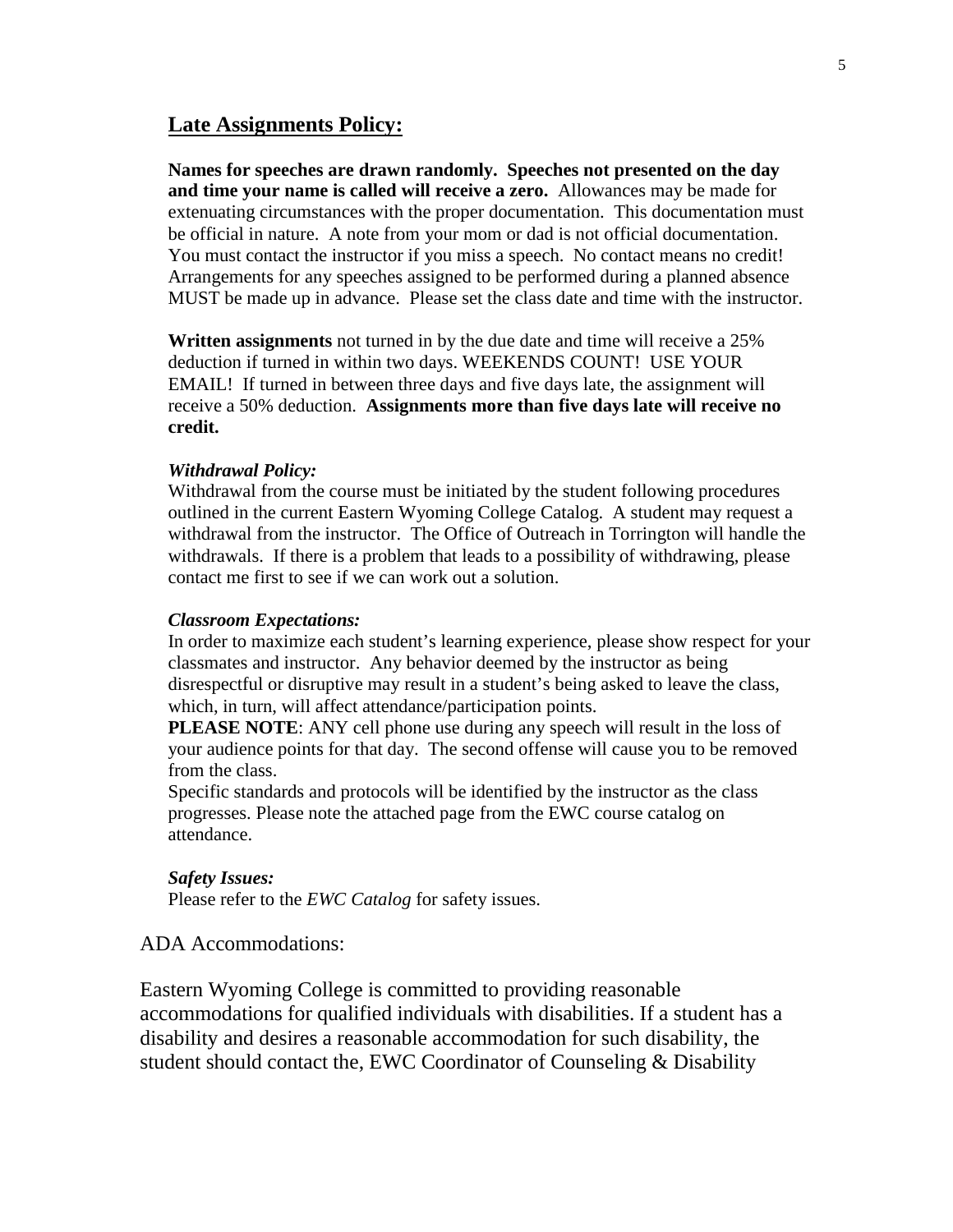## **Late Assignments Policy:**

**Names for speeches are drawn randomly. Speeches not presented on the day and time your name is called will receive a zero.** Allowances may be made for extenuating circumstances with the proper documentation. This documentation must be official in nature. A note from your mom or dad is not official documentation. You must contact the instructor if you miss a speech. No contact means no credit! Arrangements for any speeches assigned to be performed during a planned absence MUST be made up in advance. Please set the class date and time with the instructor.

**Written assignments** not turned in by the due date and time will receive a 25% deduction if turned in within two days. WEEKENDS COUNT! USE YOUR EMAIL! If turned in between three days and five days late, the assignment will receive a 50% deduction. **Assignments more than five days late will receive no credit.**

#### *Withdrawal Policy:*

Withdrawal from the course must be initiated by the student following procedures outlined in the current Eastern Wyoming College Catalog. A student may request a withdrawal from the instructor. The Office of Outreach in Torrington will handle the withdrawals. If there is a problem that leads to a possibility of withdrawing, please contact me first to see if we can work out a solution.

#### *Classroom Expectations:*

In order to maximize each student's learning experience, please show respect for your classmates and instructor. Any behavior deemed by the instructor as being disrespectful or disruptive may result in a student's being asked to leave the class, which, in turn, will affect attendance/participation points.

**PLEASE NOTE:** ANY cell phone use during any speech will result in the loss of your audience points for that day. The second offense will cause you to be removed from the class.

Specific standards and protocols will be identified by the instructor as the class progresses. Please note the attached page from the EWC course catalog on attendance.

#### *Safety Issues:*

Please refer to the *EWC Catalog* for safety issues.

#### ADA Accommodations:

Eastern Wyoming College is committed to providing reasonable accommodations for qualified individuals with disabilities. If a student has a disability and desires a reasonable accommodation for such disability, the student should contact the, EWC Coordinator of Counseling & Disability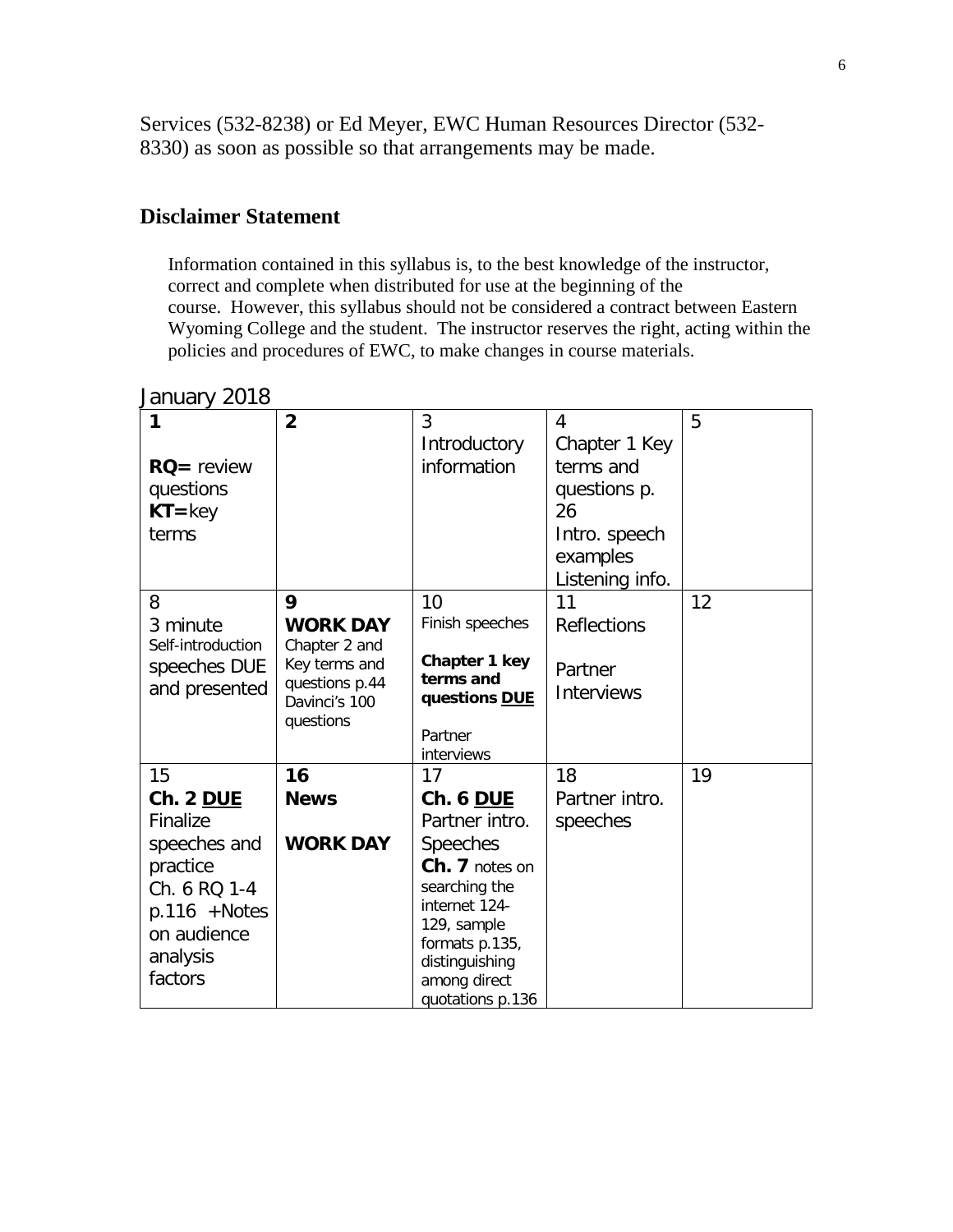Services (532-8238) or Ed Meyer, EWC Human Resources Director (532- 8330) as soon as possible so that arrangements may be made.

## **Disclaimer Statement**

Information contained in this syllabus is, to the best knowledge of the instructor, correct and complete when distributed for use at the beginning of the course. However, this syllabus should not be considered a contract between Eastern Wyoming College and the student. The instructor reserves the right, acting within the policies and procedures of EWC, to make changes in course materials.

## January 2018

|                   | $\overline{2}$                  | 3                             | 4                  | 5  |
|-------------------|---------------------------------|-------------------------------|--------------------|----|
|                   |                                 | Introductory                  | Chapter 1 Key      |    |
| $RO =$ review     |                                 | information                   | terms and          |    |
| questions         |                                 |                               | questions p.       |    |
| $KT = key$        |                                 |                               | 26                 |    |
| terms             |                                 |                               | Intro. speech      |    |
|                   |                                 |                               | examples           |    |
|                   |                                 |                               | Listening info.    |    |
| 8                 | 9                               | 10                            | 11                 | 12 |
| 3 minute          | <b>WORK DAY</b>                 | Finish speeches               | <b>Reflections</b> |    |
| Self-introduction | Chapter 2 and                   |                               |                    |    |
| speeches DUE      | Key terms and                   | Chapter 1 key<br>terms and    | Partner            |    |
| and presented     | questions p.44<br>Davinci's 100 | questions DUE                 | <b>Interviews</b>  |    |
|                   | questions                       |                               |                    |    |
|                   |                                 | Partner                       |                    |    |
|                   |                                 | interviews                    |                    |    |
| 15                | 16                              | 17                            | 18                 | 19 |
| Ch. 2 DUE         | <b>News</b>                     | Ch. 6 DUE                     | Partner intro.     |    |
| Finalize          |                                 | Partner intro.                | speeches           |    |
| speeches and      | <b>WORK DAY</b>                 | <b>Speeches</b>               |                    |    |
| practice          |                                 | Ch. 7 notes on                |                    |    |
| Ch. 6 RQ 1-4      |                                 | searching the                 |                    |    |
| $p.116 + Notes$   |                                 | internet 124-                 |                    |    |
| on audience       |                                 | 129, sample<br>formats p.135, |                    |    |
| analysis          |                                 | distinguishing                |                    |    |
| factors           |                                 | among direct                  |                    |    |
|                   |                                 | quotations p.136              |                    |    |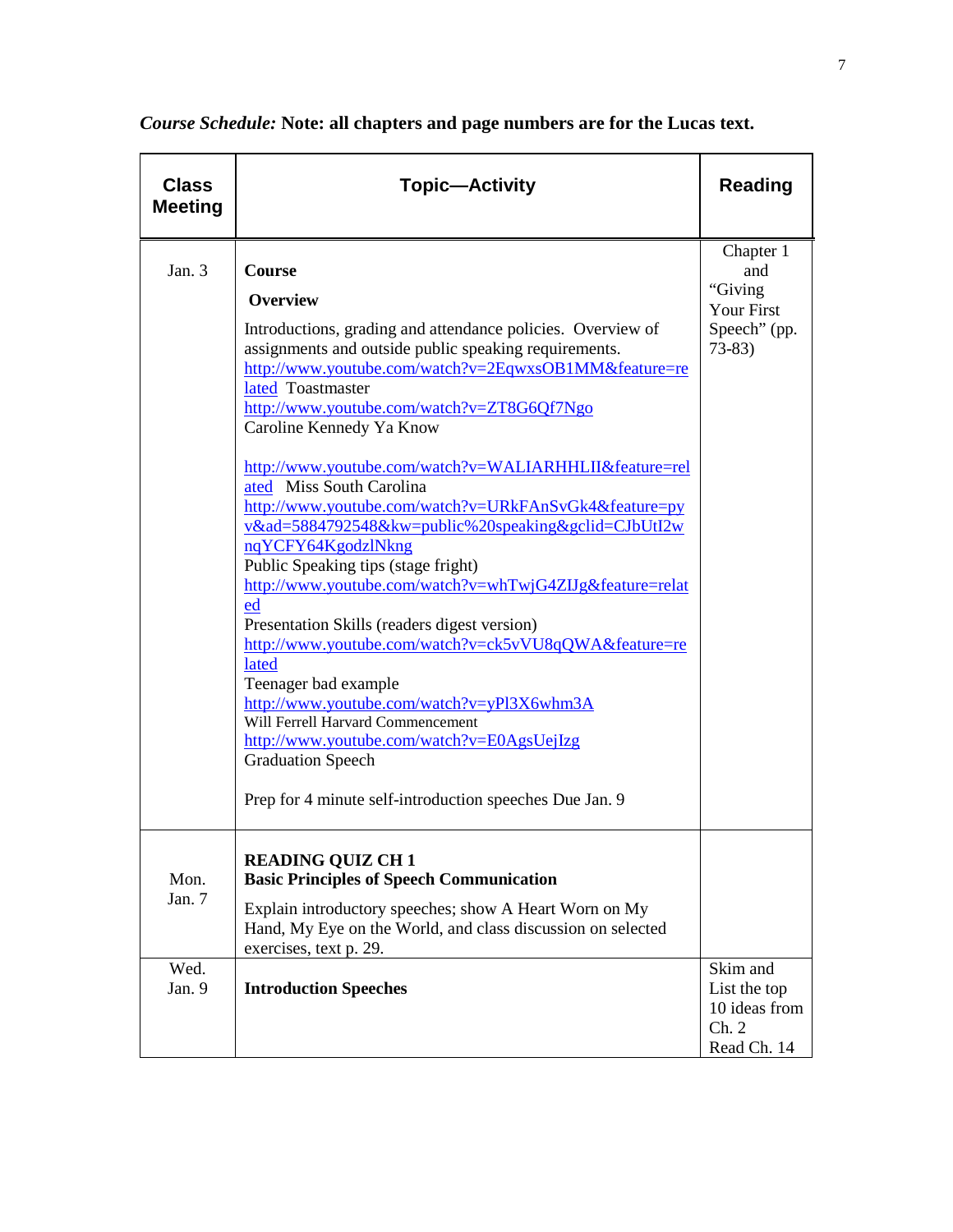| <b>Class</b><br><b>Meeting</b> | <b>Topic—Activity</b>                                                                                                                                                                                                                                                                                                                                                                                                                                                                                                                                                                                                                                                                                                                                                                                                                                                                                                                                                                                                   | <b>Reading</b>                                                              |
|--------------------------------|-------------------------------------------------------------------------------------------------------------------------------------------------------------------------------------------------------------------------------------------------------------------------------------------------------------------------------------------------------------------------------------------------------------------------------------------------------------------------------------------------------------------------------------------------------------------------------------------------------------------------------------------------------------------------------------------------------------------------------------------------------------------------------------------------------------------------------------------------------------------------------------------------------------------------------------------------------------------------------------------------------------------------|-----------------------------------------------------------------------------|
| Jan. 3                         | <b>Course</b><br><b>Overview</b><br>Introductions, grading and attendance policies. Overview of<br>assignments and outside public speaking requirements.<br>http://www.youtube.com/watch?v=2EqwxsOB1MM&feature=re<br>lated Toastmaster<br>http://www.youtube.com/watch?v=ZT8G6Qf7Ngo<br>Caroline Kennedy Ya Know<br>http://www.youtube.com/watch?v=WALIARHHLII&feature=rel<br>ated Miss South Carolina<br>http://www.youtube.com/watch?v=URkFAnSvGk4&feature=py<br>v&ad=5884792548&kw=public%20speaking&gclid=CJbUtI2w<br>nqYCFY64KgodzlNkng<br>Public Speaking tips (stage fright)<br>http://www.youtube.com/watch?v=whTwjG4ZIJg&feature=relat<br>ed<br>Presentation Skills (readers digest version)<br>http://www.youtube.com/watch?v=ck5vVU8qQWA&feature=re<br>lated<br>Teenager bad example<br>http://www.youtube.com/watch?v=yPl3X6whm3A<br>Will Ferrell Harvard Commencement<br>http://www.youtube.com/watch?v=E0AgsUejIzg<br><b>Graduation Speech</b><br>Prep for 4 minute self-introduction speeches Due Jan. 9 | Chapter 1<br>and<br>"Giving<br><b>Your First</b><br>Speech" (pp.<br>$73-83$ |
| Mon.<br>Jan. 7<br>Wed.         | <b>READING QUIZ CH1</b><br><b>Basic Principles of Speech Communication</b><br>Explain introductory speeches; show A Heart Worn on My<br>Hand, My Eye on the World, and class discussion on selected<br>exercises, text p. 29.                                                                                                                                                                                                                                                                                                                                                                                                                                                                                                                                                                                                                                                                                                                                                                                           | Skim and                                                                    |
| Jan. 9                         | <b>Introduction Speeches</b>                                                                                                                                                                                                                                                                                                                                                                                                                                                                                                                                                                                                                                                                                                                                                                                                                                                                                                                                                                                            | List the top<br>10 ideas from<br>Ch. 2<br>Read Ch. 14                       |

*Course Schedule:* **Note: all chapters and page numbers are for the Lucas text.**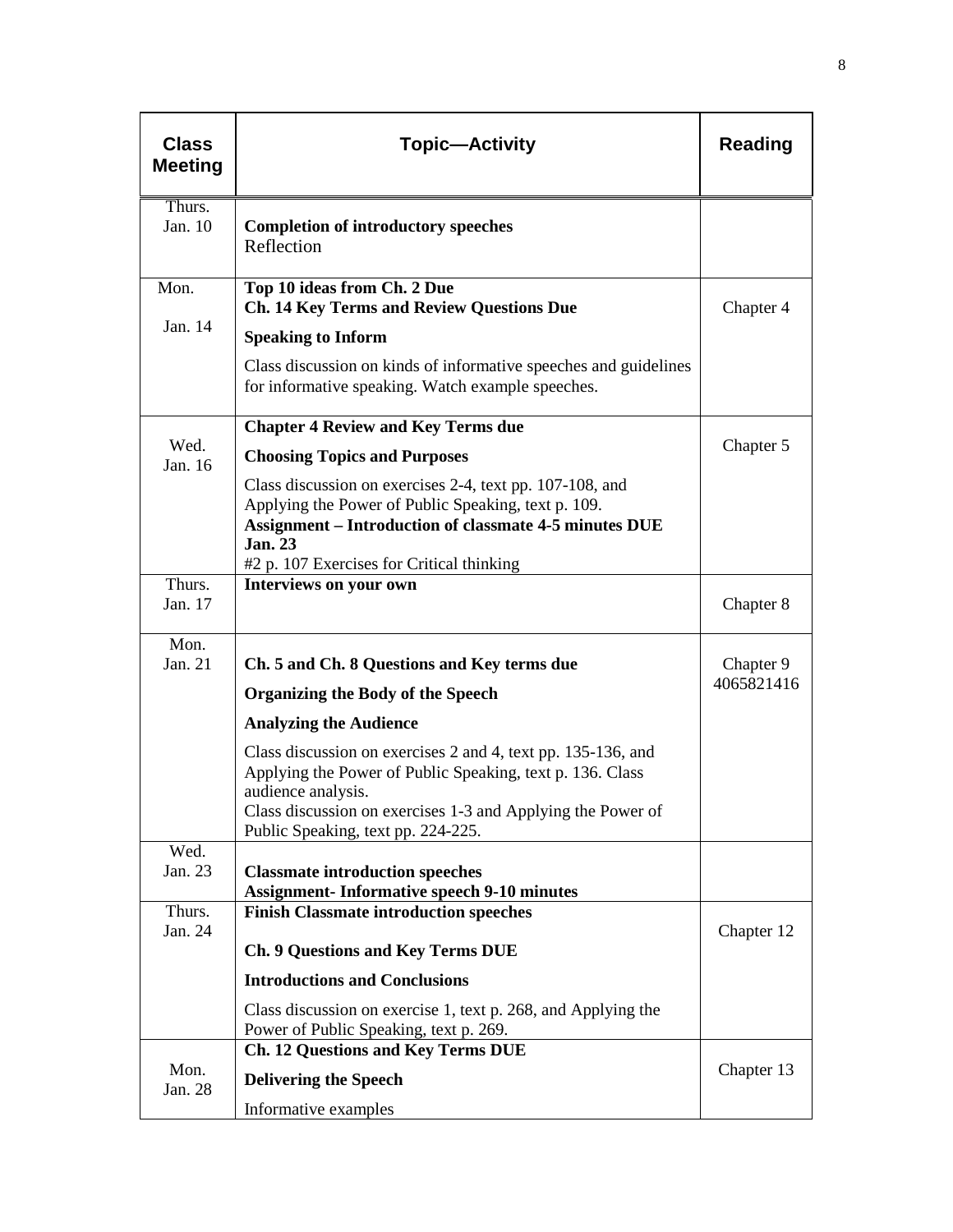| <b>Class</b><br><b>Meeting</b> | <b>Topic-Activity</b>                                                                                                                                                                                                                                | <b>Reading</b> |
|--------------------------------|------------------------------------------------------------------------------------------------------------------------------------------------------------------------------------------------------------------------------------------------------|----------------|
| Thurs.<br>Jan. 10              | <b>Completion of introductory speeches</b><br>Reflection                                                                                                                                                                                             |                |
| Mon.                           | Top 10 ideas from Ch. 2 Due<br><b>Ch. 14 Key Terms and Review Questions Due</b>                                                                                                                                                                      | Chapter 4      |
| Jan. 14                        | <b>Speaking to Inform</b>                                                                                                                                                                                                                            |                |
|                                | Class discussion on kinds of informative speeches and guidelines<br>for informative speaking. Watch example speeches.                                                                                                                                |                |
|                                | <b>Chapter 4 Review and Key Terms due</b>                                                                                                                                                                                                            |                |
| Wed.<br>Jan. 16                | <b>Choosing Topics and Purposes</b>                                                                                                                                                                                                                  | Chapter 5      |
|                                | Class discussion on exercises 2-4, text pp. 107-108, and<br>Applying the Power of Public Speaking, text p. 109.<br><b>Assignment - Introduction of classmate 4-5 minutes DUE</b><br><b>Jan. 23</b><br>#2 p. 107 Exercises for Critical thinking      |                |
| Thurs.<br>Jan. 17              | Interviews on your own                                                                                                                                                                                                                               | Chapter 8      |
| Mon.<br>Jan. 21                | Ch. 5 and Ch. 8 Questions and Key terms due                                                                                                                                                                                                          | Chapter 9      |
|                                | <b>Organizing the Body of the Speech</b>                                                                                                                                                                                                             | 4065821416     |
|                                | <b>Analyzing the Audience</b>                                                                                                                                                                                                                        |                |
|                                | Class discussion on exercises 2 and 4, text pp. 135-136, and<br>Applying the Power of Public Speaking, text p. 136. Class<br>audience analysis.<br>Class discussion on exercises 1-3 and Applying the Power of<br>Public Speaking, text pp. 224-225. |                |
| Wed.                           |                                                                                                                                                                                                                                                      |                |
| Jan. 23                        | <b>Classmate introduction speeches</b><br><b>Assignment-Informative speech 9-10 minutes</b>                                                                                                                                                          |                |
| Thurs.                         | <b>Finish Classmate introduction speeches</b>                                                                                                                                                                                                        |                |
| Jan. 24                        | <b>Ch. 9 Questions and Key Terms DUE</b>                                                                                                                                                                                                             | Chapter 12     |
|                                | <b>Introductions and Conclusions</b>                                                                                                                                                                                                                 |                |
|                                | Class discussion on exercise 1, text p. 268, and Applying the<br>Power of Public Speaking, text p. 269.                                                                                                                                              |                |
|                                | <b>Ch. 12 Questions and Key Terms DUE</b>                                                                                                                                                                                                            |                |
| Mon.<br>Jan. 28                | <b>Delivering the Speech</b>                                                                                                                                                                                                                         | Chapter 13     |
|                                | Informative examples                                                                                                                                                                                                                                 |                |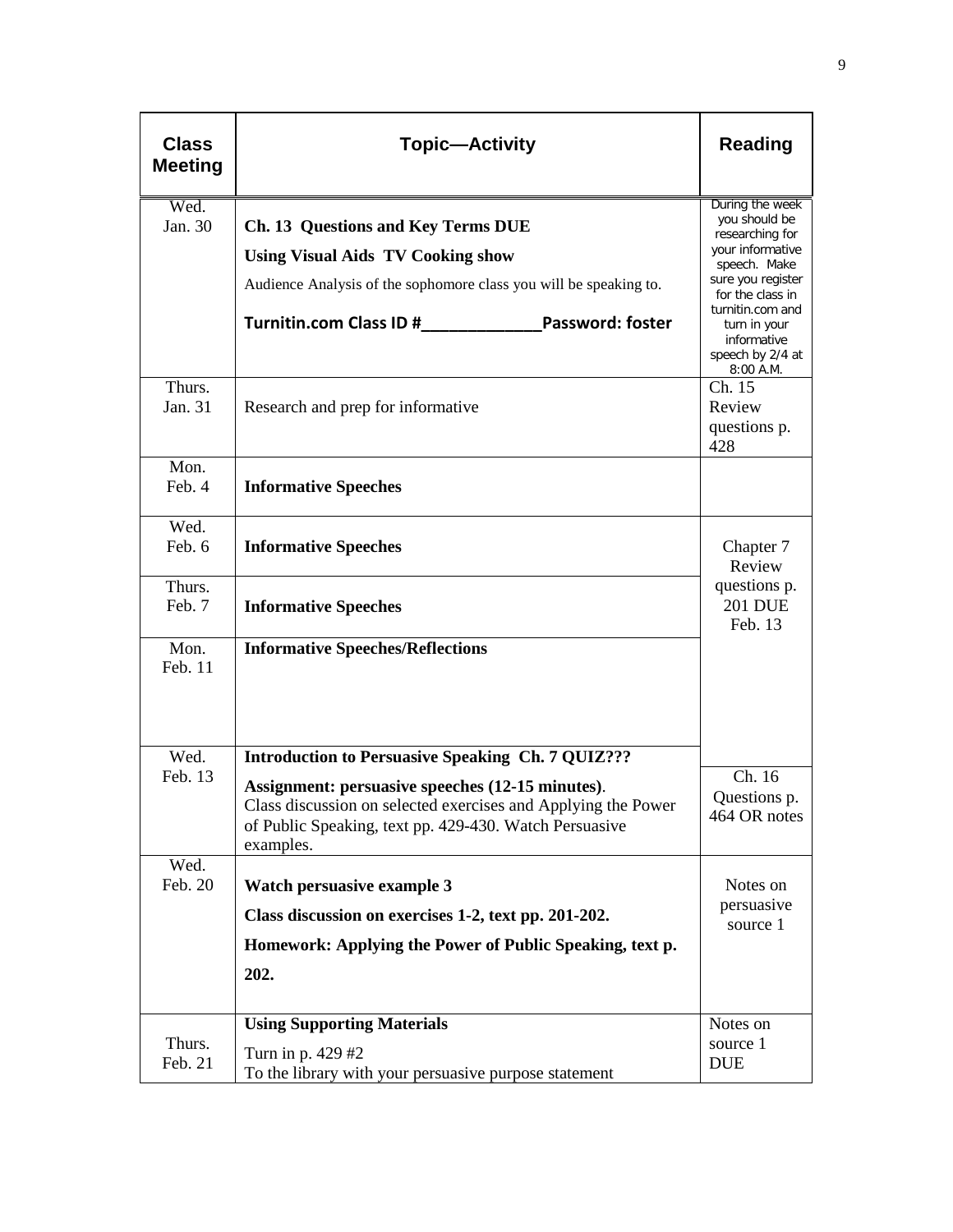| <b>Class</b><br><b>Meeting</b> | <b>Topic-Activity</b>                                                                                                                                                                                     | <b>Reading</b>                                                                                                                                                                                                         |
|--------------------------------|-----------------------------------------------------------------------------------------------------------------------------------------------------------------------------------------------------------|------------------------------------------------------------------------------------------------------------------------------------------------------------------------------------------------------------------------|
| Wed.<br>Jan. 30                | Ch. 13 Questions and Key Terms DUE<br><b>Using Visual Aids TV Cooking show</b><br>Audience Analysis of the sophomore class you will be speaking to.<br>Turnitin.com Class ID #<br><b>Password: foster</b> | During the week<br>you should be<br>researching for<br>your informative<br>speech. Make<br>sure you register<br>for the class in<br>turnitin.com and<br>turn in your<br>informative<br>speech by 2/4 at<br>$8:00$ A.M. |
| Thurs.<br>Jan. 31              | Research and prep for informative                                                                                                                                                                         | Ch. 15<br>Review<br>questions p.<br>428                                                                                                                                                                                |
| Mon.<br>Feb. 4                 | <b>Informative Speeches</b>                                                                                                                                                                               |                                                                                                                                                                                                                        |
| Wed.<br>Feb. 6                 | <b>Informative Speeches</b>                                                                                                                                                                               | Chapter 7<br>Review                                                                                                                                                                                                    |
| Thurs.<br>Feb. 7               | <b>Informative Speeches</b>                                                                                                                                                                               | questions p.<br><b>201 DUE</b><br>Feb. 13                                                                                                                                                                              |
| Mon.<br>Feb. 11                | <b>Informative Speeches/Reflections</b>                                                                                                                                                                   |                                                                                                                                                                                                                        |
| Wed.                           | <b>Introduction to Persuasive Speaking Ch. 7 QUIZ???</b>                                                                                                                                                  |                                                                                                                                                                                                                        |
| Feb. 13                        | Assignment: persuasive speeches (12-15 minutes).<br>Class discussion on selected exercises and Applying the Power<br>of Public Speaking, text pp. 429-430. Watch Persuasive<br>examples.                  | Ch. 16<br>Questions p.<br>464 OR notes                                                                                                                                                                                 |
| Wed.<br>Feb. 20                | <b>Watch persuasive example 3</b>                                                                                                                                                                         | Notes on                                                                                                                                                                                                               |
|                                | Class discussion on exercises 1-2, text pp. 201-202.                                                                                                                                                      | persuasive                                                                                                                                                                                                             |
|                                | Homework: Applying the Power of Public Speaking, text p.                                                                                                                                                  | source 1                                                                                                                                                                                                               |
|                                | 202.                                                                                                                                                                                                      |                                                                                                                                                                                                                        |
|                                | <b>Using Supporting Materials</b>                                                                                                                                                                         | Notes on                                                                                                                                                                                                               |
| Thurs.<br>Feb. 21              | Turn in p. 429 #2<br>To the library with your persuasive purpose statement                                                                                                                                | source 1<br><b>DUE</b>                                                                                                                                                                                                 |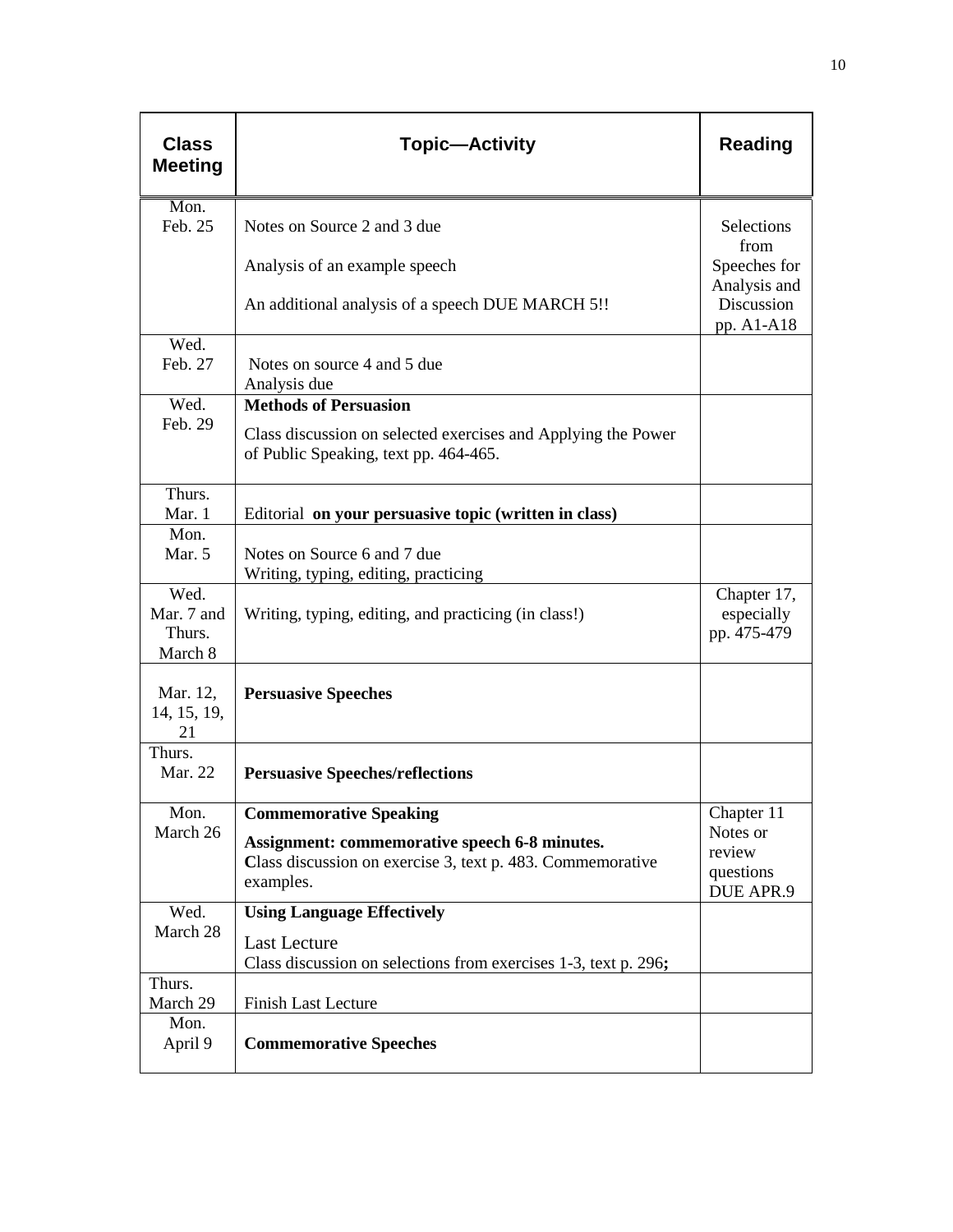| <b>Class</b><br><b>Meeting</b>          | <b>Topic-Activity</b>                                                                                                                               | <b>Reading</b>                                                   |
|-----------------------------------------|-----------------------------------------------------------------------------------------------------------------------------------------------------|------------------------------------------------------------------|
| Mon.<br>Feb. 25                         | Notes on Source 2 and 3 due                                                                                                                         | Selections                                                       |
|                                         | Analysis of an example speech<br>An additional analysis of a speech DUE MARCH 5!!                                                                   | from<br>Speeches for<br>Analysis and<br>Discussion<br>pp. A1-A18 |
| Wed.<br>Feb. 27                         | Notes on source 4 and 5 due<br>Analysis due                                                                                                         |                                                                  |
| Wed.<br>Feb. 29                         | <b>Methods of Persuasion</b><br>Class discussion on selected exercises and Applying the Power<br>of Public Speaking, text pp. 464-465.              |                                                                  |
| Thurs.<br>Mar. 1                        | Editorial on your persuasive topic (written in class)                                                                                               |                                                                  |
| Mon.<br>Mar. 5                          | Notes on Source 6 and 7 due<br>Writing, typing, editing, practicing                                                                                 |                                                                  |
| Wed.<br>Mar. 7 and<br>Thurs.<br>March 8 | Writing, typing, editing, and practicing (in class!)                                                                                                | Chapter 17,<br>especially<br>pp. 475-479                         |
| Mar. 12,<br>14, 15, 19,<br>21           | <b>Persuasive Speeches</b>                                                                                                                          |                                                                  |
| Thurs.<br>Mar. 22                       | <b>Persuasive Speeches/reflections</b>                                                                                                              |                                                                  |
| Mon.<br>March 26                        | <b>Commemorative Speaking</b><br><b>Assignment: commemorative speech 6-8 minutes.</b><br>Class discussion on exercise 3, text p. 483. Commemorative | Chapter 11<br>Notes or<br>review<br>questions                    |
| Wed.                                    | examples.<br><b>Using Language Effectively</b>                                                                                                      | DUE APR.9                                                        |
| March 28                                | <b>Last Lecture</b><br>Class discussion on selections from exercises 1-3, text p. 296;                                                              |                                                                  |
| Thurs.<br>March 29                      | <b>Finish Last Lecture</b>                                                                                                                          |                                                                  |
| Mon.<br>April 9                         | <b>Commemorative Speeches</b>                                                                                                                       |                                                                  |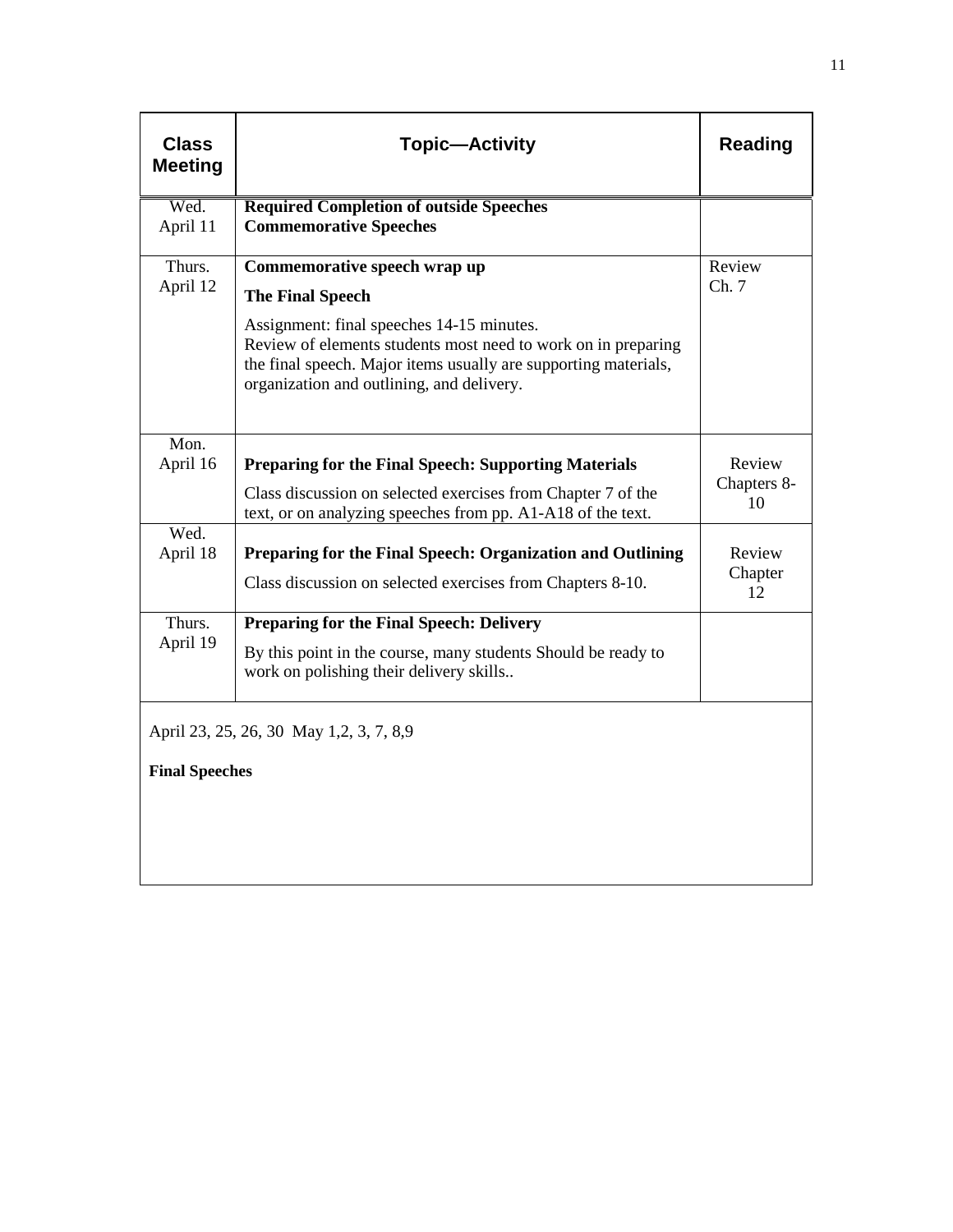| <b>Class</b><br><b>Meeting</b> | <b>Topic-Activity</b>                                                                                                                                                                                                                                                                 | <b>Reading</b>              |
|--------------------------------|---------------------------------------------------------------------------------------------------------------------------------------------------------------------------------------------------------------------------------------------------------------------------------------|-----------------------------|
| Wed.<br>April 11               | <b>Required Completion of outside Speeches</b><br><b>Commemorative Speeches</b>                                                                                                                                                                                                       |                             |
| Thurs.<br>April 12             | Commemorative speech wrap up<br><b>The Final Speech</b><br>Assignment: final speeches 14-15 minutes.<br>Review of elements students most need to work on in preparing<br>the final speech. Major items usually are supporting materials,<br>organization and outlining, and delivery. | Review<br>Ch.7              |
| Mon.<br>April 16               | <b>Preparing for the Final Speech: Supporting Materials</b><br>Class discussion on selected exercises from Chapter 7 of the<br>text, or on analyzing speeches from pp. A1-A18 of the text.                                                                                            | Review<br>Chapters 8-<br>10 |
| Wed.<br>April 18               | Preparing for the Final Speech: Organization and Outlining<br>Class discussion on selected exercises from Chapters 8-10.                                                                                                                                                              | Review<br>Chapter<br>12     |
| Thurs.<br>April 19             | <b>Preparing for the Final Speech: Delivery</b><br>By this point in the course, many students Should be ready to<br>work on polishing their delivery skills                                                                                                                           |                             |
| <b>Final Speeches</b>          | April 23, 25, 26, 30 May 1,2, 3, 7, 8,9                                                                                                                                                                                                                                               |                             |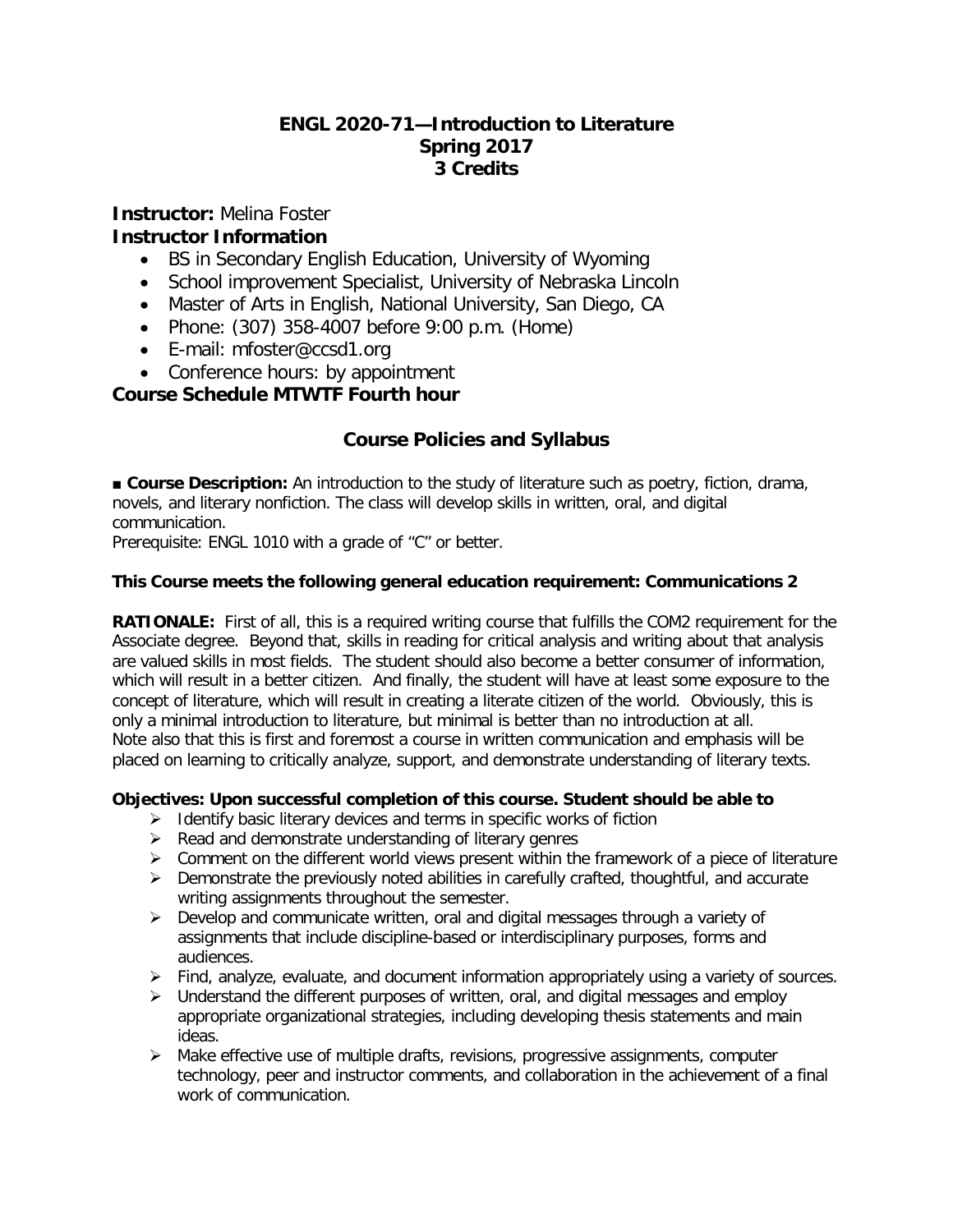## **ENGL 2020-71—Introduction to Literature Spring 2017 3 Credits**

**Instructor:** Melina Foster **Instructor Information**

- BS in Secondary English Education, University of Wyoming
- School improvement Specialist, University of Nebraska Lincoln
- Master of Arts in English, National University, San Diego, CA
- Phone: (307) 358-4007 before 9:00 p.m. (Home)
- E-mail: mfoster@ccsd1.org
- Conference hours: by appointment

## **Course Schedule MTWTF Fourth hour**

## **Course Policies and Syllabus**

**■ Course Description:** An introduction to the study of literature such as poetry, fiction, drama, novels, and literary nonfiction. The class will develop skills in written, oral, and digital communication.

Prerequisite: ENGL 1010 with a grade of "C" or better.

## **This Course meets the following general education requirement: Communications 2**

**RATIONALE:** First of all, this is a required writing course that fulfills the COM2 requirement for the Associate degree. Beyond that, skills in reading for critical analysis and writing about that analysis are valued skills in most fields. The student should also become a better consumer of information, which will result in a better citizen. And finally, the student will have at least some exposure to the concept of literature, which will result in creating a literate citizen of the world. Obviously, this is only a minimal introduction to literature, but minimal is better than no introduction at all. Note also that this is first and foremost a course in written communication and emphasis will be placed on learning to critically analyze, support, and demonstrate understanding of literary texts.

## **Objectives: Upon successful completion of this course. Student should be able to**

- $\triangleright$  Identify basic literary devices and terms in specific works of fiction
- $\triangleright$  Read and demonstrate understanding of literary genres
- $\triangleright$  Comment on the different world views present within the framework of a piece of literature
- $\triangleright$  Demonstrate the previously noted abilities in carefully crafted, thoughtful, and accurate writing assignments throughout the semester.
- $\triangleright$  Develop and communicate written, oral and digital messages through a variety of assignments that include discipline-based or interdisciplinary purposes, forms and audiences.
- $\triangleright$  Find, analyze, evaluate, and document information appropriately using a variety of sources.
- $\triangleright$  Understand the different purposes of written, oral, and digital messages and employ appropriate organizational strategies, including developing thesis statements and main ideas.
- $\triangleright$  Make effective use of multiple drafts, revisions, progressive assignments, computer technology, peer and instructor comments, and collaboration in the achievement of a final work of communication.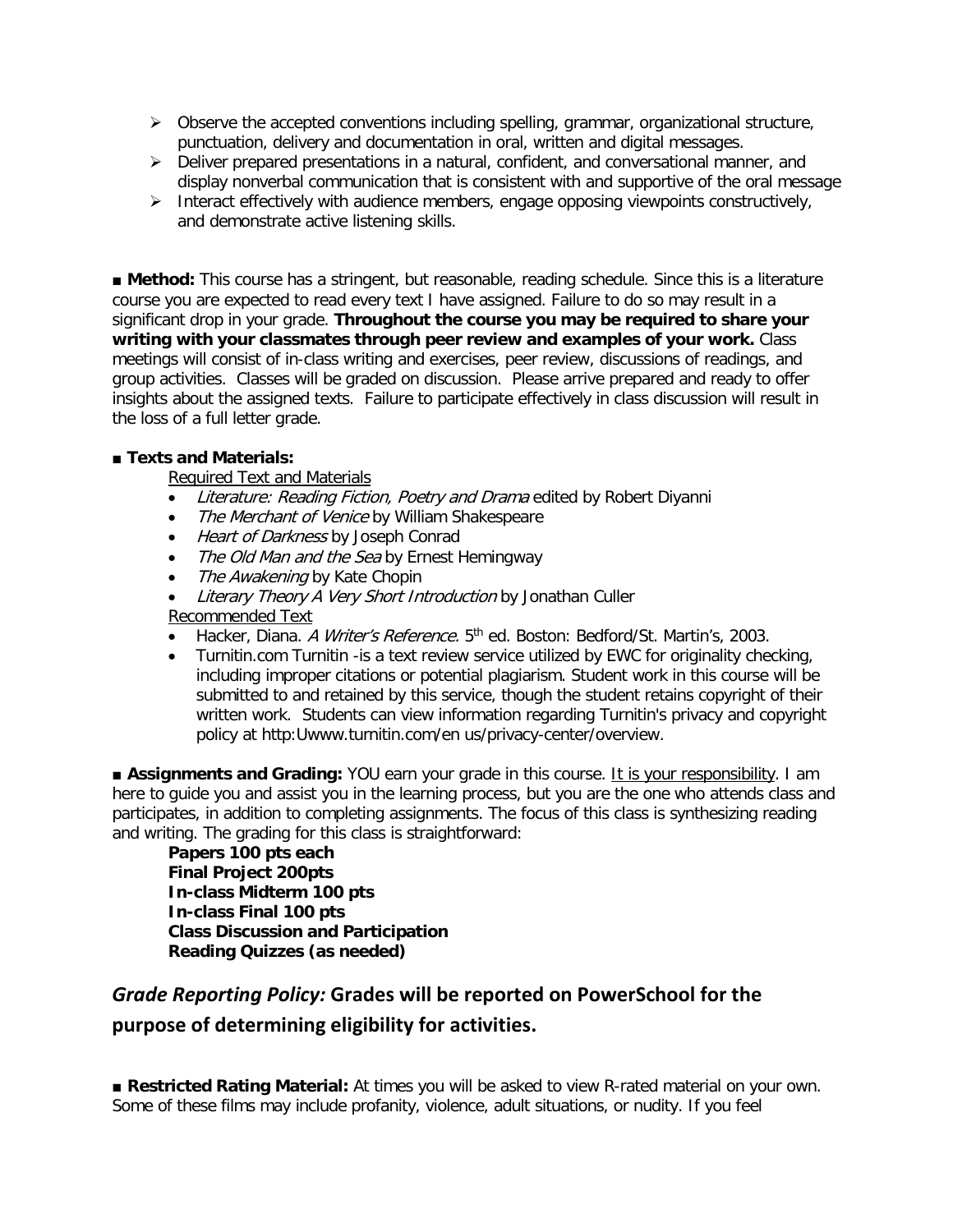- $\triangleright$  Observe the accepted conventions including spelling, grammar, organizational structure, punctuation, delivery and documentation in oral, written and digital messages.
- $\triangleright$  Deliver prepared presentations in a natural, confident, and conversational manner, and display nonverbal communication that is consistent with and supportive of the oral message
- Interact effectively with audience members, engage opposing viewpoints constructively, and demonstrate active listening skills.

■ **Method:** This course has a stringent, but reasonable, reading schedule. Since this is a literature course you are expected to read every text I have assigned. Failure to do so may result in a significant drop in your grade. **Throughout the course you may be required to share your writing with your classmates through peer review and examples of your work.** Class meetings will consist of in-class writing and exercises, peer review, discussions of readings, and group activities. Classes will be graded on discussion. Please arrive prepared and ready to offer insights about the assigned texts. Failure to participate effectively in class discussion will result in the loss of a full letter grade.

## ■ **Texts and Materials:**

Required Text and Materials

- Literature: Reading Fiction, Poetry and Drama edited by Robert Diyanni
- The Merchant of Venice by William Shakespeare
- Heart of Darkness by Joseph Conrad
- The Old Man and the Sea by Ernest Hemingway
- The Awakening by Kate Chopin
- Literary Theory A Very Short Introduction by Jonathan Culler

Recommended Text

- Hacker, Diana. A Writer's Reference. 5<sup>th</sup> ed. Boston: Bedford/St. Martin's, 2003.
- Turnitin.com Turnitin -is a text review service utilized by EWC for originality checking, including improper citations or potential plagiarism. Student work in this course will be submitted to and retained by this service, though the student retains copyright of their written work. Students can view information regarding Turnitin's privacy and copyright policy at http:Uwww.turnitin.com/en us/privacy-center/overview.

■ **Assignments and Grading:** YOU earn your grade in this course. It is your responsibility. I am here to guide you and assist you in the learning process, but you are the one who attends class and participates, in addition to completing assignments. The focus of this class is synthesizing reading and writing. The grading for this class is straightforward:

**Papers 100 pts each Final Project 200pts In-class Midterm 100 pts In-class Final 100 pts Class Discussion and Participation Reading Quizzes (as needed)**

## *Grade Reporting Policy:* **Grades will be reported on PowerSchool for the purpose of determining eligibility for activities.**

■ Restricted Rating Material: At times you will be asked to view R-rated material on your own. Some of these films may include profanity, violence, adult situations, or nudity. If you feel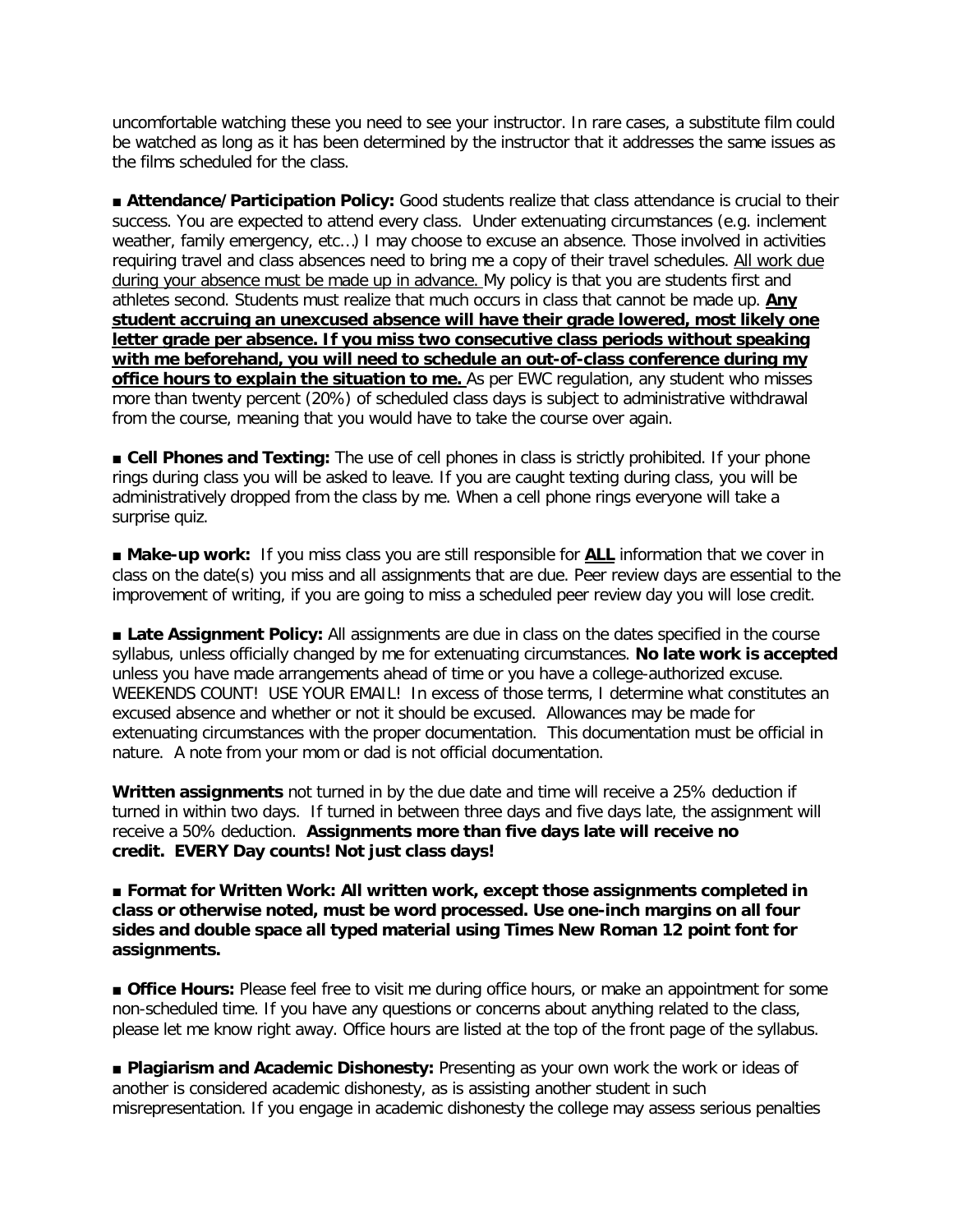uncomfortable watching these you need to see your instructor. In rare cases, a substitute film could be watched as long as it has been determined by the instructor that it addresses the same issues as the films scheduled for the class.

■ **Attendance/Participation Policy:** Good students realize that class attendance is crucial to their success. You are expected to attend every class. Under extenuating circumstances (e.g. inclement weather, family emergency, etc…) I may choose to excuse an absence. Those involved in activities requiring travel and class absences need to bring me a copy of their travel schedules. All work due during your absence must be made up in advance. My policy is that you are students first and athletes second. Students must realize that much occurs in class that cannot be made up. **Any student accruing an unexcused absence will have their grade lowered, most likely one letter grade per absence. If you miss two consecutive class periods without speaking with me beforehand, you will need to schedule an out-of-class conference during my office hours to explain the situation to me.** As per EWC regulation, any student who misses more than twenty percent (20%) of scheduled class days is subject to administrative withdrawal from the course, meaning that you would have to take the course over again.

■ **Cell Phones and Texting:** The use of cell phones in class is strictly prohibited. If your phone rings during class you will be asked to leave. If you are caught texting during class, you will be administratively dropped from the class by me. When a cell phone rings everyone will take a surprise quiz.

■ Make-up work: If you miss class you are still responsible for **ALL** information that we cover in class on the date(s) you miss and all assignments that are due. Peer review days are essential to the improvement of writing, if you are going to miss a scheduled peer review day you will lose credit.

■ Late Assignment Policy: All assignments are due in class on the dates specified in the course syllabus, unless officially changed by me for extenuating circumstances. **No late work is accepted**  unless you have made arrangements ahead of time or you have a college-authorized excuse. WEEKENDS COUNT! USE YOUR EMAIL! In excess of those terms, I determine what constitutes an excused absence and whether or not it should be excused. Allowances may be made for extenuating circumstances with the proper documentation. This documentation must be official in nature. A note from your mom or dad is not official documentation.

**Written assignments** not turned in by the due date and time will receive a 25% deduction if turned in within two days. If turned in between three days and five days late, the assignment will receive a 50% deduction. **Assignments more than five days late will receive no credit. EVERY Day counts! Not just class days!**

■ **Format for Written Work: All written work, except those assignments completed in class or otherwise noted, must be word processed. Use one-inch margins on all four sides and double space all typed material using Times New Roman 12 point font for assignments.** 

■ **Office Hours:** Please feel free to visit me during office hours, or make an appointment for some non-scheduled time. If you have any questions or concerns about anything related to the class, please let me know right away. Office hours are listed at the top of the front page of the syllabus.

■ Plagiarism and Academic Dishonesty: Presenting as your own work the work or ideas of another is considered academic dishonesty, as is assisting another student in such misrepresentation. If you engage in academic dishonesty the college may assess serious penalties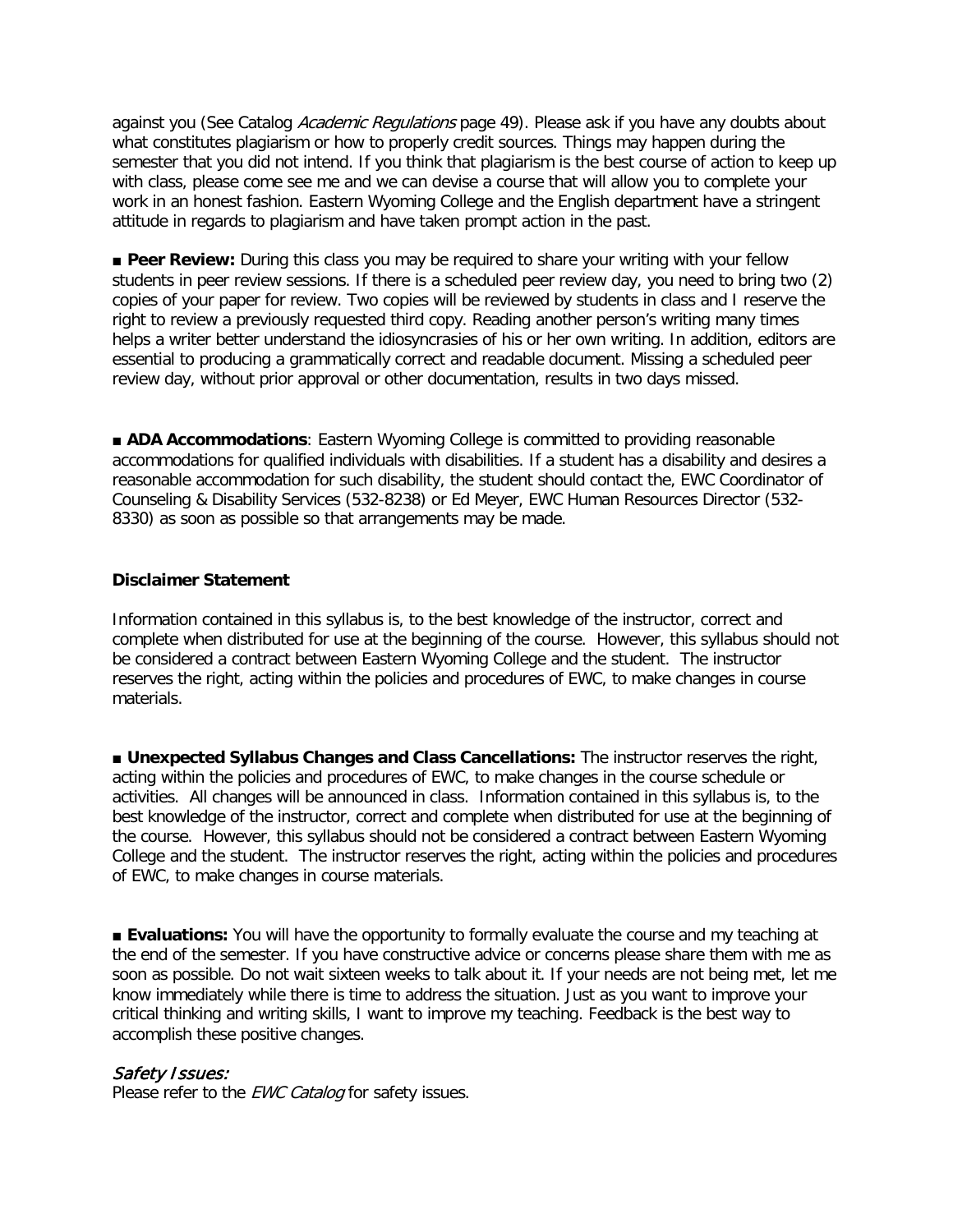against you (See Catalog Academic Regulations page 49). Please ask if you have any doubts about what constitutes plagiarism or how to properly credit sources. Things may happen during the semester that you did not intend. If you think that plagiarism is the best course of action to keep up with class, please come see me and we can devise a course that will allow you to complete your work in an honest fashion. Eastern Wyoming College and the English department have a stringent attitude in regards to plagiarism and have taken prompt action in the past.

■ **Peer Review:** During this class you may be required to share your writing with your fellow students in peer review sessions. If there is a scheduled peer review day, you need to bring two (2) copies of your paper for review. Two copies will be reviewed by students in class and I reserve the right to review a previously requested third copy. Reading another person's writing many times helps a writer better understand the idiosyncrasies of his or her own writing. In addition, editors are essential to producing a grammatically correct and readable document. Missing a scheduled peer review day, without prior approval or other documentation, results in two days missed.

■ **ADA Accommodations**: Eastern Wyoming College is committed to providing reasonable accommodations for qualified individuals with disabilities. If a student has a disability and desires a reasonable accommodation for such disability, the student should contact the, EWC Coordinator of Counseling & Disability Services (532-8238) or Ed Meyer, EWC Human Resources Director (532- 8330) as soon as possible so that arrangements may be made.

#### **Disclaimer Statement**

Information contained in this syllabus is, to the best knowledge of the instructor, correct and complete when distributed for use at the beginning of the course. However, this syllabus should not be considered a contract between Eastern Wyoming College and the student. The instructor reserves the right, acting within the policies and procedures of EWC, to make changes in course materials.

■ **Unexpected Syllabus Changes and Class Cancellations:** The instructor reserves the right, acting within the policies and procedures of EWC, to make changes in the course schedule or activities. All changes will be announced in class. Information contained in this syllabus is, to the best knowledge of the instructor, correct and complete when distributed for use at the beginning of the course. However, this syllabus should not be considered a contract between Eastern Wyoming College and the student. The instructor reserves the right, acting within the policies and procedures of EWC, to make changes in course materials.

■ **Evaluations:** You will have the opportunity to formally evaluate the course and my teaching at the end of the semester. If you have constructive advice or concerns please share them with me as soon as possible. Do not wait sixteen weeks to talk about it. If your needs are not being met, let me know immediately while there is time to address the situation. Just as you want to improve your critical thinking and writing skills, I want to improve my teaching. Feedback is the best way to accomplish these positive changes.

#### Safety Issues:

Please refer to the *EWC Catalog* for safety issues.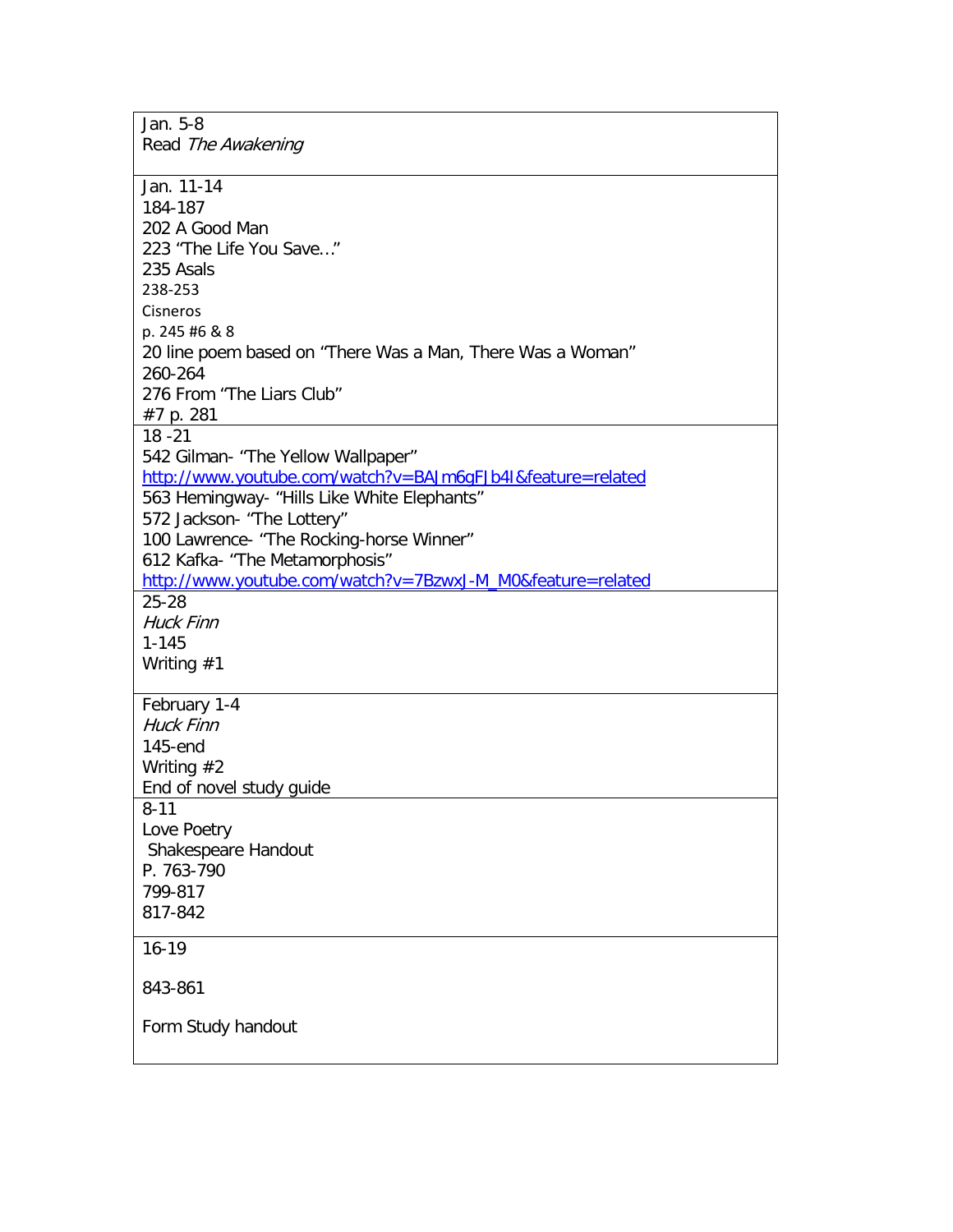| Jan. 5-8                                                              |
|-----------------------------------------------------------------------|
| Read The Awakening                                                    |
|                                                                       |
| Jan. 11-14                                                            |
| 184-187                                                               |
| 202 A Good Man                                                        |
| 223 "The Life You Save"                                               |
| 235 Asals                                                             |
| 238-253                                                               |
| Cisneros                                                              |
| p. 245 #6 & 8                                                         |
|                                                                       |
| 20 line poem based on "There Was a Man, There Was a Woman"<br>260-264 |
| 276 From "The Liars Club"                                             |
|                                                                       |
| #7 p. 281                                                             |
| $18 - 21$                                                             |
| 542 Gilman- "The Yellow Wallpaper"                                    |
| http://www.youtube.com/watch?v=BAJm6qFJb4I&feature=related            |
| 563 Hemingway- "Hills Like White Elephants"                           |
| 572 Jackson- "The Lottery"                                            |
| 100 Lawrence- "The Rocking-horse Winner"                              |
| 612 Kafka- "The Metamorphosis"                                        |
| http://www.youtube.com/watch?v=7BzwxJ-M_M0&feature=related            |
| $25 - 28$                                                             |
| <b>Huck Finn</b>                                                      |
| $1 - 145$                                                             |
| Writing $#1$                                                          |
|                                                                       |
| February 1-4                                                          |
| <b>Huck Finn</b>                                                      |
| $145$ -end                                                            |
| Writing $#2$                                                          |
| End of novel study guide                                              |
| $8 - 11$                                                              |
| Love Poetry                                                           |
| Shakespeare Handout                                                   |
| P. 763-790                                                            |
| 799-817                                                               |
| 817-842                                                               |
| $16 - 19$                                                             |
|                                                                       |
| 843-861                                                               |
|                                                                       |
| Form Study handout                                                    |
|                                                                       |
|                                                                       |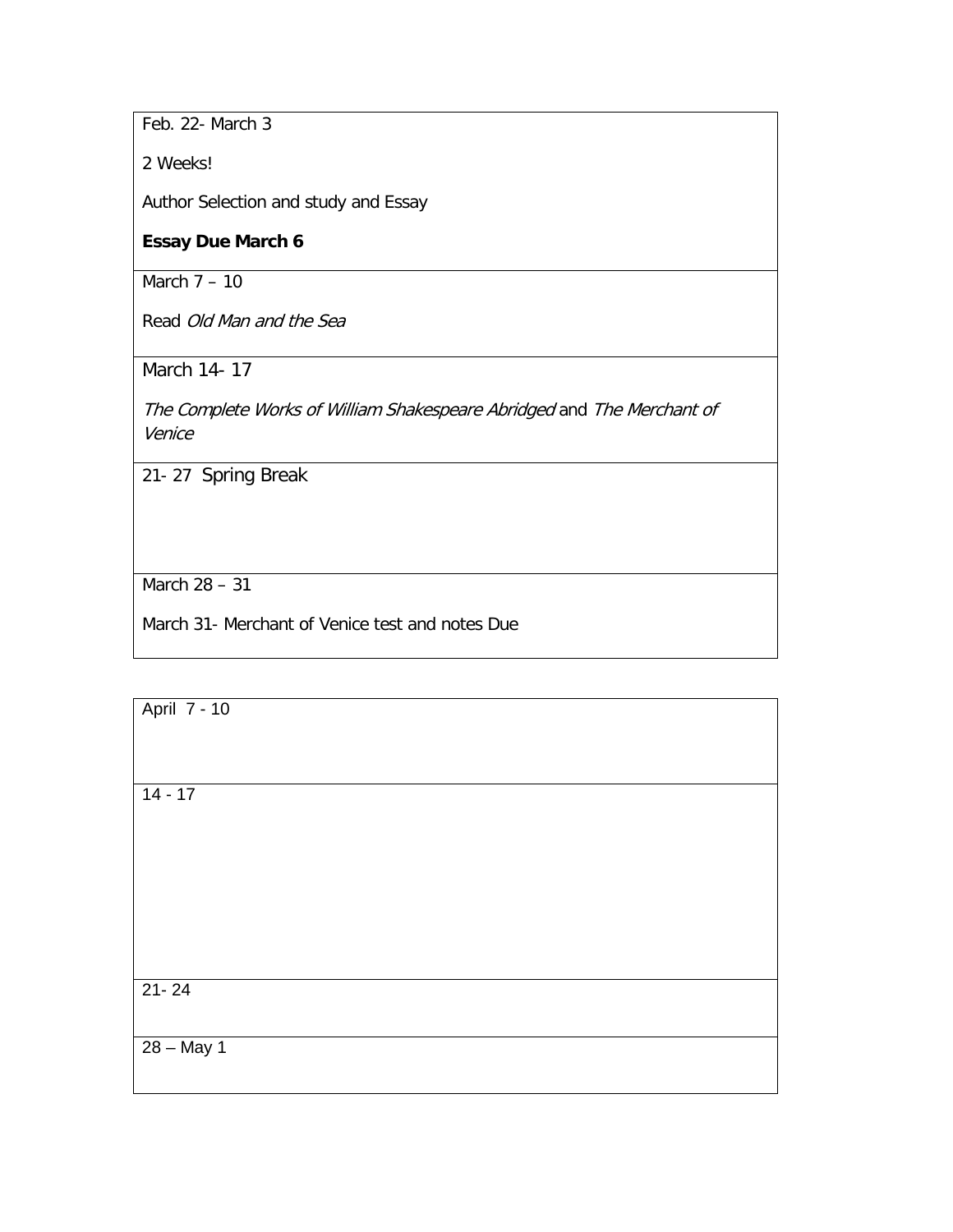Feb. 22- March 3

2 Weeks!

Author Selection and study and Essay

## **Essay Due March 6**

March 7 – 10

Read Old Man and the Sea

March 14- 17

The Complete Works of William Shakespeare Abridged and The Merchant of Venice

21- 27 Spring Break

March 28 – 31

March 31- Merchant of Venice test and notes Due

April 7 - 10 14 - 17 21- 24 28 – May 1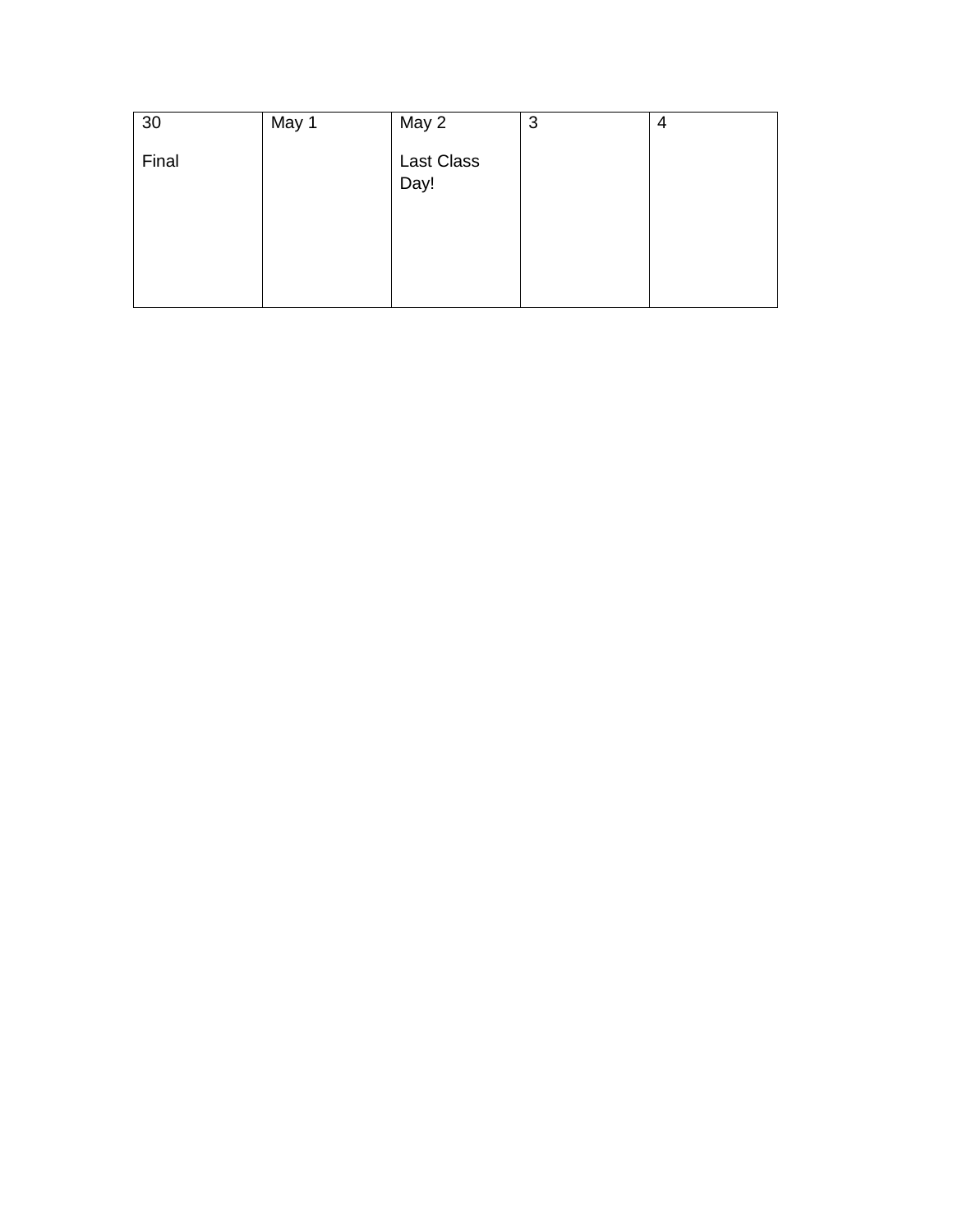| 30    | May 1 | May 2              | 3 | 4 |
|-------|-------|--------------------|---|---|
| Final |       | Last Class<br>Day! |   |   |
|       |       |                    |   |   |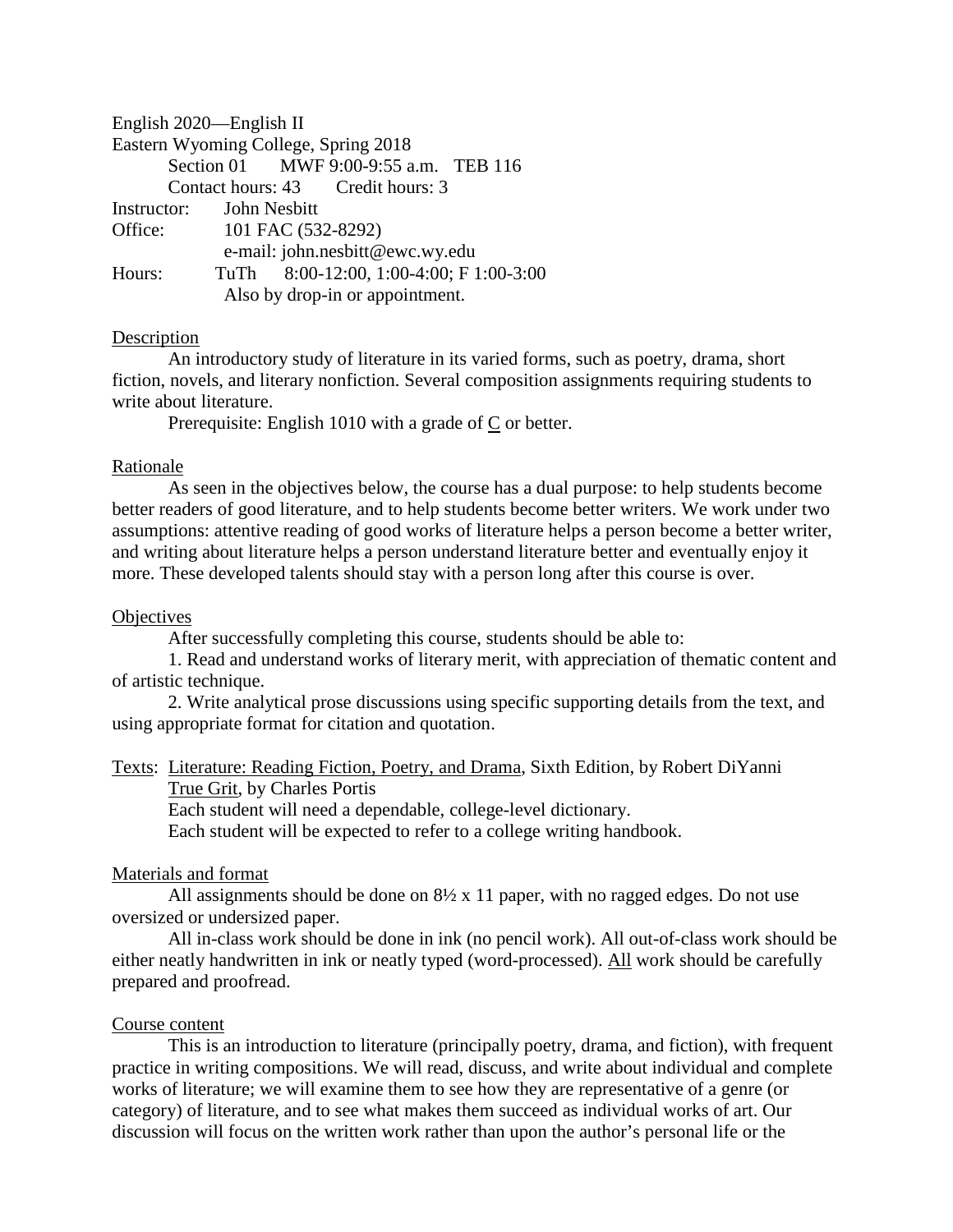English 2020—English II Eastern Wyoming College, Spring 2018 Section 01 MWF 9:00-9:55 a.m. TEB 116 Contact hours: 43 Credit hours: 3 Instructor: John Nesbitt Office: 101 FAC (532-8292) e-mail: john.nesbitt@ewc.wy.edu Hours: TuTh 8:00-12:00, 1:00-4:00; F 1:00-3:00 Also by drop-in or appointment.

## Description

An introductory study of literature in its varied forms, such as poetry, drama, short fiction, novels, and literary nonfiction. Several composition assignments requiring students to write about literature.

Prerequisite: English 1010 with a grade of C or better.

#### Rationale

As seen in the objectives below, the course has a dual purpose: to help students become better readers of good literature, and to help students become better writers. We work under two assumptions: attentive reading of good works of literature helps a person become a better writer, and writing about literature helps a person understand literature better and eventually enjoy it more. These developed talents should stay with a person long after this course is over.

## **Objectives**

After successfully completing this course, students should be able to:

1. Read and understand works of literary merit, with appreciation of thematic content and of artistic technique.

2. Write analytical prose discussions using specific supporting details from the text, and using appropriate format for citation and quotation.

Texts: Literature: Reading Fiction, Poetry, and Drama, Sixth Edition, by Robert DiYanni

True Grit, by Charles Portis

Each student will need a dependable, college-level dictionary.

Each student will be expected to refer to a college writing handbook.

#### Materials and format

All assignments should be done on  $8\frac{1}{2} \times 11$  paper, with no ragged edges. Do not use oversized or undersized paper.

All in-class work should be done in ink (no pencil work). All out-of-class work should be either neatly handwritten in ink or neatly typed (word-processed). All work should be carefully prepared and proofread.

#### Course content

This is an introduction to literature (principally poetry, drama, and fiction), with frequent practice in writing compositions. We will read, discuss, and write about individual and complete works of literature; we will examine them to see how they are representative of a genre (or category) of literature, and to see what makes them succeed as individual works of art. Our discussion will focus on the written work rather than upon the author's personal life or the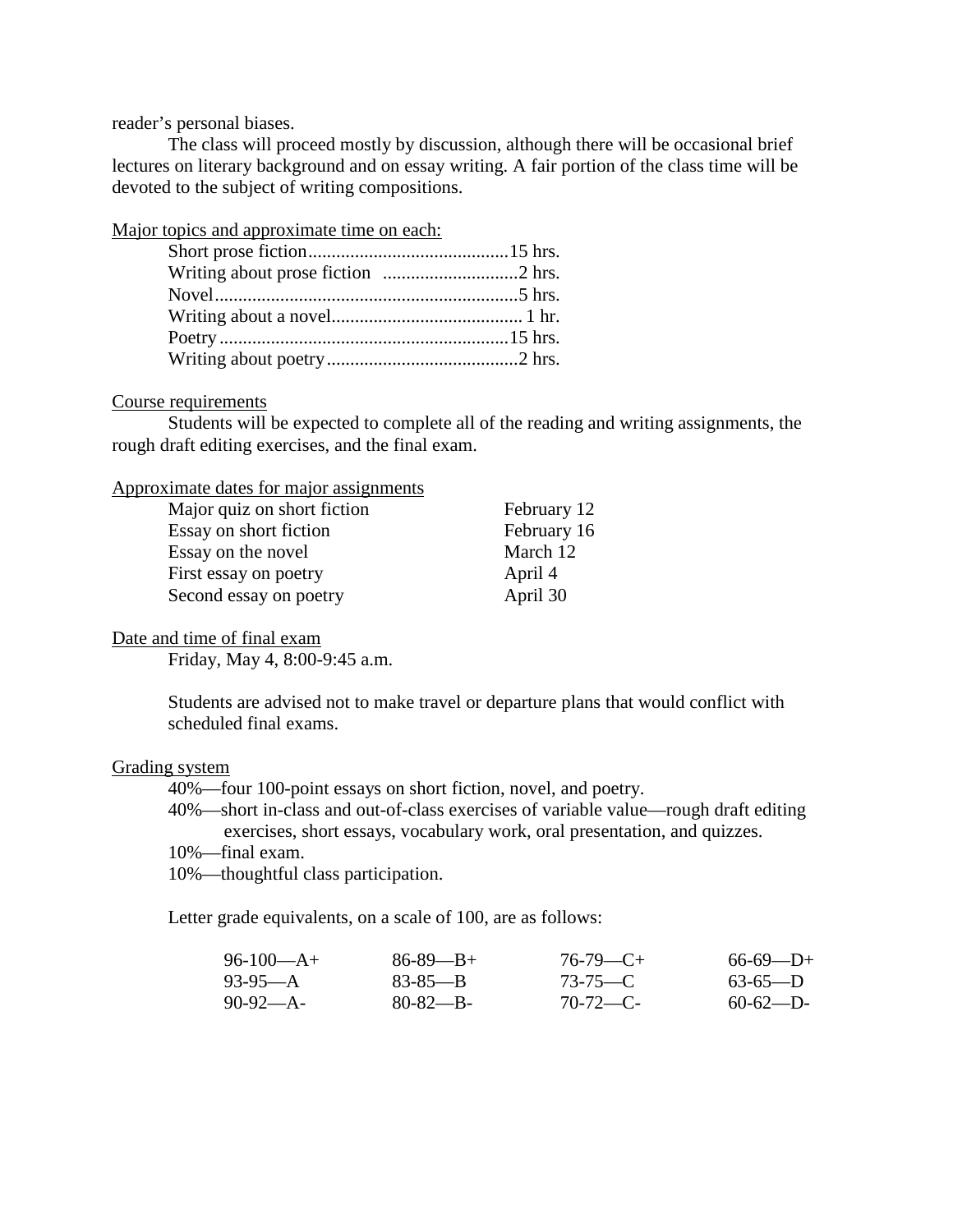reader's personal biases.

The class will proceed mostly by discussion, although there will be occasional brief lectures on literary background and on essay writing. A fair portion of the class time will be devoted to the subject of writing compositions.

Major topics and approximate time on each:

#### Course requirements

Students will be expected to complete all of the reading and writing assignments, the rough draft editing exercises, and the final exam.

Approximate dates for major assignments

| Major quiz on short fiction | February 12 |
|-----------------------------|-------------|
| Essay on short fiction      | February 16 |
| Essay on the novel          | March 12    |
| First essay on poetry       | April 4     |
| Second essay on poetry      | April 30    |

#### Date and time of final exam

Friday, May 4, 8:00-9:45 a.m.

Students are advised not to make travel or departure plans that would conflict with scheduled final exams.

#### Grading system

40%—four 100-point essays on short fiction, novel, and poetry.

40%—short in-class and out-of-class exercises of variable value—rough draft editing exercises, short essays, vocabulary work, oral presentation, and quizzes.

10%—final exam.

10%—thoughtful class participation.

Letter grade equivalents, on a scale of 100, are as follows:

| $96-100-A+$ | $86 - 89 - B +$ | $76-79$ —C+   | $66-69$ —D+ |
|-------------|-----------------|---------------|-------------|
| $93-95-A$   | $83 - 85 - B$   | $73 - 75 - C$ | $63-65-D$   |
| $90-92-A$   | $80 - 82 - B -$ | $70-72$ —C-   | $60-62$ —D- |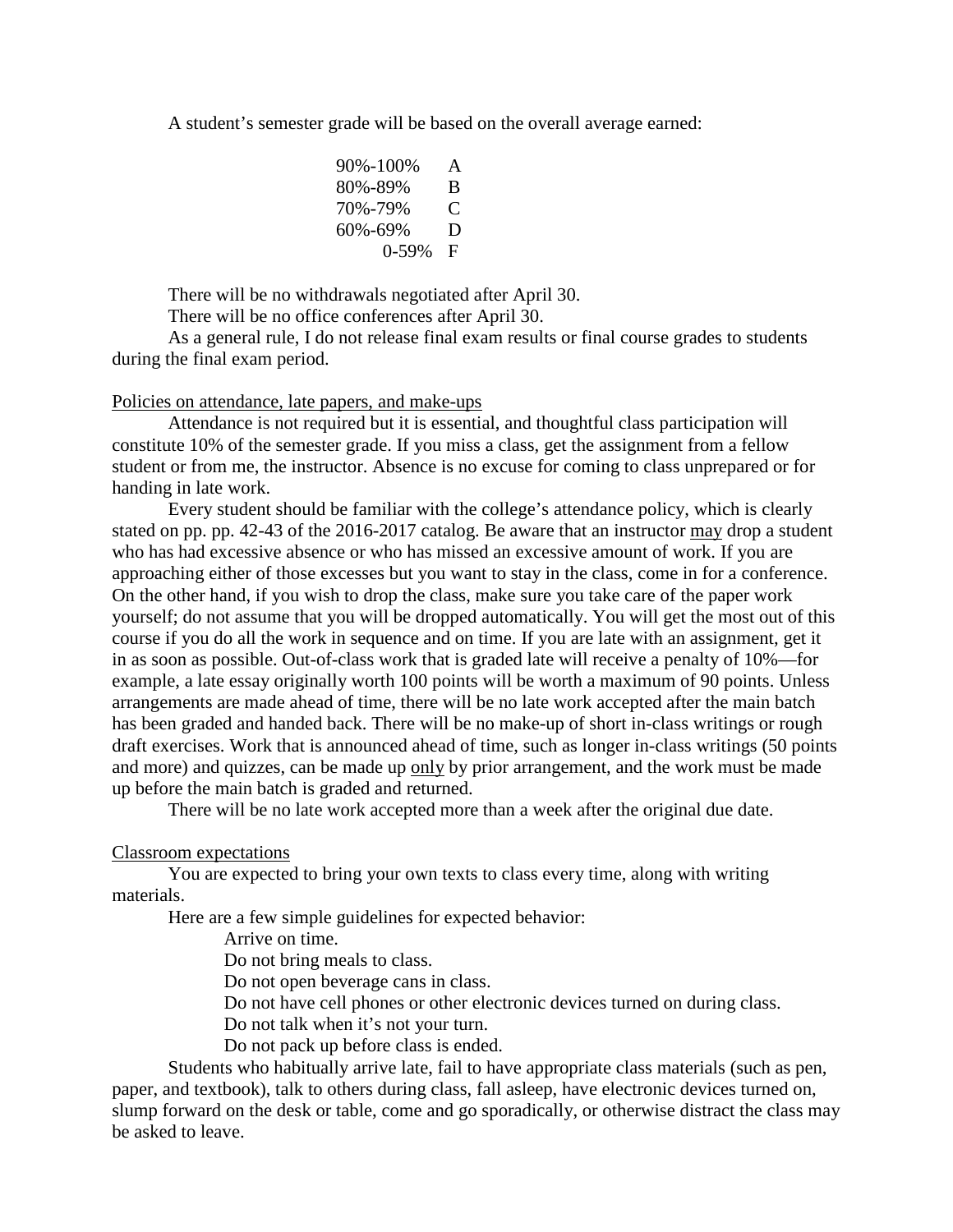A student's semester grade will be based on the overall average earned:

| 90%-100%   | A |
|------------|---|
| 80%-89%    | B |
| 70%-79%    | € |
| 60%-69%    | D |
| $0 - 59\%$ | F |

There will be no withdrawals negotiated after April 30.

There will be no office conferences after April 30.

As a general rule, I do not release final exam results or final course grades to students during the final exam period.

#### Policies on attendance, late papers, and make-ups

Attendance is not required but it is essential, and thoughtful class participation will constitute 10% of the semester grade. If you miss a class, get the assignment from a fellow student or from me, the instructor. Absence is no excuse for coming to class unprepared or for handing in late work.

Every student should be familiar with the college's attendance policy, which is clearly stated on pp. pp. 42-43 of the 2016-2017 catalog. Be aware that an instructor may drop a student who has had excessive absence or who has missed an excessive amount of work. If you are approaching either of those excesses but you want to stay in the class, come in for a conference. On the other hand, if you wish to drop the class, make sure you take care of the paper work yourself; do not assume that you will be dropped automatically. You will get the most out of this course if you do all the work in sequence and on time. If you are late with an assignment, get it in as soon as possible. Out-of-class work that is graded late will receive a penalty of 10%—for example, a late essay originally worth 100 points will be worth a maximum of 90 points. Unless arrangements are made ahead of time, there will be no late work accepted after the main batch has been graded and handed back. There will be no make-up of short in-class writings or rough draft exercises. Work that is announced ahead of time, such as longer in-class writings (50 points and more) and quizzes, can be made up only by prior arrangement, and the work must be made up before the main batch is graded and returned.

There will be no late work accepted more than a week after the original due date.

Classroom expectations

You are expected to bring your own texts to class every time, along with writing materials.

Here are a few simple guidelines for expected behavior:

Arrive on time.

Do not bring meals to class.

Do not open beverage cans in class.

Do not have cell phones or other electronic devices turned on during class.

Do not talk when it's not your turn.

Do not pack up before class is ended.

Students who habitually arrive late, fail to have appropriate class materials (such as pen, paper, and textbook), talk to others during class, fall asleep, have electronic devices turned on, slump forward on the desk or table, come and go sporadically, or otherwise distract the class may be asked to leave.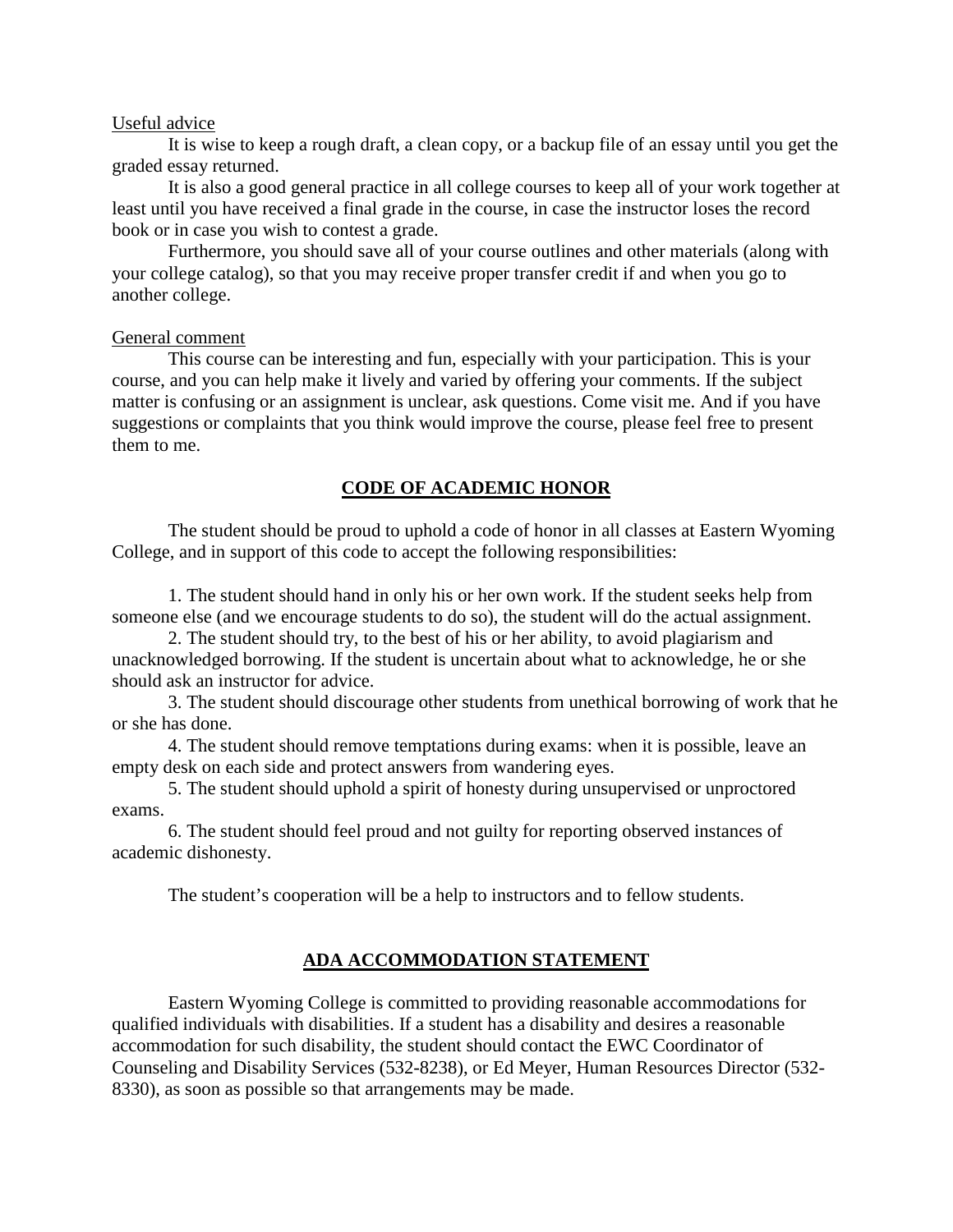#### Useful advice

It is wise to keep a rough draft, a clean copy, or a backup file of an essay until you get the graded essay returned.

It is also a good general practice in all college courses to keep all of your work together at least until you have received a final grade in the course, in case the instructor loses the record book or in case you wish to contest a grade.

Furthermore, you should save all of your course outlines and other materials (along with your college catalog), so that you may receive proper transfer credit if and when you go to another college.

#### General comment

This course can be interesting and fun, especially with your participation. This is your course, and you can help make it lively and varied by offering your comments. If the subject matter is confusing or an assignment is unclear, ask questions. Come visit me. And if you have suggestions or complaints that you think would improve the course, please feel free to present them to me.

## **CODE OF ACADEMIC HONOR**

The student should be proud to uphold a code of honor in all classes at Eastern Wyoming College, and in support of this code to accept the following responsibilities:

1. The student should hand in only his or her own work. If the student seeks help from someone else (and we encourage students to do so), the student will do the actual assignment.

2. The student should try, to the best of his or her ability, to avoid plagiarism and unacknowledged borrowing. If the student is uncertain about what to acknowledge, he or she should ask an instructor for advice.

3. The student should discourage other students from unethical borrowing of work that he or she has done.

4. The student should remove temptations during exams: when it is possible, leave an empty desk on each side and protect answers from wandering eyes.

5. The student should uphold a spirit of honesty during unsupervised or unproctored exams.

6. The student should feel proud and not guilty for reporting observed instances of academic dishonesty.

The student's cooperation will be a help to instructors and to fellow students.

## **ADA ACCOMMODATION STATEMENT**

Eastern Wyoming College is committed to providing reasonable accommodations for qualified individuals with disabilities. If a student has a disability and desires a reasonable accommodation for such disability, the student should contact the EWC Coordinator of Counseling and Disability Services (532-8238), or Ed Meyer, Human Resources Director (532- 8330), as soon as possible so that arrangements may be made.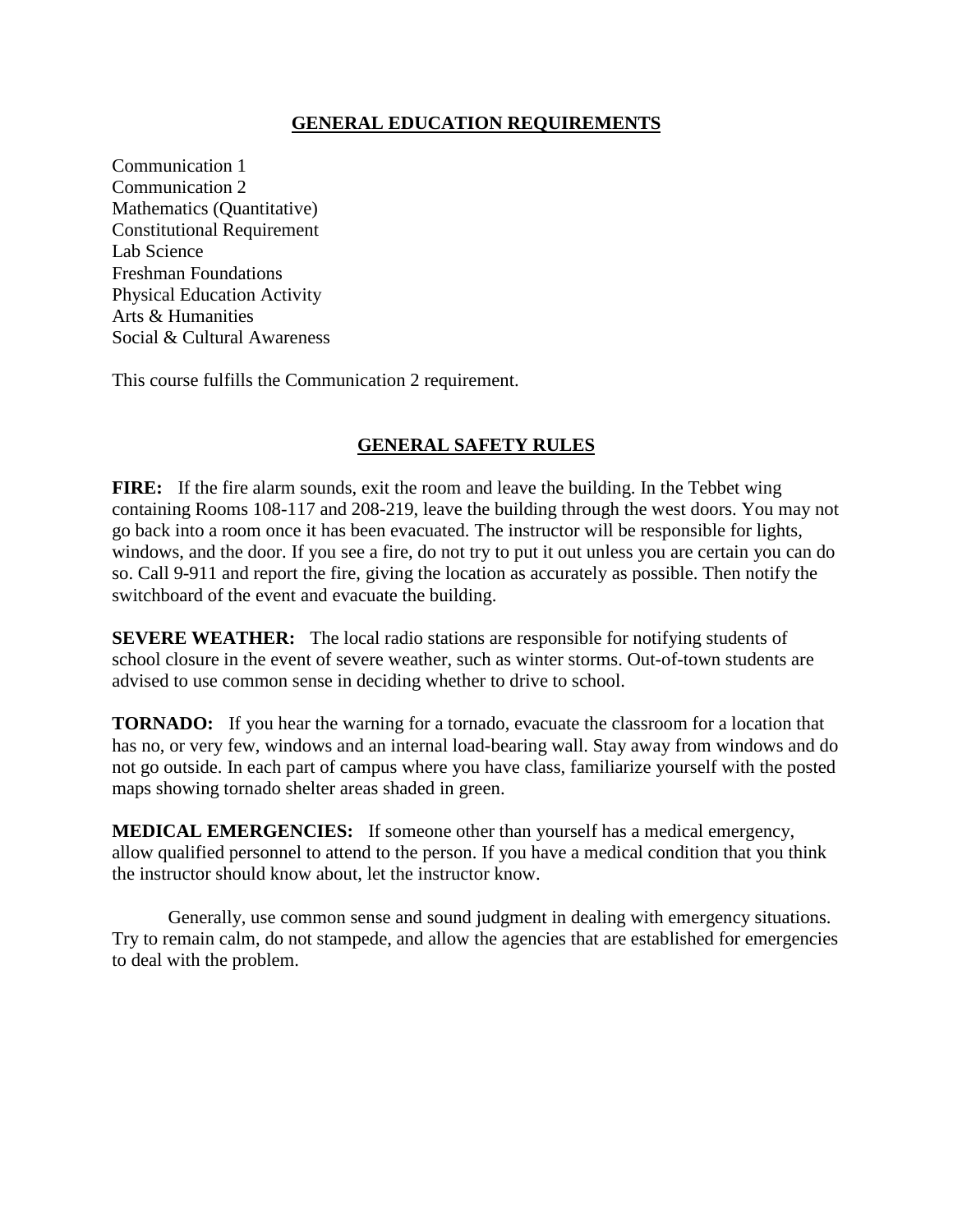## **GENERAL EDUCATION REQUIREMENTS**

Communication 1 Communication 2 Mathematics (Quantitative) Constitutional Requirement Lab Science Freshman Foundations Physical Education Activity Arts & Humanities Social & Cultural Awareness

This course fulfills the Communication 2 requirement.

## **GENERAL SAFETY RULES**

**FIRE:** If the fire alarm sounds, exit the room and leave the building. In the Tebbet wing containing Rooms 108-117 and 208-219, leave the building through the west doors. You may not go back into a room once it has been evacuated. The instructor will be responsible for lights, windows, and the door. If you see a fire, do not try to put it out unless you are certain you can do so. Call 9-911 and report the fire, giving the location as accurately as possible. Then notify the switchboard of the event and evacuate the building.

**SEVERE WEATHER:** The local radio stations are responsible for notifying students of school closure in the event of severe weather, such as winter storms. Out-of-town students are advised to use common sense in deciding whether to drive to school.

**TORNADO:** If you hear the warning for a tornado, evacuate the classroom for a location that has no, or very few, windows and an internal load-bearing wall. Stay away from windows and do not go outside. In each part of campus where you have class, familiarize yourself with the posted maps showing tornado shelter areas shaded in green.

**MEDICAL EMERGENCIES:** If someone other than yourself has a medical emergency, allow qualified personnel to attend to the person. If you have a medical condition that you think the instructor should know about, let the instructor know.

Generally, use common sense and sound judgment in dealing with emergency situations. Try to remain calm, do not stampede, and allow the agencies that are established for emergencies to deal with the problem.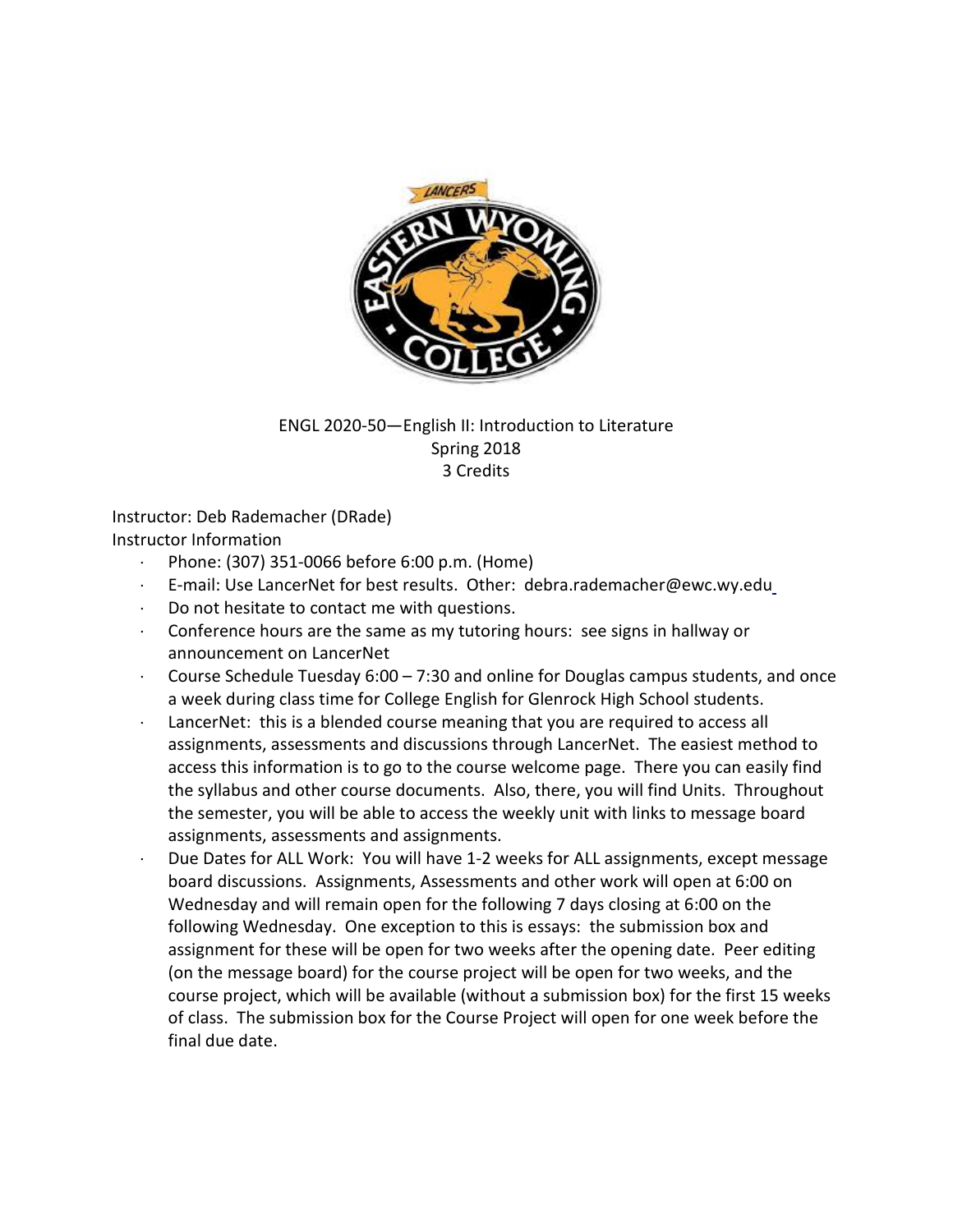

## ENGL 2020-50—English II: Introduction to Literature Spring 2018 3 Credits

Instructor: Deb Rademacher (DRade) Instructor Information

- · Phone: (307) 351-0066 before 6:00 p.m. (Home)
- · E-mail: Use LancerNet for best results. Other: debra.rademacher@ewc.wy.edu
- · Do not hesitate to contact me with questions.
- · Conference hours are the same as my tutoring hours: see signs in hallway or announcement on LancerNet
- Course Schedule Tuesday  $6:00 7:30$  and online for Douglas campus students, and once a week during class time for College English for Glenrock High School students.
- LancerNet: this is a blended course meaning that you are required to access all assignments, assessments and discussions through LancerNet. The easiest method to access this information is to go to the course welcome page. There you can easily find the syllabus and other course documents. Also, there, you will find Units. Throughout the semester, you will be able to access the weekly unit with links to message board assignments, assessments and assignments.
- Due Dates for ALL Work: You will have 1-2 weeks for ALL assignments, except message board discussions. Assignments, Assessments and other work will open at 6:00 on Wednesday and will remain open for the following 7 days closing at 6:00 on the following Wednesday. One exception to this is essays: the submission box and assignment for these will be open for two weeks after the opening date. Peer editing (on the message board) for the course project will be open for two weeks, and the course project, which will be available (without a submission box) for the first 15 weeks of class. The submission box for the Course Project will open for one week before the final due date.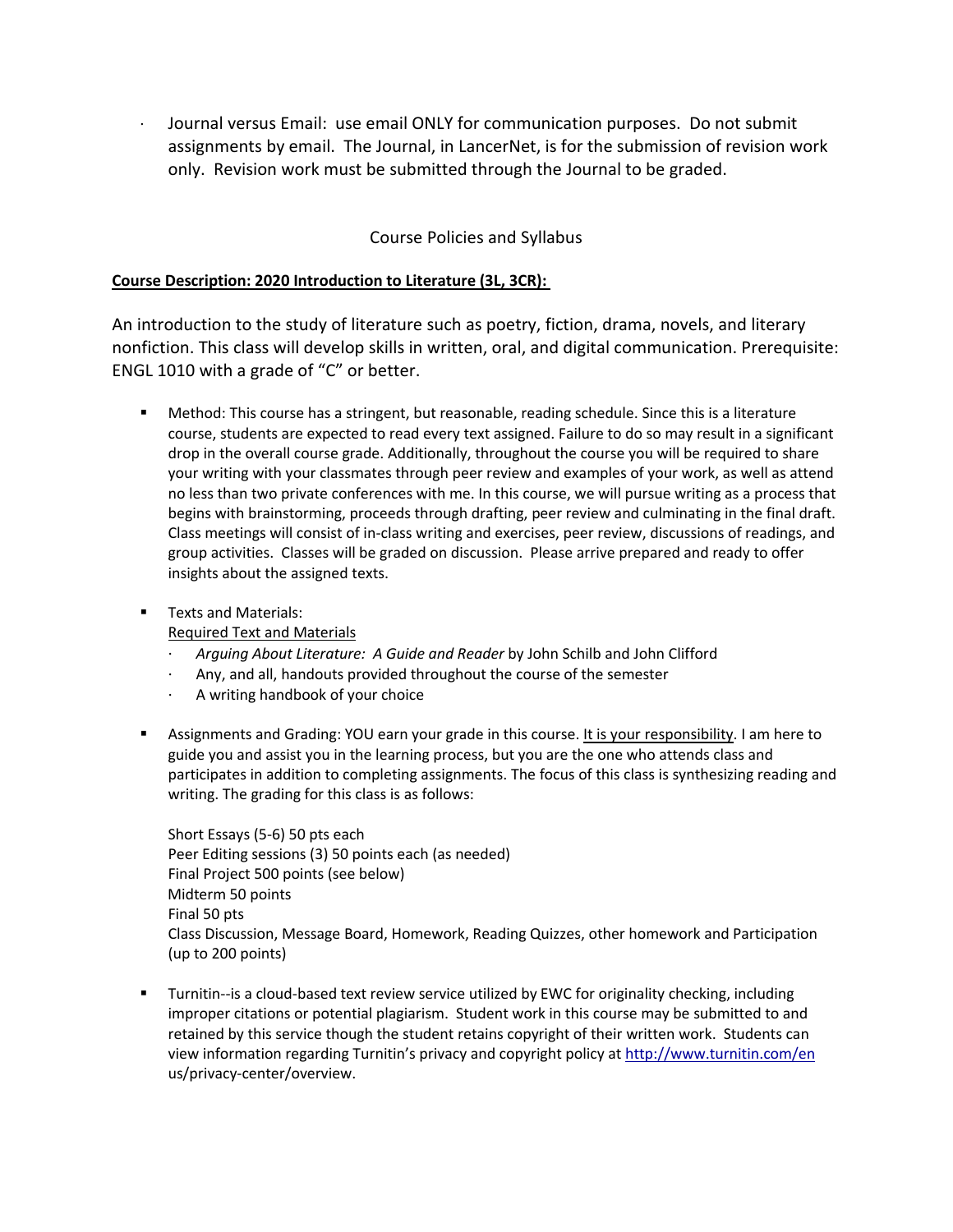· Journal versus Email: use email ONLY for communication purposes. Do not submit assignments by email. The Journal, in LancerNet, is for the submission of revision work only. Revision work must be submitted through the Journal to be graded.

## Course Policies and Syllabus

#### **Course Description: 2020 Introduction to Literature (3L, 3CR):**

An introduction to the study of literature such as poetry, fiction, drama, novels, and literary nonfiction. This class will develop skills in written, oral, and digital communication. Prerequisite: ENGL 1010 with a grade of "C" or better.

- Method: This course has a stringent, but reasonable, reading schedule. Since this is a literature course, students are expected to read every text assigned. Failure to do so may result in a significant drop in the overall course grade. Additionally, throughout the course you will be required to share your writing with your classmates through peer review and examples of your work, as well as attend no less than two private conferences with me. In this course, we will pursue writing as a process that begins with brainstorming, proceeds through drafting, peer review and culminating in the final draft. Class meetings will consist of in-class writing and exercises, peer review, discussions of readings, and group activities. Classes will be graded on discussion. Please arrive prepared and ready to offer insights about the assigned texts.
- **Texts and Materials:**

Required Text and Materials

- · *Arguing About Literature: A Guide and Reader* by John Schilb and John Clifford
- · Any, and all, handouts provided throughout the course of the semester
- · A writing handbook of your choice
- Assignments and Grading: YOU earn your grade in this course. It is your responsibility. I am here to guide you and assist you in the learning process, but you are the one who attends class and participates in addition to completing assignments. The focus of this class is synthesizing reading and writing. The grading for this class is as follows:

Short Essays (5-6) 50 pts each Peer Editing sessions (3) 50 points each (as needed) Final Project 500 points (see below) Midterm 50 points Final 50 pts Class Discussion, Message Board, Homework, Reading Quizzes, other homework and Participation (up to 200 points)

 Turnitin--is a cloud-based text review service utilized by EWC for originality checking, including improper citations or potential plagiarism. Student work in this course may be submitted to and retained by this service though the student retains copyright of their written work. Students can view information regarding Turnitin's privacy and copyright policy at<http://www.turnitin.com/en> us/privacy-center/overview.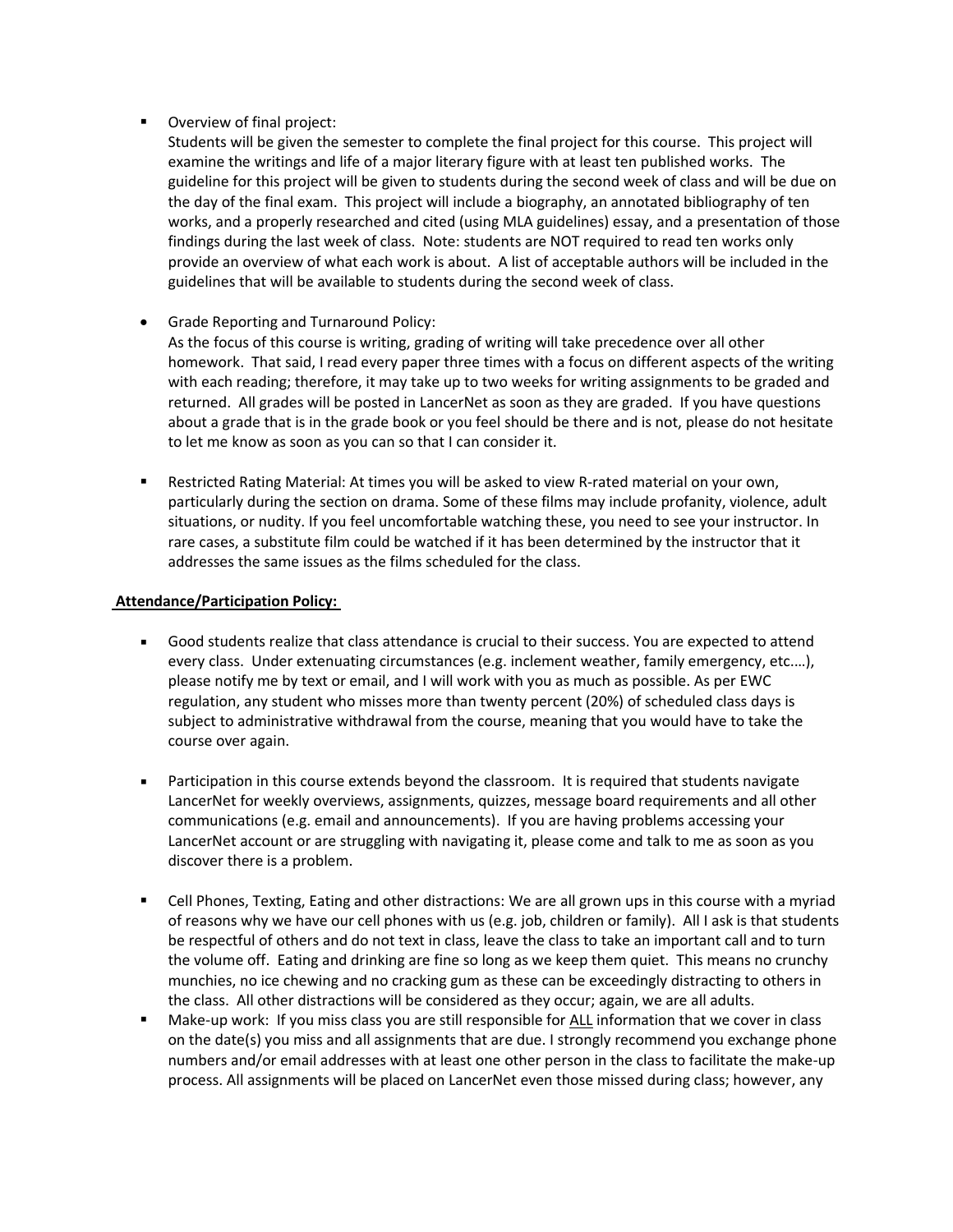**•** Overview of final project:

Students will be given the semester to complete the final project for this course. This project will examine the writings and life of a major literary figure with at least ten published works. The guideline for this project will be given to students during the second week of class and will be due on the day of the final exam. This project will include a biography, an annotated bibliography of ten works, and a properly researched and cited (using MLA guidelines) essay, and a presentation of those findings during the last week of class. Note: students are NOT required to read ten works only provide an overview of what each work is about. A list of acceptable authors will be included in the guidelines that will be available to students during the second week of class.

• Grade Reporting and Turnaround Policy:

As the focus of this course is writing, grading of writing will take precedence over all other homework. That said, I read every paper three times with a focus on different aspects of the writing with each reading; therefore, it may take up to two weeks for writing assignments to be graded and returned. All grades will be posted in LancerNet as soon as they are graded. If you have questions about a grade that is in the grade book or you feel should be there and is not, please do not hesitate to let me know as soon as you can so that I can consider it.

 Restricted Rating Material: At times you will be asked to view R-rated material on your own, particularly during the section on drama. Some of these films may include profanity, violence, adult situations, or nudity. If you feel uncomfortable watching these, you need to see your instructor. In rare cases, a substitute film could be watched if it has been determined by the instructor that it addresses the same issues as the films scheduled for the class.

#### **Attendance/Participation Policy:**

- Good students realize that class attendance is crucial to their success. You are expected to attend every class. Under extenuating circumstances (e.g. inclement weather, family emergency, etc.…), please notify me by text or email, and I will work with you as much as possible. As per EWC regulation, any student who misses more than twenty percent (20%) of scheduled class days is subject to administrative withdrawal from the course, meaning that you would have to take the course over again.
- **Participation in this course extends beyond the classroom. It is required that students navigate** LancerNet for weekly overviews, assignments, quizzes, message board requirements and all other communications (e.g. email and announcements). If you are having problems accessing your LancerNet account or are struggling with navigating it, please come and talk to me as soon as you discover there is a problem.
- Cell Phones, Texting, Eating and other distractions: We are all grown ups in this course with a myriad of reasons why we have our cell phones with us (e.g. job, children or family). All I ask is that students be respectful of others and do not text in class, leave the class to take an important call and to turn the volume off. Eating and drinking are fine so long as we keep them quiet. This means no crunchy munchies, no ice chewing and no cracking gum as these can be exceedingly distracting to others in the class. All other distractions will be considered as they occur; again, we are all adults.
- Make-up work: If you miss class you are still responsible for ALL information that we cover in class on the date(s) you miss and all assignments that are due. I strongly recommend you exchange phone numbers and/or email addresses with at least one other person in the class to facilitate the make-up process. All assignments will be placed on LancerNet even those missed during class; however, any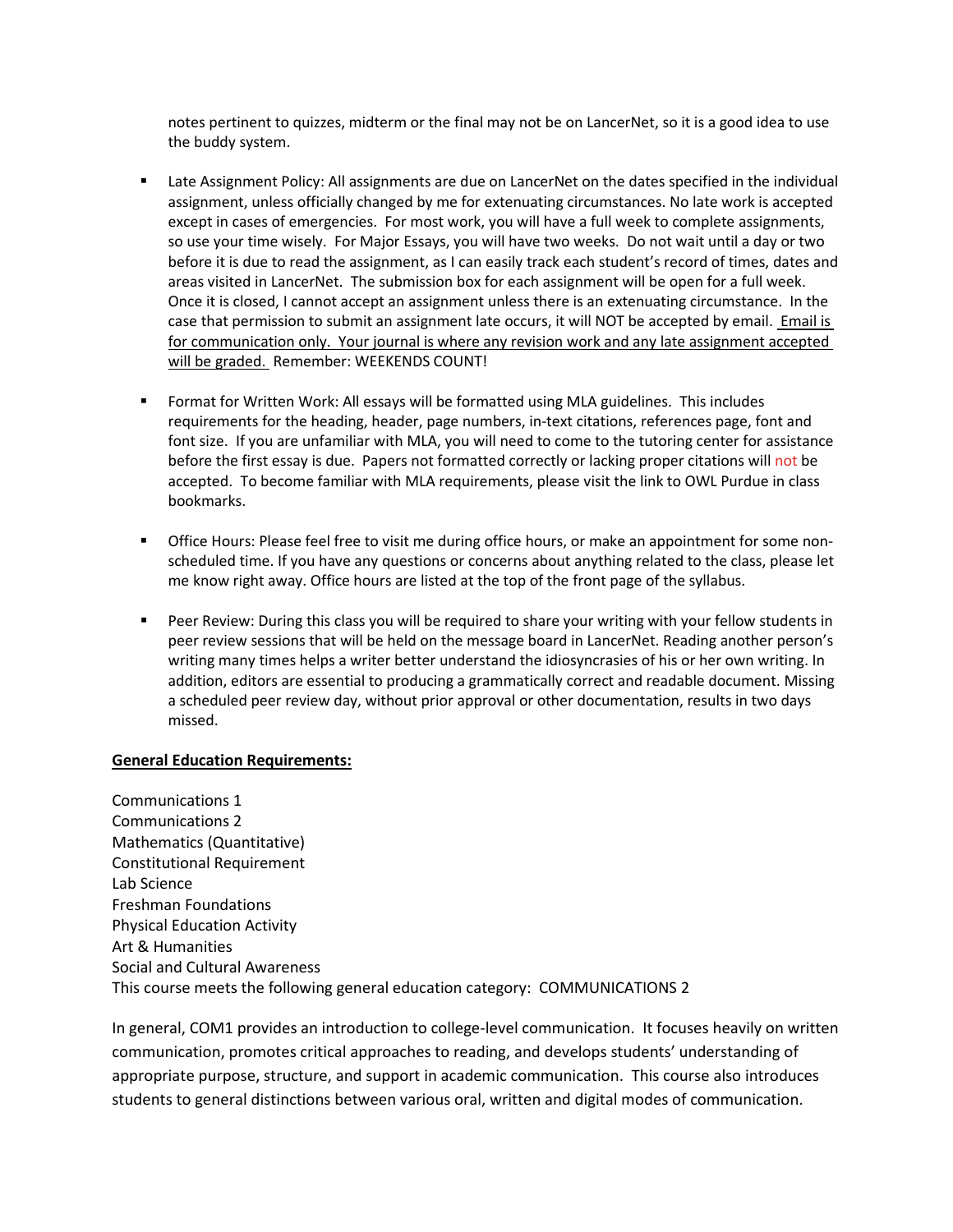notes pertinent to quizzes, midterm or the final may not be on LancerNet, so it is a good idea to use the buddy system.

- Late Assignment Policy: All assignments are due on LancerNet on the dates specified in the individual assignment, unless officially changed by me for extenuating circumstances. No late work is accepted except in cases of emergencies. For most work, you will have a full week to complete assignments, so use your time wisely. For Major Essays, you will have two weeks. Do not wait until a day or two before it is due to read the assignment, as I can easily track each student's record of times, dates and areas visited in LancerNet. The submission box for each assignment will be open for a full week. Once it is closed, I cannot accept an assignment unless there is an extenuating circumstance. In the case that permission to submit an assignment late occurs, it will NOT be accepted by email. Email is for communication only. Your journal is where any revision work and any late assignment accepted will be graded. Remember: WEEKENDS COUNT!
- Format for Written Work: All essays will be formatted using MLA guidelines. This includes requirements for the heading, header, page numbers, in-text citations, references page, font and font size. If you are unfamiliar with MLA, you will need to come to the tutoring center for assistance before the first essay is due. Papers not formatted correctly or lacking proper citations will not be accepted. To become familiar with MLA requirements, please visit the link to OWL Purdue in class bookmarks.
- **The Strange Hours: Please feel free to visit me during office hours, or make an appointment for some non**scheduled time. If you have any questions or concerns about anything related to the class, please let me know right away. Office hours are listed at the top of the front page of the syllabus.
- Peer Review: During this class you will be required to share your writing with your fellow students in peer review sessions that will be held on the message board in LancerNet. Reading another person's writing many times helps a writer better understand the idiosyncrasies of his or her own writing. In addition, editors are essential to producing a grammatically correct and readable document. Missing a scheduled peer review day, without prior approval or other documentation, results in two days missed.

#### **General Education Requirements:**

Communications 1 Communications 2 Mathematics (Quantitative) Constitutional Requirement Lab Science Freshman Foundations Physical Education Activity Art & Humanities Social and Cultural Awareness This course meets the following general education category: COMMUNICATIONS 2

In general, COM1 provides an introduction to college-level communication. It focuses heavily on written communication, promotes critical approaches to reading, and develops students' understanding of appropriate purpose, structure, and support in academic communication. This course also introduces students to general distinctions between various oral, written and digital modes of communication.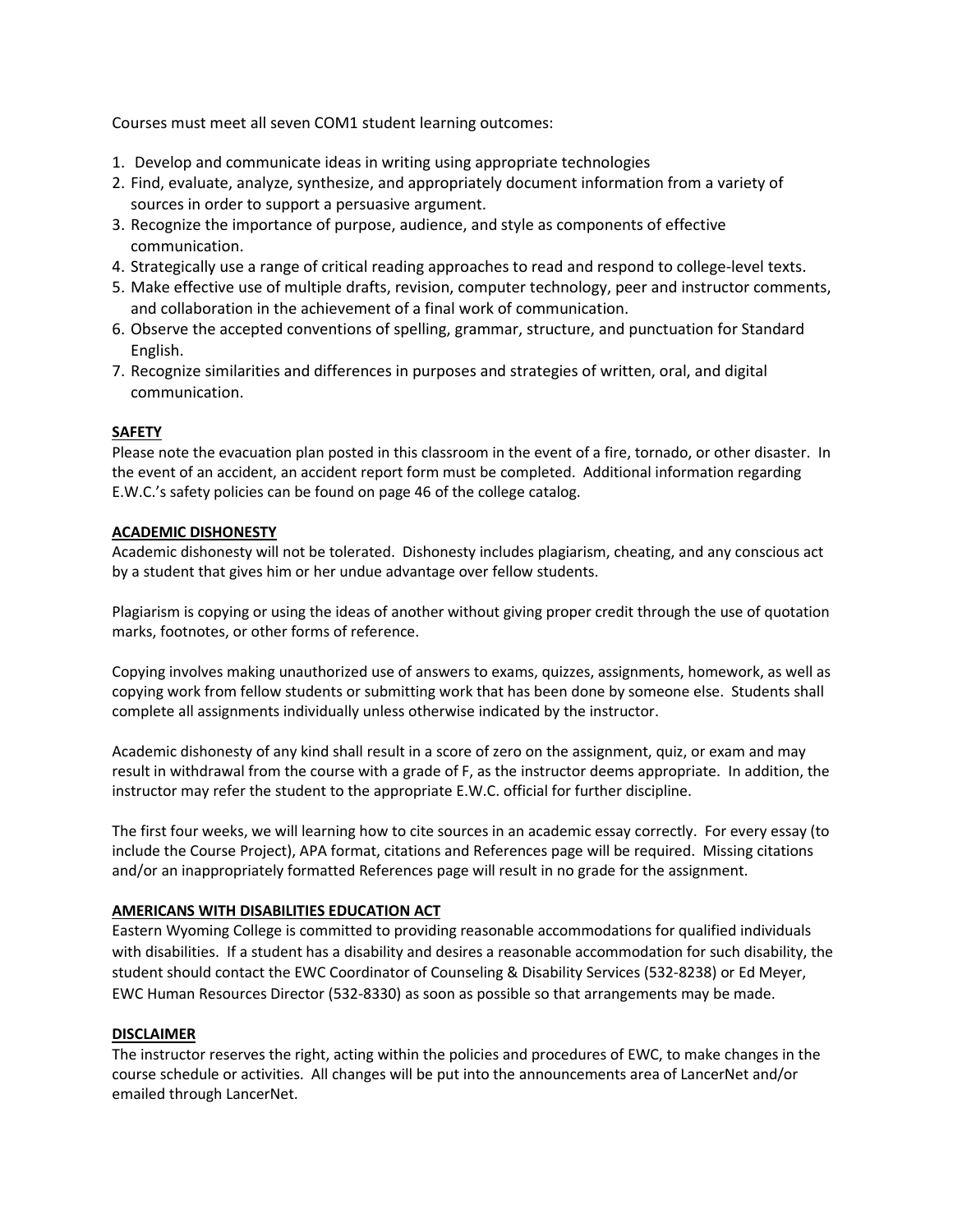Courses must meet all seven COM1 student learning outcomes:

- 1. Develop and communicate ideas in writing using appropriate technologies
- 2. Find, evaluate, analyze, synthesize, and appropriately document information from a variety of sources in order to support a persuasive argument.
- 3. Recognize the importance of purpose, audience, and style as components of effective communication.
- 4. Strategically use a range of critical reading approaches to read and respond to college-level texts.
- 5. Make effective use of multiple drafts, revision, computer technology, peer and instructor comments, and collaboration in the achievement of a final work of communication.
- 6. Observe the accepted conventions of spelling, grammar, structure, and punctuation for Standard English.
- 7. Recognize similarities and differences in purposes and strategies of written, oral, and digital communication.

#### **SAFETY**

Please note the evacuation plan posted in this classroom in the event of a fire, tornado, or other disaster. In the event of an accident, an accident report form must be completed. Additional information regarding E.W.C.'s safety policies can be found on page 46 of the college catalog.

#### **ACADEMIC DISHONESTY**

Academic dishonesty will not be tolerated. Dishonesty includes plagiarism, cheating, and any conscious act by a student that gives him or her undue advantage over fellow students.

Plagiarism is copying or using the ideas of another without giving proper credit through the use of quotation marks, footnotes, or other forms of reference.

Copying involves making unauthorized use of answers to exams, quizzes, assignments, homework, as well as copying work from fellow students or submitting work that has been done by someone else. Students shall complete all assignments individually unless otherwise indicated by the instructor.

Academic dishonesty of any kind shall result in a score of zero on the assignment, quiz, or exam and may result in withdrawal from the course with a grade of F, as the instructor deems appropriate. In addition, the instructor may refer the student to the appropriate E.W.C. official for further discipline.

The first four weeks, we will learning how to cite sources in an academic essay correctly. For every essay (to include the Course Project), APA format, citations and References page will be required. Missing citations and/or an inappropriately formatted References page will result in no grade for the assignment.

#### **AMERICANS WITH DISABILITIES EDUCATION ACT**

Eastern Wyoming College is committed to providing reasonable accommodations for qualified individuals with disabilities. If a student has a disability and desires a reasonable accommodation for such disability, the student should contact the EWC Coordinator of Counseling & Disability Services (532-8238) or Ed Meyer, EWC Human Resources Director (532-8330) as soon as possible so that arrangements may be made.

#### **DISCLAIMER**

The instructor reserves the right, acting within the policies and procedures of EWC, to make changes in the course schedule or activities. All changes will be put into the announcements area of LancerNet and/or emailed through LancerNet.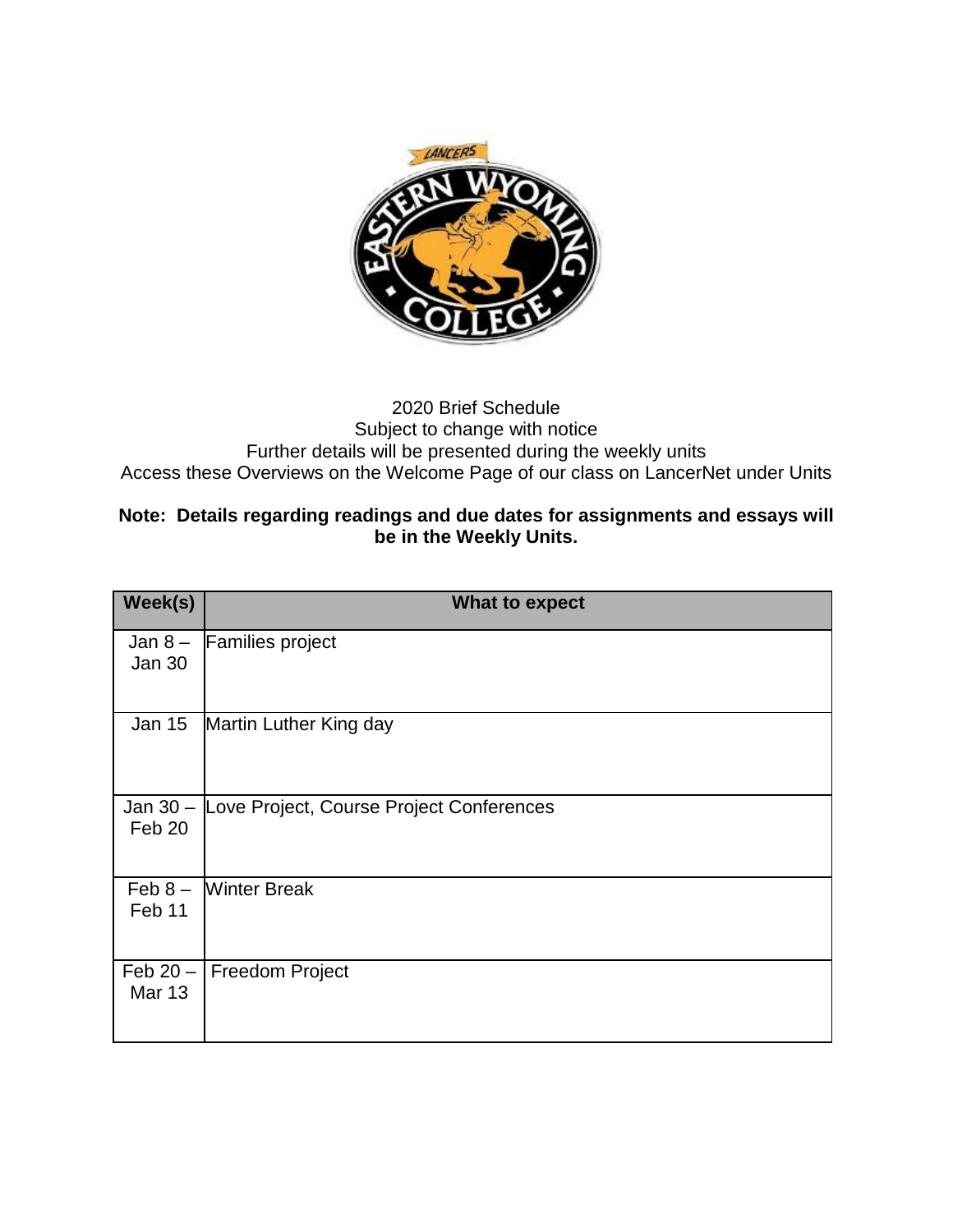

## 2020 Brief Schedule Subject to change with notice Further details will be presented during the weekly units Access these Overviews on the Welcome Page of our class on LancerNet under Units

## **Note: Details regarding readings and due dates for assignments and essays will be in the Weekly Units.**

| Week(s)                      | <b>What to expect</b>                    |
|------------------------------|------------------------------------------|
| Jan $8-$<br><b>Jan 30</b>    | <b>Families project</b>                  |
| <b>Jan 15</b>                | Martin Luther King day                   |
| Jan $30 -$<br>Feb 20         | Love Project, Course Project Conferences |
| $\mathsf{Feb} 8 -$<br>Feb 11 | <b>Winter Break</b>                      |
| Feb $20 -$<br><b>Mar 13</b>  | <b>Freedom Project</b>                   |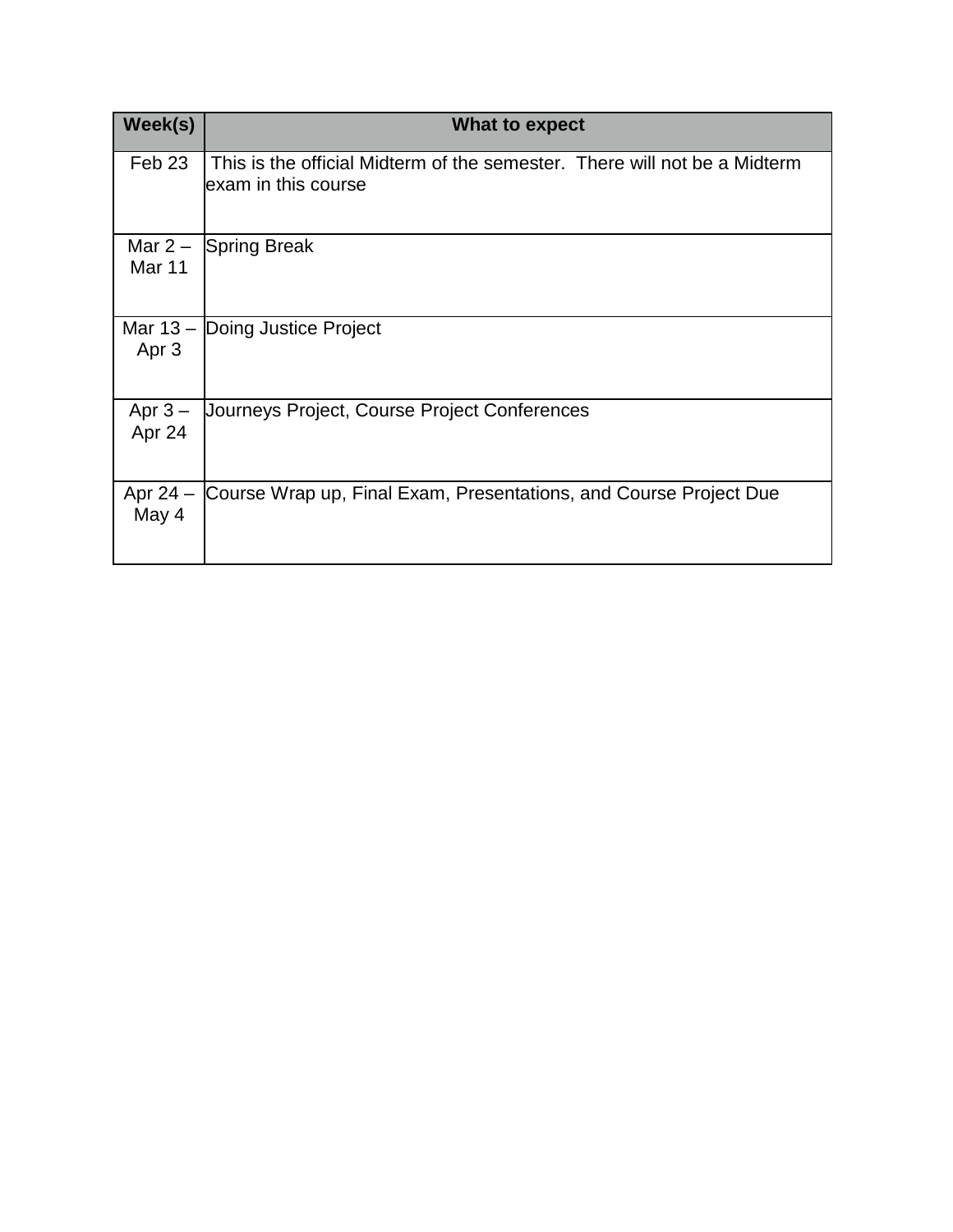| Week(s)                       | What to expect                                                                                   |
|-------------------------------|--------------------------------------------------------------------------------------------------|
| Feb 23                        | This is the official Midterm of the semester. There will not be a Midterm<br>exam in this course |
| Mar $2-$<br>Mar <sub>11</sub> | <b>Spring Break</b>                                                                              |
| Apr <sub>3</sub>              | Mar $13 -$ Doing Justice Project                                                                 |
| Apr $3-$<br>Apr 24            | Journeys Project, Course Project Conferences                                                     |
| Apr $24 -$<br>May 4           | Course Wrap up, Final Exam, Presentations, and Course Project Due                                |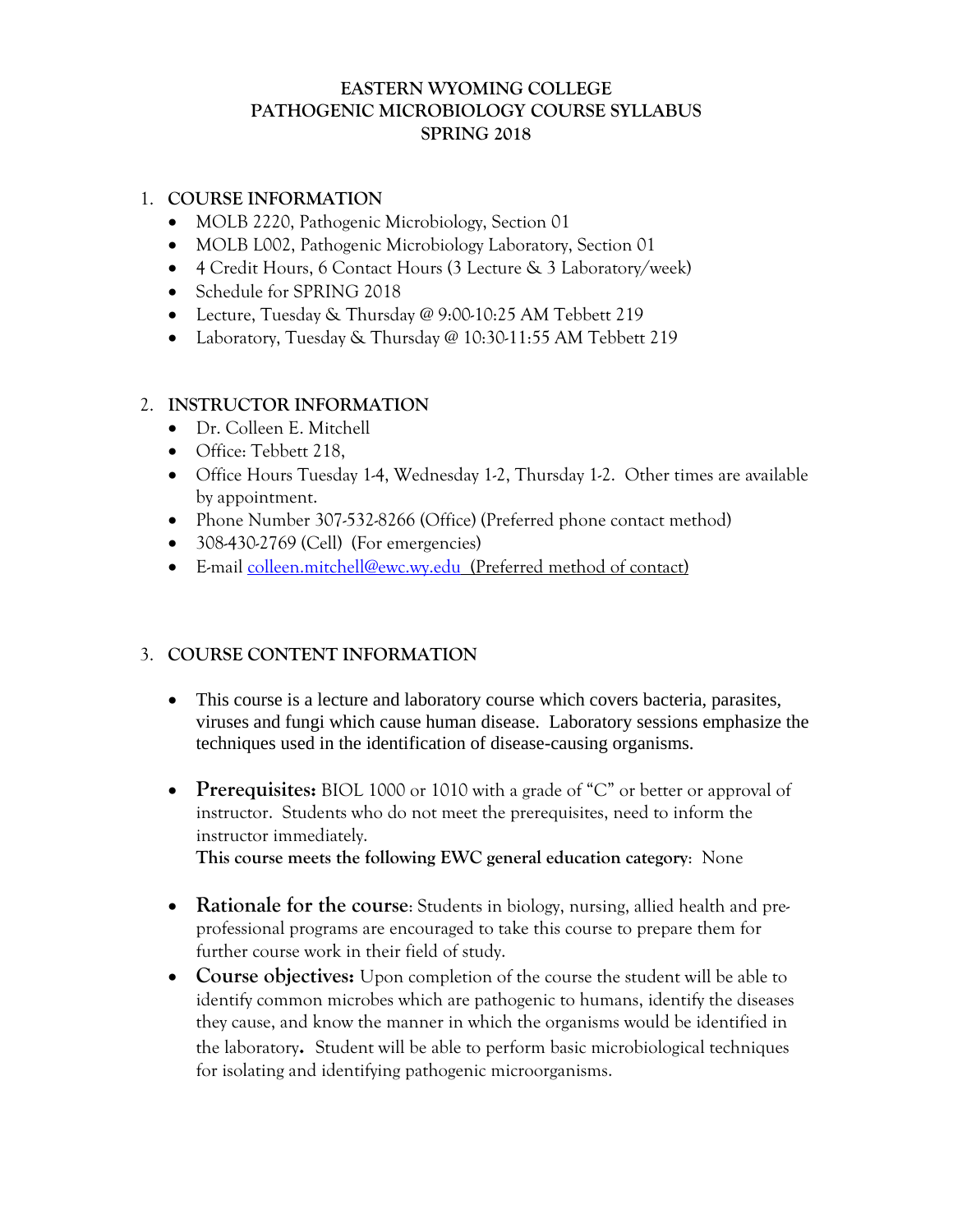## **EASTERN WYOMING COLLEGE PATHOGENIC MICROBIOLOGY COURSE SYLLABUS SPRING 2018**

## 1. **COURSE INFORMATION**

- MOLB 2220, Pathogenic Microbiology, Section 01
- MOLB L002, Pathogenic Microbiology Laboratory, Section 01
- 4 Credit Hours, 6 Contact Hours (3 Lecture & 3 Laboratory/week)
- Schedule for SPRING 2018
- Lecture, Tuesday & Thursday @ 9:00-10:25 AM Tebbett 219
- Laboratory, Tuesday & Thursday @ 10:30-11:55 AM Tebbett 219

## 2. **INSTRUCTOR INFORMATION**

- Dr. Colleen E. Mitchell
- Office: Tebbett 218,
- Office Hours Tuesday 1-4, Wednesday 1-2, Thursday 1-2. Other times are available by appointment.
- Phone Number 307-532-8266 (Office) (Preferred phone contact method)
- 308-430-2769 (Cell) (For emergencies)
- E-mail colleen.mitchell@ewc.wy.edu (Preferred method of contact)

## 3. **COURSE CONTENT INFORMATION**

- This course is a lecture and laboratory course which covers bacteria, parasites, viruses and fungi which cause human disease. Laboratory sessions emphasize the techniques used in the identification of disease-causing organisms.
- **Prerequisites:** BIOL 1000 or 1010 with a grade of "C" or better or approval of instructor. Students who do not meet the prerequisites, need to inform the instructor immediately. **This course meets the following EWC general education category**: None
- **Rationale for the course**: Students in biology, nursing, allied health and preprofessional programs are encouraged to take this course to prepare them for further course work in their field of study.
- **Course objectives:** Upon completion of the course the student will be able to identify common microbes which are pathogenic to humans, identify the diseases they cause, and know the manner in which the organisms would be identified in the laboratory**.** Student will be able to perform basic microbiological techniques for isolating and identifying pathogenic microorganisms.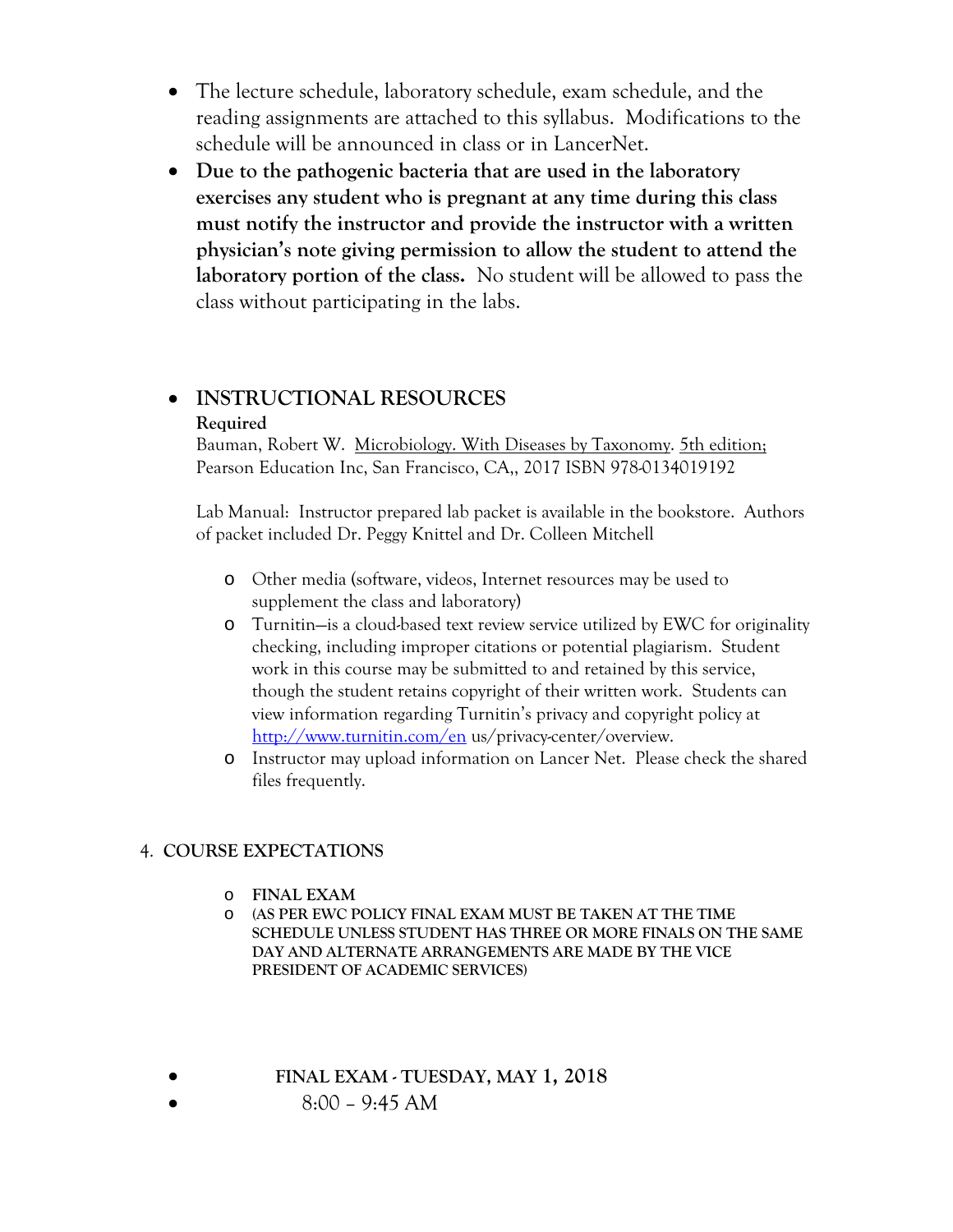- The lecture schedule, laboratory schedule, exam schedule, and the reading assignments are attached to this syllabus. Modifications to the schedule will be announced in class or in LancerNet.
- **Due to the pathogenic bacteria that are used in the laboratory exercises any student who is pregnant at any time during this class must notify the instructor and provide the instructor with a written physician's note giving permission to allow the student to attend the laboratory portion of the class.** No student will be allowed to pass the class without participating in the labs.

## **INSTRUCTIONAL RESOURCES Required**

Bauman, Robert W. Microbiology. With Diseases by Taxonomy. 5th edition; Pearson Education Inc, San Francisco, CA,, 2017 ISBN 978-0134019192

Lab Manual: Instructor prepared lab packet is available in the bookstore. Authors of packet included Dr. Peggy Knittel and Dr. Colleen Mitchell

- o Other media (software, videos, Internet resources may be used to supplement the class and laboratory)
- o Turnitin—is a cloud-based text review service utilized by EWC for originality checking, including improper citations or potential plagiarism. Student work in this course may be submitted to and retained by this service, though the student retains copyright of their written work. Students can view information regarding Turnitin's privacy and copyright policy at http://www.turnitin.com/en us/privacy-center/overview.
- o Instructor may upload information on Lancer Net. Please check the shared files frequently.

## 4. **COURSE EXPECTATIONS**

- o **FINAL EXAM**
- o **(AS PER EWC POLICY FINAL EXAM MUST BE TAKEN AT THE TIME SCHEDULE UNLESS STUDENT HAS THREE OR MORE FINALS ON THE SAME DAY AND ALTERNATE ARRANGEMENTS ARE MADE BY THE VICE PRESIDENT OF ACADEMIC SERVICES)**
- **FINAL EXAM TUESDAY, MAY 1, 2018** 
	- 8:00 9:45 AM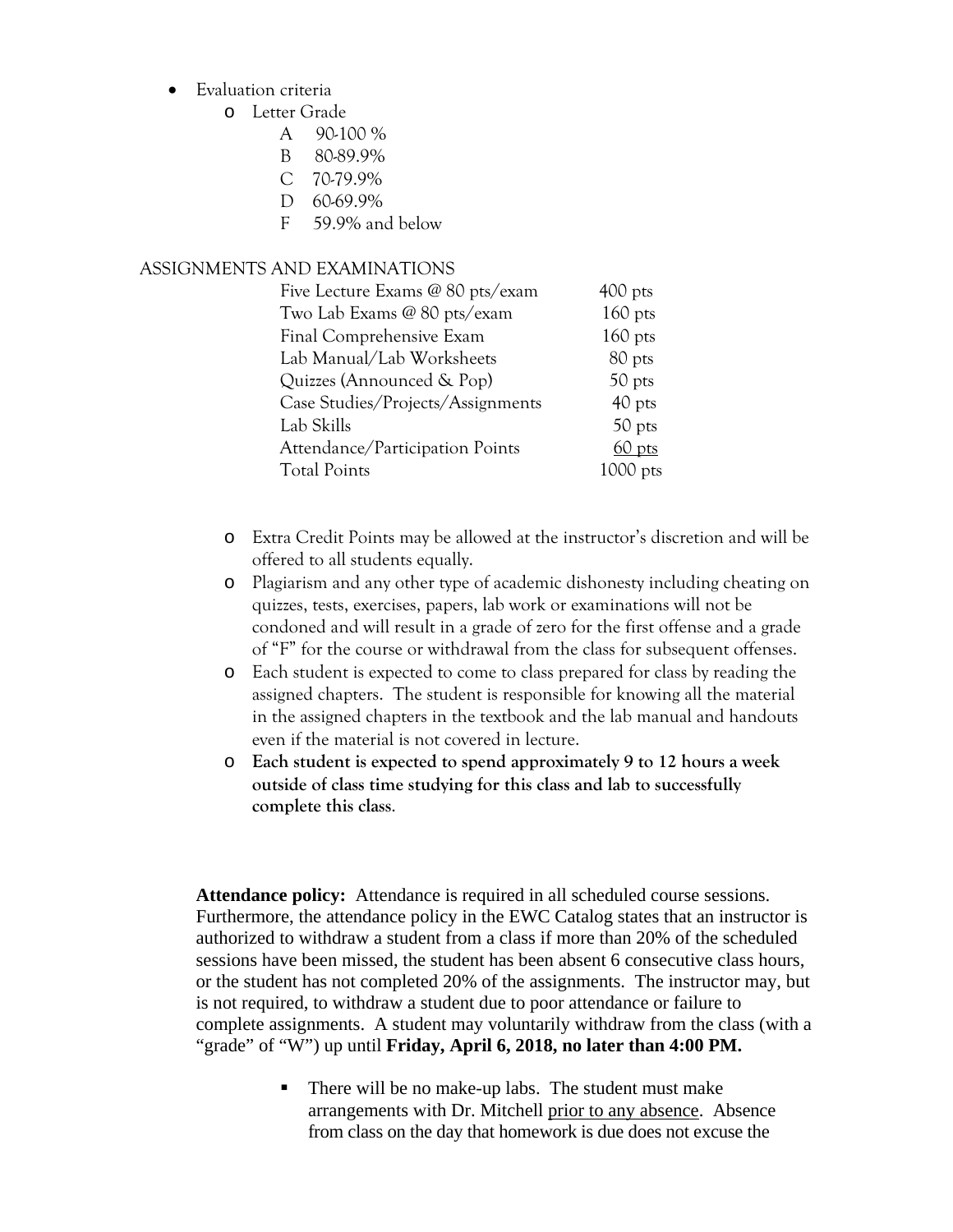- Evaluation criteria
	- o Letter Grade
		- A 90-100 %
		- B 80-89.9%
		- C 70-79.9%
		- D 60-69.9%
		- F 59.9% and below

## ASSIGNMENTS AND EXAMINATIONS

| Five Lecture Exams @ 80 pts/exam  | $400$ pts  |
|-----------------------------------|------------|
| Two Lab Exams @ 80 pts/exam       | $160$ pts  |
| Final Comprehensive Exam          | $160$ pts  |
| Lab Manual/Lab Worksheets         | 80 pts     |
| Quizzes (Announced & Pop)         | 50 pts     |
| Case Studies/Projects/Assignments | 40 pts     |
| Lab Skills                        | 50 pts     |
| Attendance/Participation Points   | 60 pts     |
| <b>Total Points</b>               | $1000$ pts |

- o Extra Credit Points may be allowed at the instructor's discretion and will be offered to all students equally.
- o Plagiarism and any other type of academic dishonesty including cheating on quizzes, tests, exercises, papers, lab work or examinations will not be condoned and will result in a grade of zero for the first offense and a grade of "F" for the course or withdrawal from the class for subsequent offenses.
- o Each student is expected to come to class prepared for class by reading the assigned chapters. The student is responsible for knowing all the material in the assigned chapters in the textbook and the lab manual and handouts even if the material is not covered in lecture.
- o **Each student is expected to spend approximately 9 to 12 hours a week outside of class time studying for this class and lab to successfully complete this class**.

**Attendance policy:** Attendance is required in all scheduled course sessions. Furthermore, the attendance policy in the EWC Catalog states that an instructor is authorized to withdraw a student from a class if more than 20% of the scheduled sessions have been missed, the student has been absent 6 consecutive class hours, or the student has not completed 20% of the assignments. The instructor may, but is not required, to withdraw a student due to poor attendance or failure to complete assignments. A student may voluntarily withdraw from the class (with a "grade" of "W") up until **Friday, April 6, 2018, no later than 4:00 PM.**

> ■ There will be no make-up labs. The student must make arrangements with Dr. Mitchell prior to any absence. Absence from class on the day that homework is due does not excuse the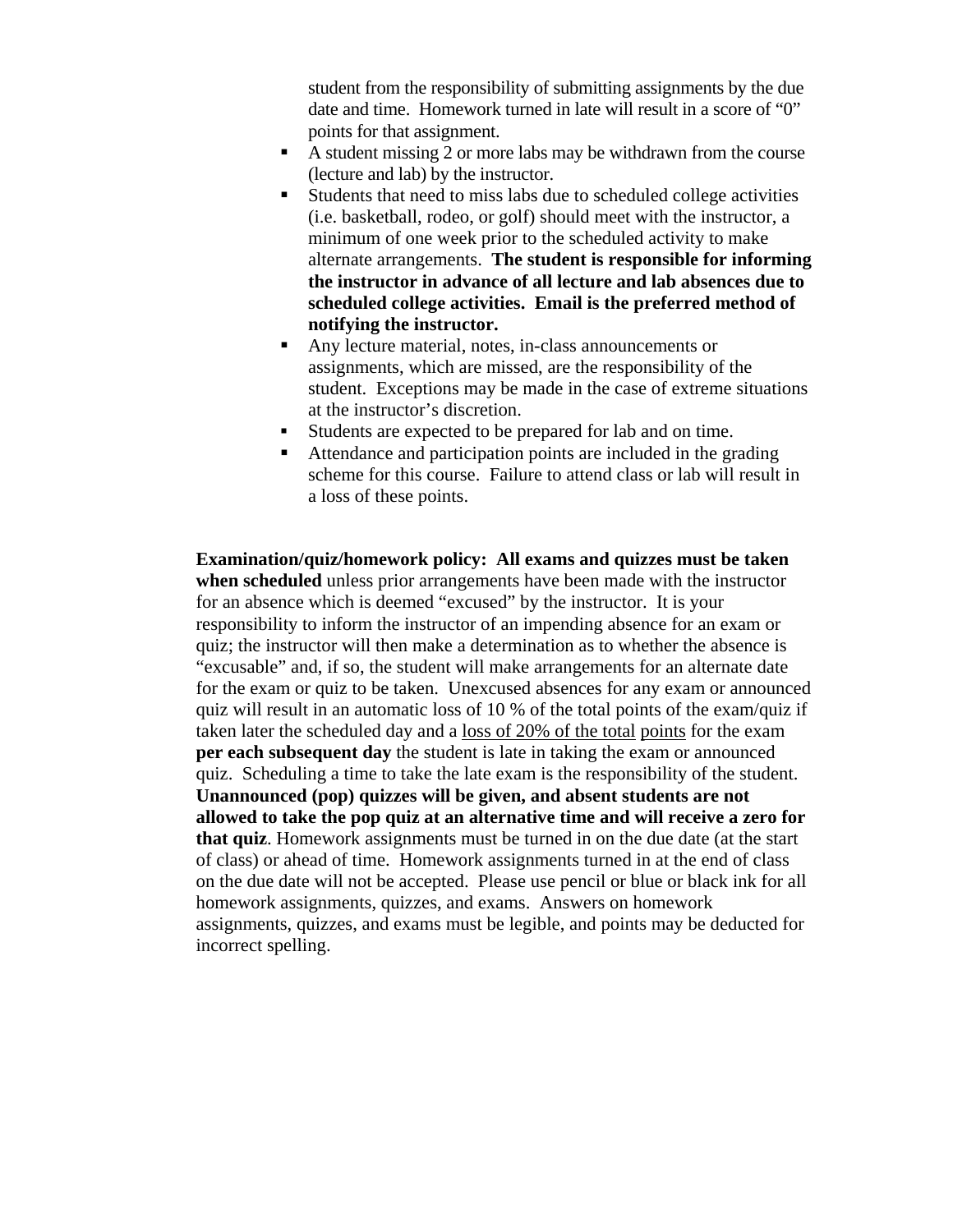student from the responsibility of submitting assignments by the due date and time. Homework turned in late will result in a score of "0" points for that assignment.

- A student missing 2 or more labs may be withdrawn from the course (lecture and lab) by the instructor.
- Students that need to miss labs due to scheduled college activities (i.e. basketball, rodeo, or golf) should meet with the instructor, a minimum of one week prior to the scheduled activity to make alternate arrangements. **The student is responsible for informing the instructor in advance of all lecture and lab absences due to scheduled college activities. Email is the preferred method of notifying the instructor.**
- Any lecture material, notes, in-class announcements or assignments, which are missed, are the responsibility of the student. Exceptions may be made in the case of extreme situations at the instructor's discretion.
- Students are expected to be prepared for lab and on time.
- Attendance and participation points are included in the grading scheme for this course. Failure to attend class or lab will result in a loss of these points.

**Examination/quiz/homework policy: All exams and quizzes must be taken when scheduled** unless prior arrangements have been made with the instructor for an absence which is deemed "excused" by the instructor. It is your responsibility to inform the instructor of an impending absence for an exam or quiz; the instructor will then make a determination as to whether the absence is "excusable" and, if so, the student will make arrangements for an alternate date for the exam or quiz to be taken. Unexcused absences for any exam or announced quiz will result in an automatic loss of 10 % of the total points of the exam/quiz if taken later the scheduled day and a loss of 20% of the total points for the exam **per each subsequent day** the student is late in taking the exam or announced quiz. Scheduling a time to take the late exam is the responsibility of the student. **Unannounced (pop) quizzes will be given, and absent students are not allowed to take the pop quiz at an alternative time and will receive a zero for that quiz**. Homework assignments must be turned in on the due date (at the start of class) or ahead of time. Homework assignments turned in at the end of class on the due date will not be accepted. Please use pencil or blue or black ink for all homework assignments, quizzes, and exams. Answers on homework assignments, quizzes, and exams must be legible, and points may be deducted for incorrect spelling.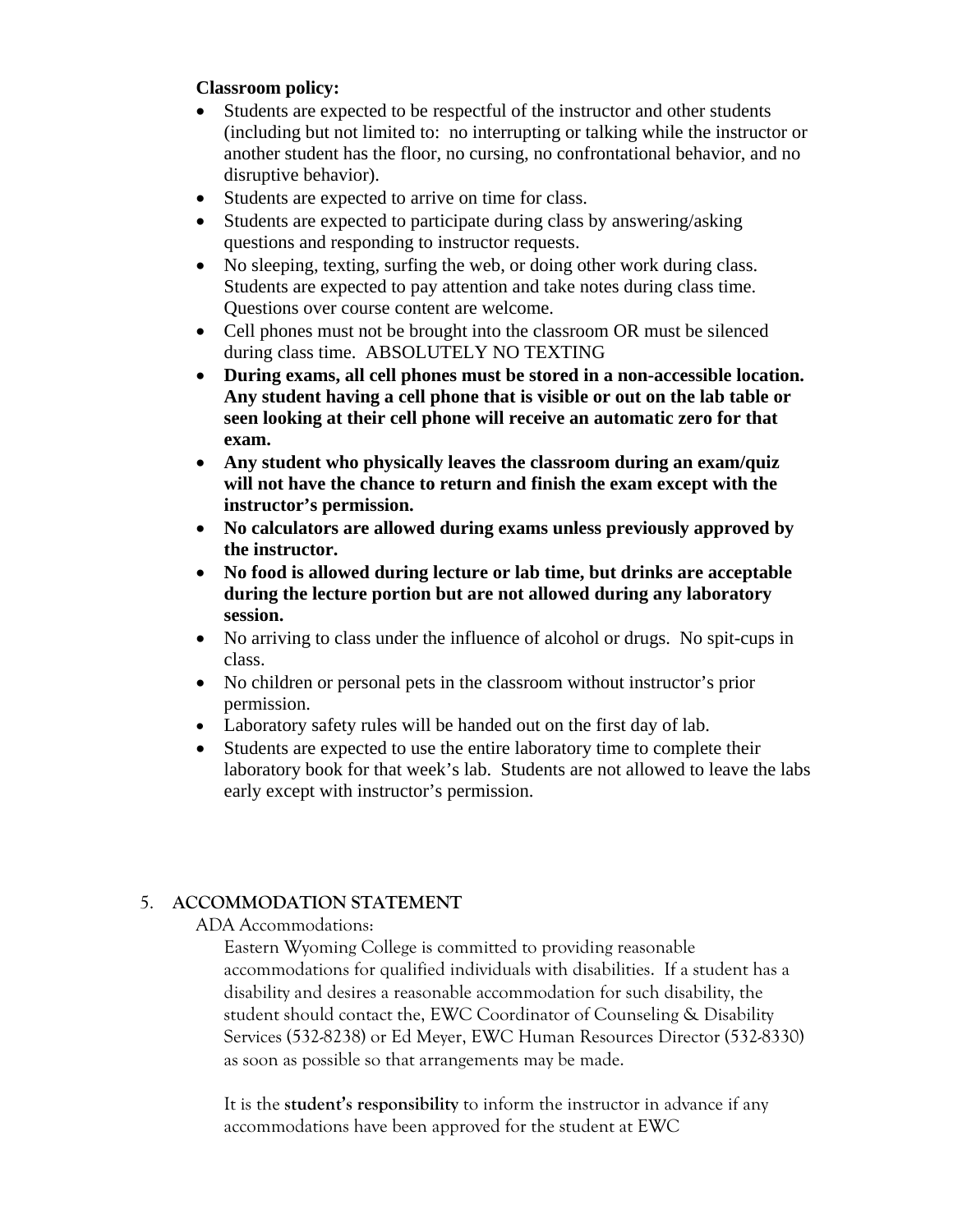## **Classroom policy:**

- Students are expected to be respectful of the instructor and other students (including but not limited to: no interrupting or talking while the instructor or another student has the floor, no cursing, no confrontational behavior, and no disruptive behavior).
- Students are expected to arrive on time for class.
- Students are expected to participate during class by answering/asking questions and responding to instructor requests.
- No sleeping, texting, surfing the web, or doing other work during class. Students are expected to pay attention and take notes during class time. Questions over course content are welcome.
- Cell phones must not be brought into the classroom OR must be silenced during class time. ABSOLUTELY NO TEXTING
- **During exams, all cell phones must be stored in a non-accessible location. Any student having a cell phone that is visible or out on the lab table or seen looking at their cell phone will receive an automatic zero for that exam.**
- **Any student who physically leaves the classroom during an exam/quiz will not have the chance to return and finish the exam except with the instructor's permission.**
- **No calculators are allowed during exams unless previously approved by the instructor.**
- **No food is allowed during lecture or lab time, but drinks are acceptable during the lecture portion but are not allowed during any laboratory session.**
- No arriving to class under the influence of alcohol or drugs. No spit-cups in class.
- No children or personal pets in the classroom without instructor's prior permission.
- Laboratory safety rules will be handed out on the first day of lab.
- Students are expected to use the entire laboratory time to complete their laboratory book for that week's lab. Students are not allowed to leave the labs early except with instructor's permission.

## 5. **ACCOMMODATION STATEMENT**

## ADA Accommodations:

Eastern Wyoming College is committed to providing reasonable accommodations for qualified individuals with disabilities. If a student has a disability and desires a reasonable accommodation for such disability, the student should contact the, EWC Coordinator of Counseling & Disability Services (532-8238) or Ed Meyer, EWC Human Resources Director (532-8330) as soon as possible so that arrangements may be made.

It is the **student's responsibility** to inform the instructor in advance if any accommodations have been approved for the student at EWC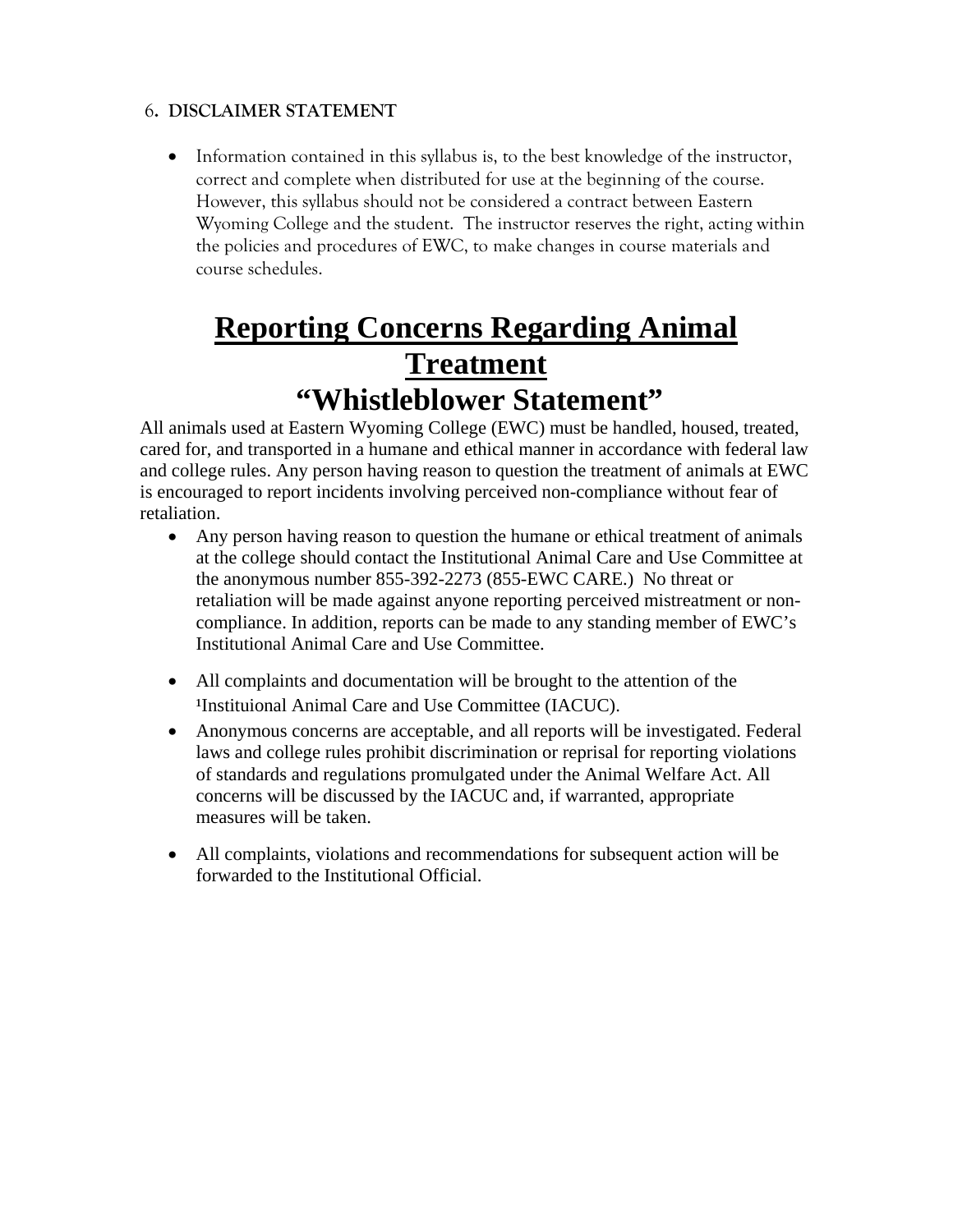## 6**. DISCLAIMER STATEMENT**

 Information contained in this syllabus is, to the best knowledge of the instructor, correct and complete when distributed for use at the beginning of the course. However, this syllabus should not be considered a contract between Eastern Wyoming College and the student. The instructor reserves the right, acting within the policies and procedures of EWC, to make changes in course materials and course schedules.

## **Reporting Concerns Regarding Animal Treatment "Whistleblower Statement"**

All animals used at Eastern Wyoming College (EWC) must be handled, housed, treated, cared for, and transported in a humane and ethical manner in accordance with federal law and college rules. Any person having reason to question the treatment of animals at EWC is encouraged to report incidents involving perceived non-compliance without fear of retaliation.

- Any person having reason to question the humane or ethical treatment of animals at the college should contact the Institutional Animal Care and Use Committee at the anonymous number 855-392-2273 (855-EWC CARE.) No threat or retaliation will be made against anyone reporting perceived mistreatment or noncompliance. In addition, reports can be made to any standing member of EWC's Institutional Animal Care and Use Committee.
- All complaints and documentation will be brought to the attention of the <sup>1</sup>Instituional Animal Care and Use Committee (IACUC).
- Anonymous concerns are acceptable, and all reports will be investigated. Federal laws and college rules prohibit discrimination or reprisal for reporting violations of standards and regulations promulgated under the Animal Welfare Act. All concerns will be discussed by the IACUC and, if warranted, appropriate measures will be taken.
- All complaints, violations and recommendations for subsequent action will be forwarded to the Institutional Official.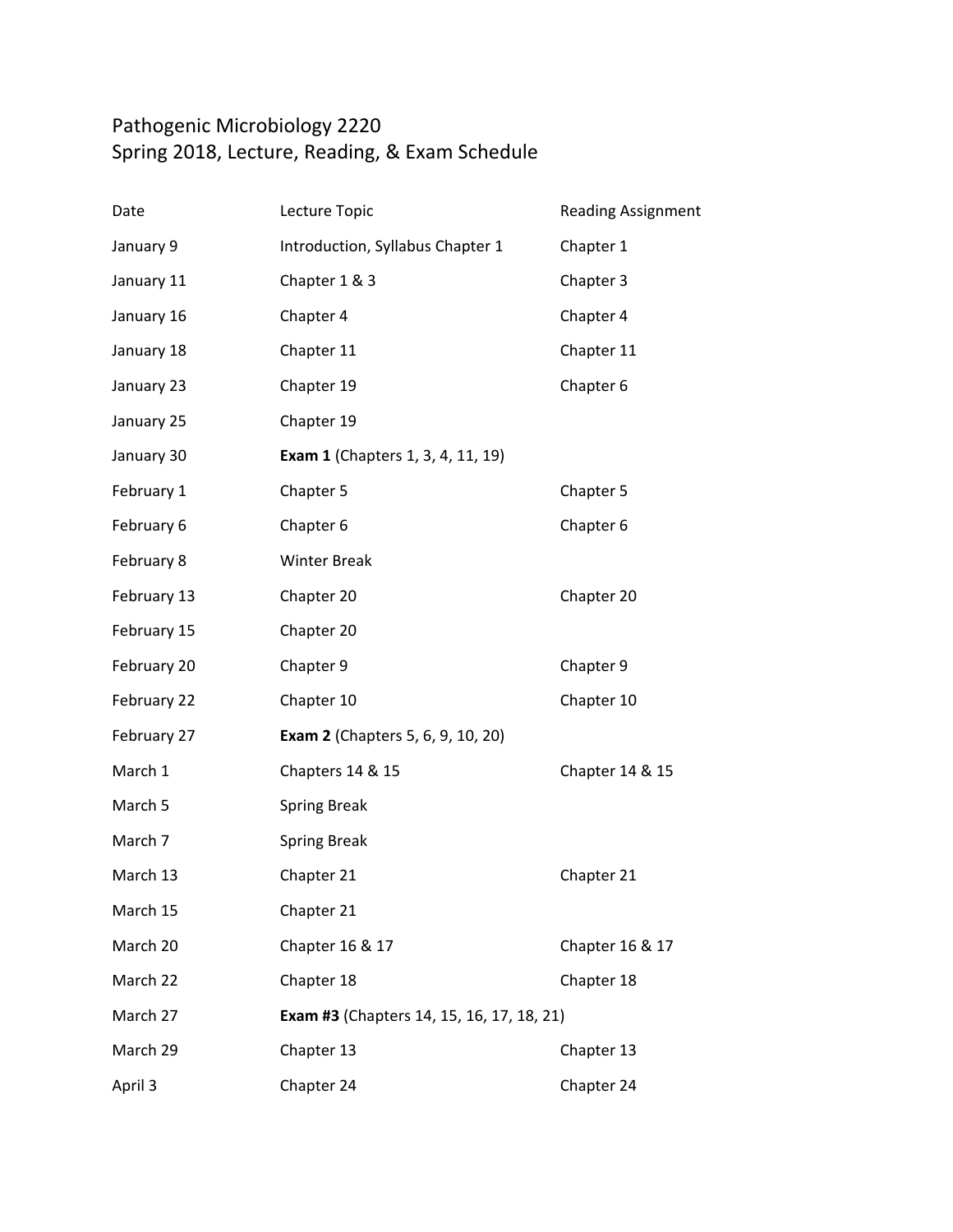## Pathogenic Microbiology 2220 Spring 2018, Lecture, Reading, & Exam Schedule

| Date        | Lecture Topic                                    | <b>Reading Assignment</b> |
|-------------|--------------------------------------------------|---------------------------|
| January 9   | Introduction, Syllabus Chapter 1                 | Chapter 1                 |
| January 11  | Chapter 1 & 3                                    | Chapter 3                 |
| January 16  | Chapter 4                                        | Chapter 4                 |
| January 18  | Chapter 11                                       | Chapter 11                |
| January 23  | Chapter 19                                       | Chapter 6                 |
| January 25  | Chapter 19                                       |                           |
| January 30  | <b>Exam 1</b> (Chapters 1, 3, 4, 11, 19)         |                           |
| February 1  | Chapter 5                                        | Chapter 5                 |
| February 6  | Chapter 6                                        | Chapter 6                 |
| February 8  | <b>Winter Break</b>                              |                           |
| February 13 | Chapter 20                                       | Chapter 20                |
| February 15 | Chapter 20                                       |                           |
| February 20 | Chapter 9                                        | Chapter 9                 |
| February 22 | Chapter 10                                       | Chapter 10                |
| February 27 | <b>Exam 2</b> (Chapters 5, 6, 9, 10, 20)         |                           |
| March 1     | Chapters 14 & 15                                 | Chapter 14 & 15           |
| March 5     | <b>Spring Break</b>                              |                           |
| March 7     | <b>Spring Break</b>                              |                           |
| March 13    | Chapter 21                                       | Chapter 21                |
| March 15    | Chapter 21                                       |                           |
| March 20    | Chapter 16 & 17                                  | Chapter 16 & 17           |
| March 22    | Chapter 18                                       | Chapter 18                |
| March 27    | <b>Exam #3</b> (Chapters 14, 15, 16, 17, 18, 21) |                           |
| March 29    | Chapter 13                                       | Chapter 13                |
| April 3     | Chapter 24                                       | Chapter 24                |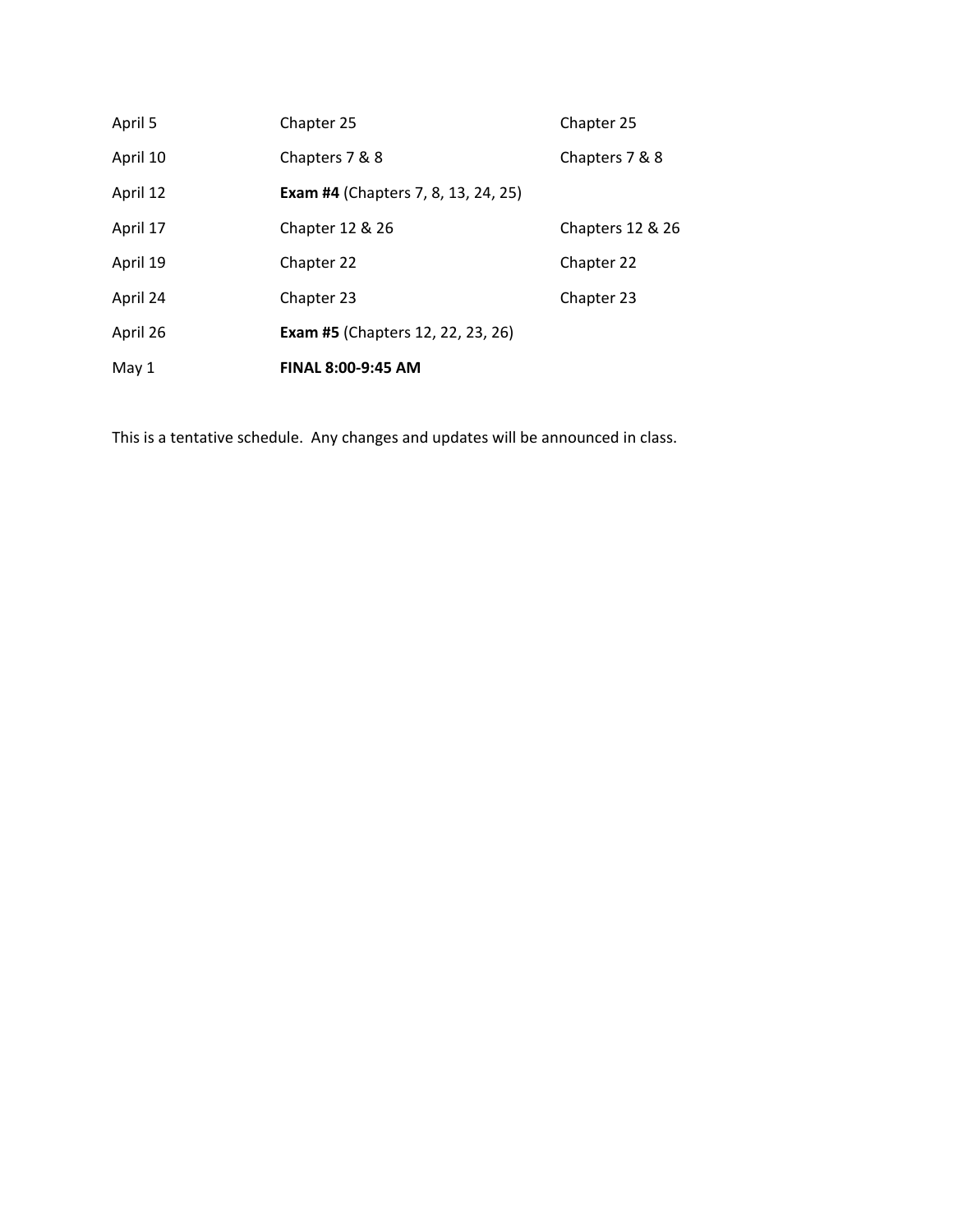| April 5  | Chapter 25                                 | Chapter 25       |
|----------|--------------------------------------------|------------------|
| April 10 | Chapters 7 & 8                             | Chapters 7 & 8   |
| April 12 | <b>Exam #4 (Chapters 7, 8, 13, 24, 25)</b> |                  |
| April 17 | Chapter 12 & 26                            | Chapters 12 & 26 |
| April 19 | Chapter 22                                 | Chapter 22       |
| April 24 | Chapter 23                                 | Chapter 23       |
| April 26 | <b>Exam #5</b> (Chapters 12, 22, 23, 26)   |                  |
| May 1    | <b>FINAL 8:00-9:45 AM</b>                  |                  |

This is a tentative schedule. Any changes and updates will be announced in class.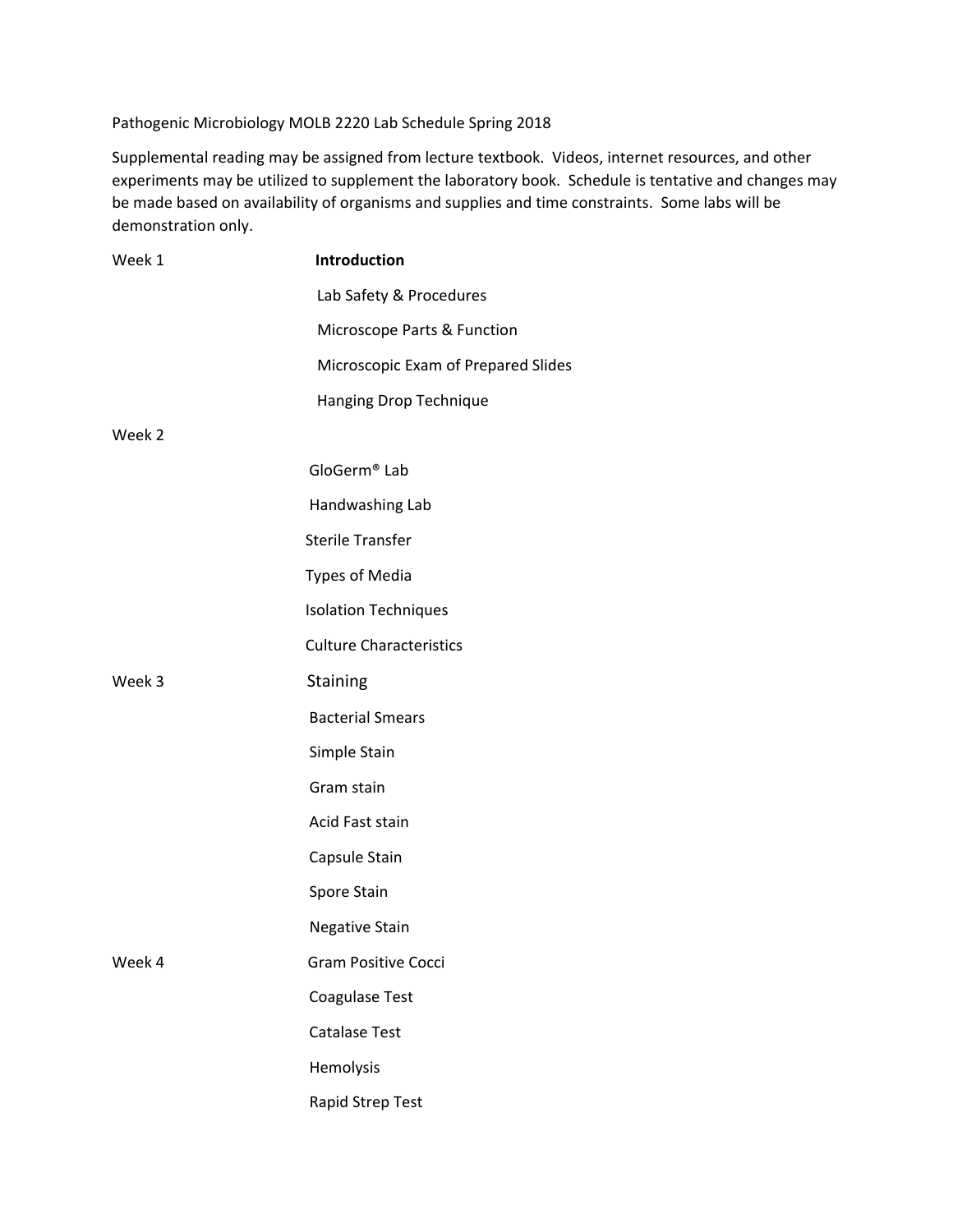Pathogenic Microbiology MOLB 2220 Lab Schedule Spring 2018

Supplemental reading may be assigned from lecture textbook. Videos, internet resources, and other experiments may be utilized to supplement the laboratory book. Schedule is tentative and changes may be made based on availability of organisms and supplies and time constraints. Some labs will be demonstration only.

| Week 1 | Introduction                        |
|--------|-------------------------------------|
|        | Lab Safety & Procedures             |
|        | Microscope Parts & Function         |
|        | Microscopic Exam of Prepared Slides |
|        | Hanging Drop Technique              |
| Week 2 |                                     |
|        | GloGerm <sup>®</sup> Lab            |
|        | Handwashing Lab                     |
|        | <b>Sterile Transfer</b>             |
|        | <b>Types of Media</b>               |
|        | <b>Isolation Techniques</b>         |
|        | <b>Culture Characteristics</b>      |
| Week 3 | <b>Staining</b>                     |
|        | <b>Bacterial Smears</b>             |
|        | Simple Stain                        |
|        | Gram stain                          |
|        | Acid Fast stain                     |
|        | Capsule Stain                       |
|        | Spore Stain                         |
|        | <b>Negative Stain</b>               |
| Week 4 | <b>Gram Positive Cocci</b>          |
|        | Coagulase Test                      |
|        | <b>Catalase Test</b>                |
|        | Hemolysis                           |
|        | Rapid Strep Test                    |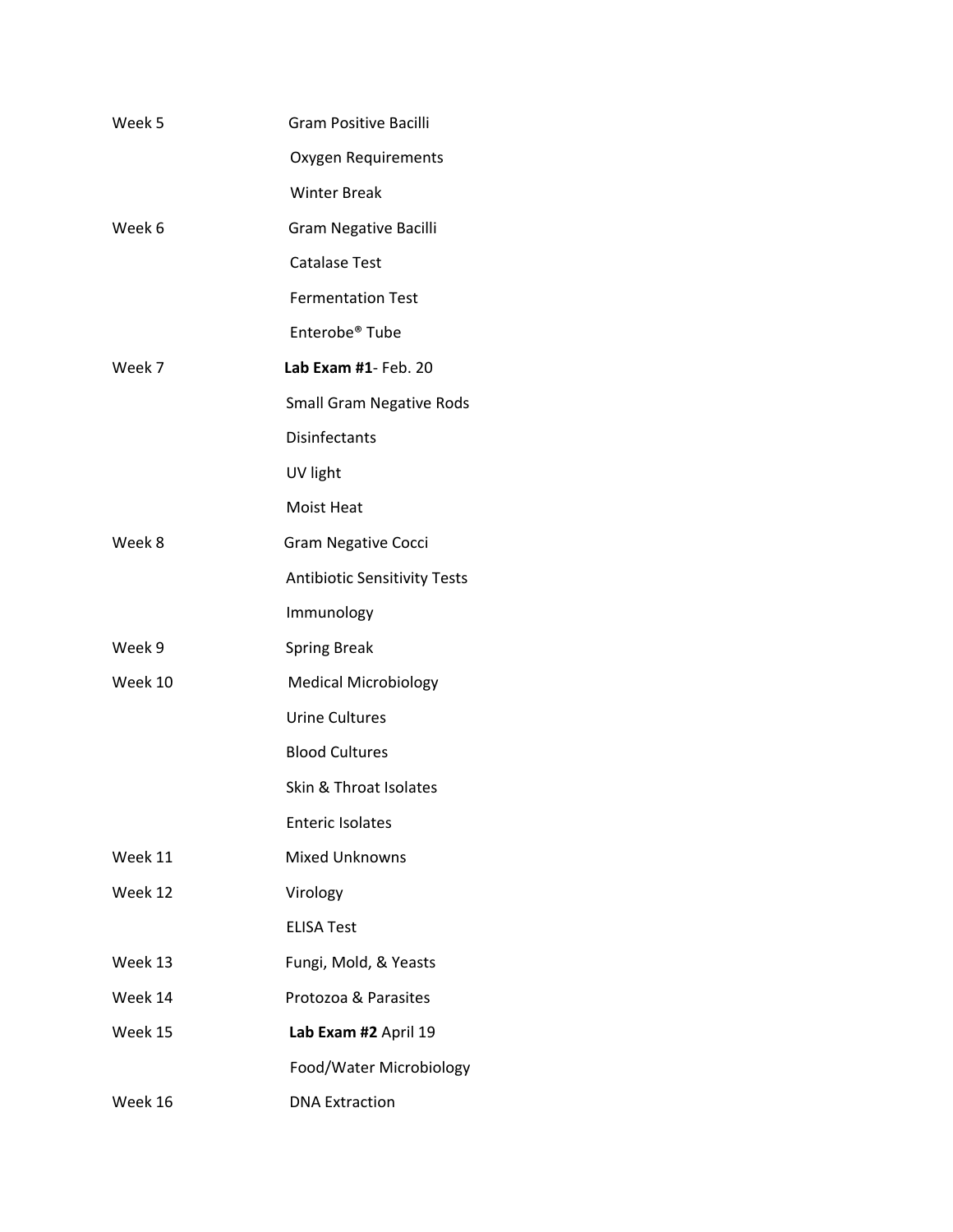| Week 5  | <b>Gram Positive Bacilli</b>        |
|---------|-------------------------------------|
|         | Oxygen Requirements                 |
|         | <b>Winter Break</b>                 |
| Week 6  | Gram Negative Bacilli               |
|         | <b>Catalase Test</b>                |
|         | <b>Fermentation Test</b>            |
|         | Enterobe <sup>®</sup> Tube          |
| Week 7  | Lab Exam #1- Feb. 20                |
|         | <b>Small Gram Negative Rods</b>     |
|         | <b>Disinfectants</b>                |
|         | UV light                            |
|         | Moist Heat                          |
| Week 8  | <b>Gram Negative Cocci</b>          |
|         | <b>Antibiotic Sensitivity Tests</b> |
|         | Immunology                          |
| Week 9  | <b>Spring Break</b>                 |
| Week 10 | <b>Medical Microbiology</b>         |
|         | <b>Urine Cultures</b>               |
|         | <b>Blood Cultures</b>               |
|         | Skin & Throat Isolates              |
|         | <b>Enteric Isolates</b>             |
| Week 11 | <b>Mixed Unknowns</b>               |
| Week 12 | Virology                            |
|         | <b>ELISA Test</b>                   |
| Week 13 | Fungi, Mold, & Yeasts               |
| Week 14 | Protozoa & Parasites                |
| Week 15 | Lab Exam #2 April 19                |
|         | Food/Water Microbiology             |
| Week 16 | <b>DNA Extraction</b>               |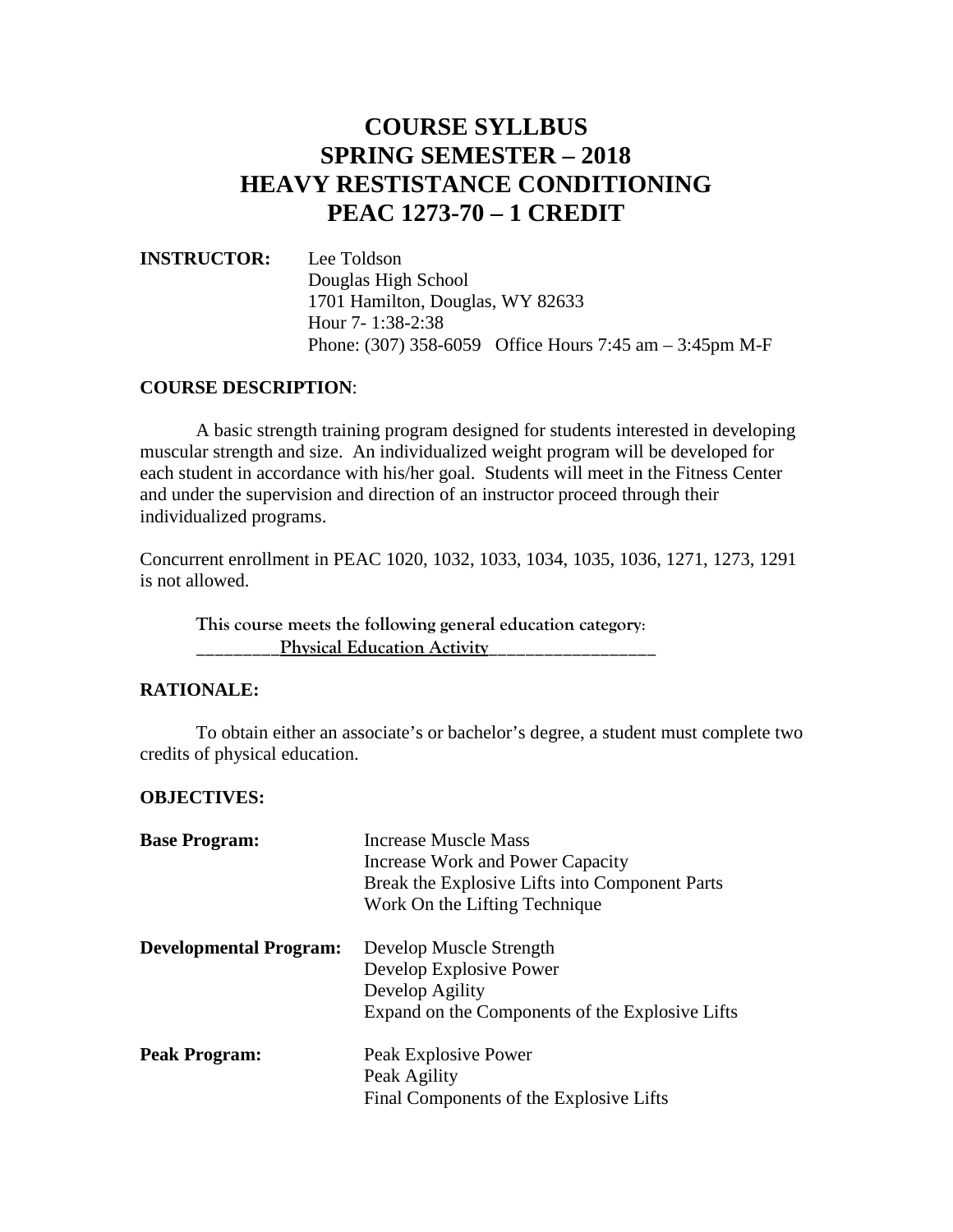## **COURSE SYLLBUS SPRING SEMESTER – 2018 HEAVY RESTISTANCE CONDITIONING PEAC 1273-70 – 1 CREDIT**

## **INSTRUCTOR:** Lee Toldson Douglas High School 1701 Hamilton, Douglas, WY 82633 Hour 7- 1:38-2:38 Phone: (307) 358-6059 Office Hours 7:45 am – 3:45pm M-F

## **COURSE DESCRIPTION**:

A basic strength training program designed for students interested in developing muscular strength and size. An individualized weight program will be developed for each student in accordance with his/her goal. Students will meet in the Fitness Center and under the supervision and direction of an instructor proceed through their individualized programs.

Concurrent enrollment in PEAC 1020, 1032, 1033, 1034, 1035, 1036, 1271, 1273, 1291 is not allowed.

**This course meets the following general education category**: Physical Education Activity

## **RATIONALE:**

To obtain either an associate's or bachelor's degree, a student must complete two credits of physical education.

#### **OBJECTIVES:**

| <b>Base Program:</b>          | <b>Increase Muscle Mass</b><br>Increase Work and Power Capacity<br>Break the Explosive Lifts into Component Parts<br>Work On the Lifting Technique |
|-------------------------------|----------------------------------------------------------------------------------------------------------------------------------------------------|
| <b>Developmental Program:</b> | Develop Muscle Strength<br>Develop Explosive Power<br>Develop Agility<br>Expand on the Components of the Explosive Lifts                           |
| <b>Peak Program:</b>          | Peak Explosive Power<br>Peak Agility<br>Final Components of the Explosive Lifts                                                                    |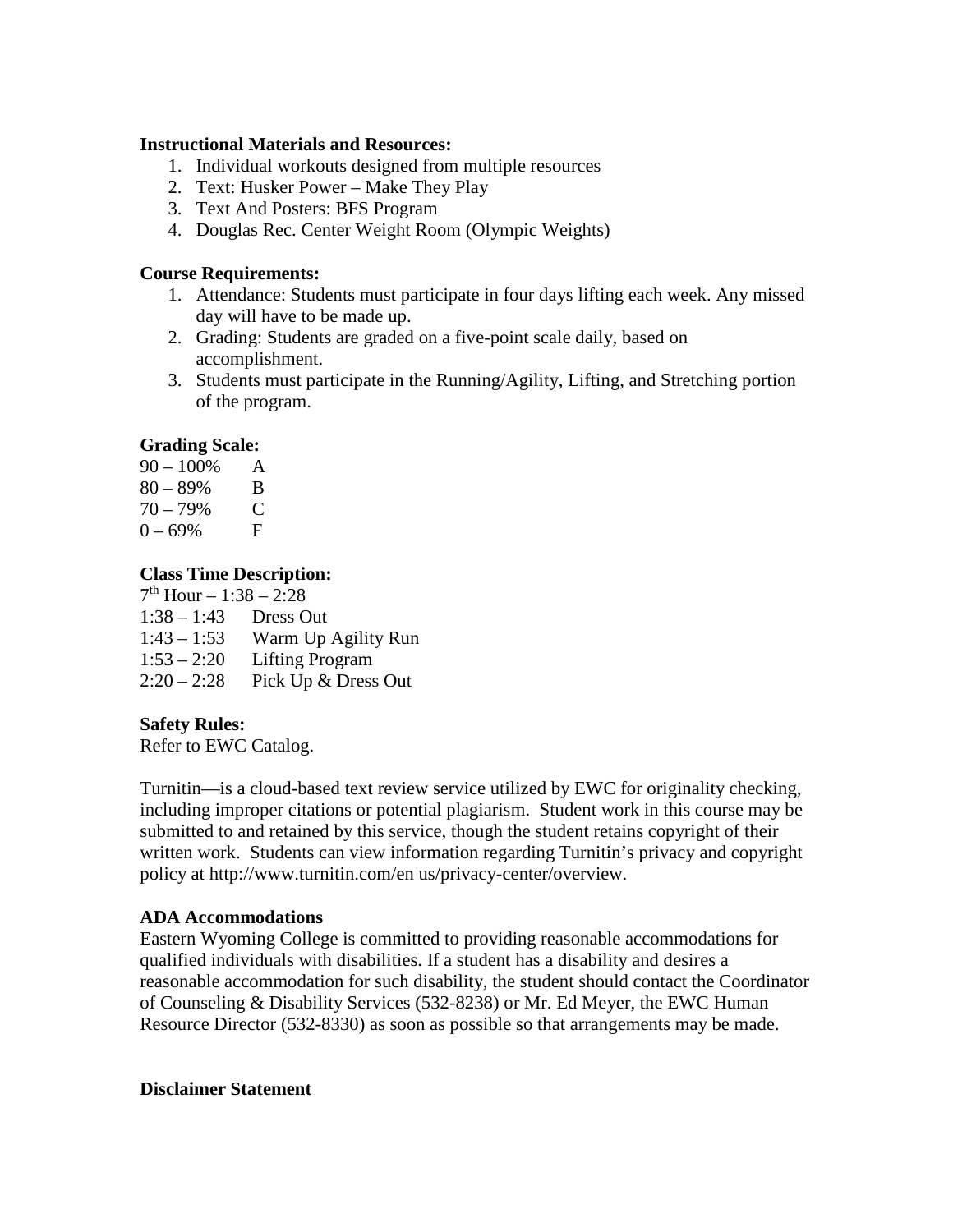## **Instructional Materials and Resources:**

- 1. Individual workouts designed from multiple resources
- 2. Text: Husker Power Make They Play
- 3. Text And Posters: BFS Program
- 4. Douglas Rec. Center Weight Room (Olympic Weights)

## **Course Requirements:**

- 1. Attendance: Students must participate in four days lifting each week. Any missed day will have to be made up.
- 2. Grading: Students are graded on a five-point scale daily, based on accomplishment.
- 3. Students must participate in the Running/Agility, Lifting, and Stretching portion of the program.

## **Grading Scale:**

| $90 - 100\%$             | A |
|--------------------------|---|
| $80 - 89\%$              | В |
| $\overline{\phantom{a}}$ | - |

70 – 79% C  $0 - 69\%$  F

## **Class Time Description:**

 $7<sup>th</sup>$  Hour – 1:38 – 2:28

- 1:43 1:53 Warm Up Agility Run
- 1:53 2:20 Lifting Program
- $2:20-2:28$  Pick Up & Dress Out

## **Safety Rules:**

Refer to EWC Catalog.

Turnitin—is a cloud-based text review service utilized by EWC for originality checking, including improper citations or potential plagiarism. Student work in this course may be submitted to and retained by this service, though the student retains copyright of their written work. Students can view information regarding Turnitin's privacy and copyright policy at http://www.turnitin.com/en us/privacy-center/overview.

## **ADA Accommodations**

Eastern Wyoming College is committed to providing reasonable accommodations for qualified individuals with disabilities. If a student has a disability and desires a reasonable accommodation for such disability, the student should contact the Coordinator of Counseling & Disability Services (532-8238) or Mr. Ed Meyer, the EWC Human Resource Director (532-8330) as soon as possible so that arrangements may be made.

#### **Disclaimer Statement**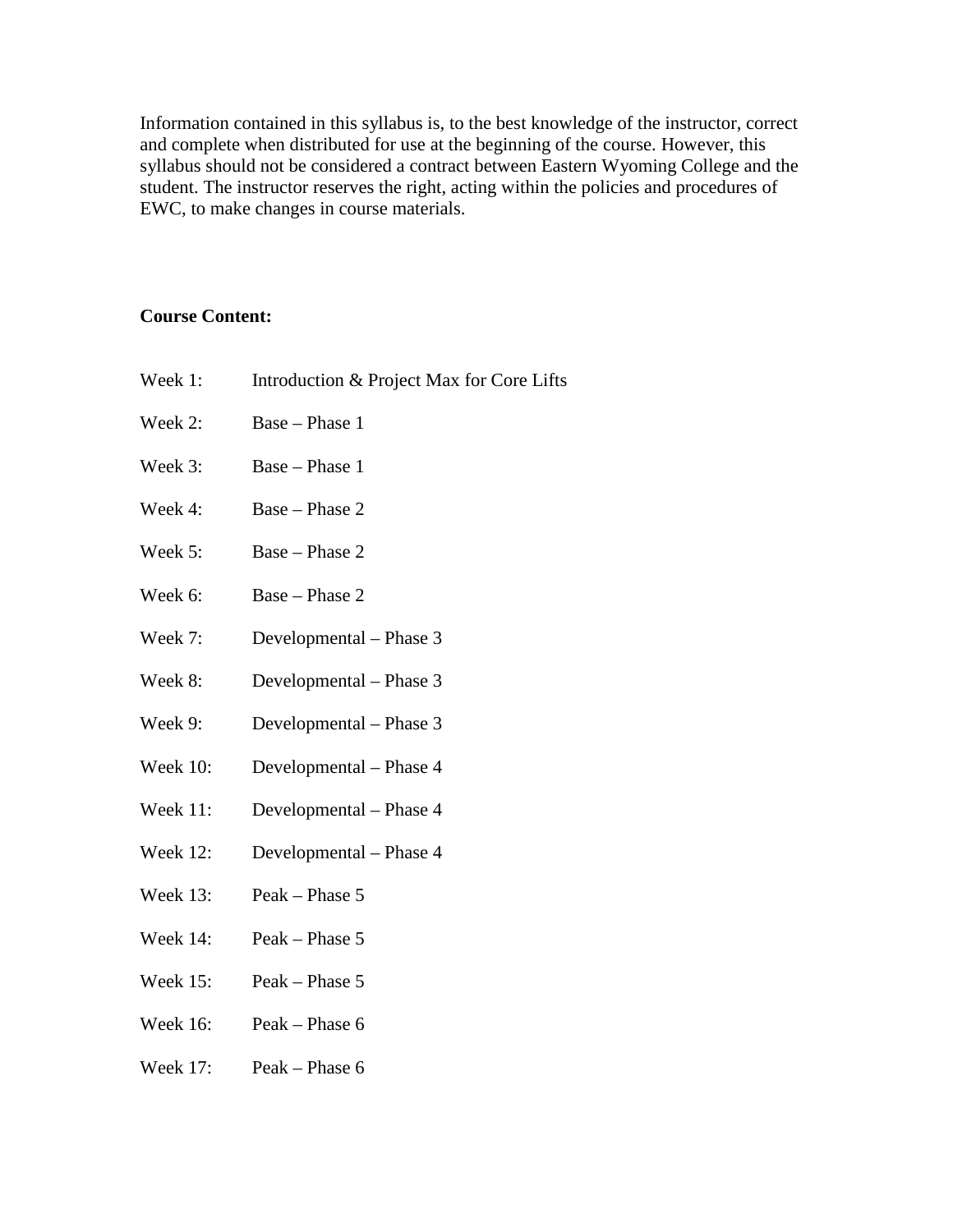Information contained in this syllabus is, to the best knowledge of the instructor, correct and complete when distributed for use at the beginning of the course. However, this syllabus should not be considered a contract between Eastern Wyoming College and the student. The instructor reserves the right, acting within the policies and procedures of EWC, to make changes in course materials.

## **Course Content:**

- Week 1: Introduction & Project Max for Core Lifts
- Week 2: Base Phase 1
- Week 3: Base Phase 1
- Week 4: Base Phase 2
- Week 5: Base Phase 2
- Week 6: Base Phase 2
- Week 7: Developmental Phase 3
- Week 8: Developmental Phase 3
- Week 9: Developmental Phase 3
- Week 10: Developmental Phase 4
- Week 11: Developmental Phase 4
- Week 12: Developmental Phase 4
- Week 13: Peak Phase 5
- Week 14: Peak Phase 5
- Week 15: Peak Phase 5
- Week 16: Peak Phase 6
- Week 17: Peak Phase 6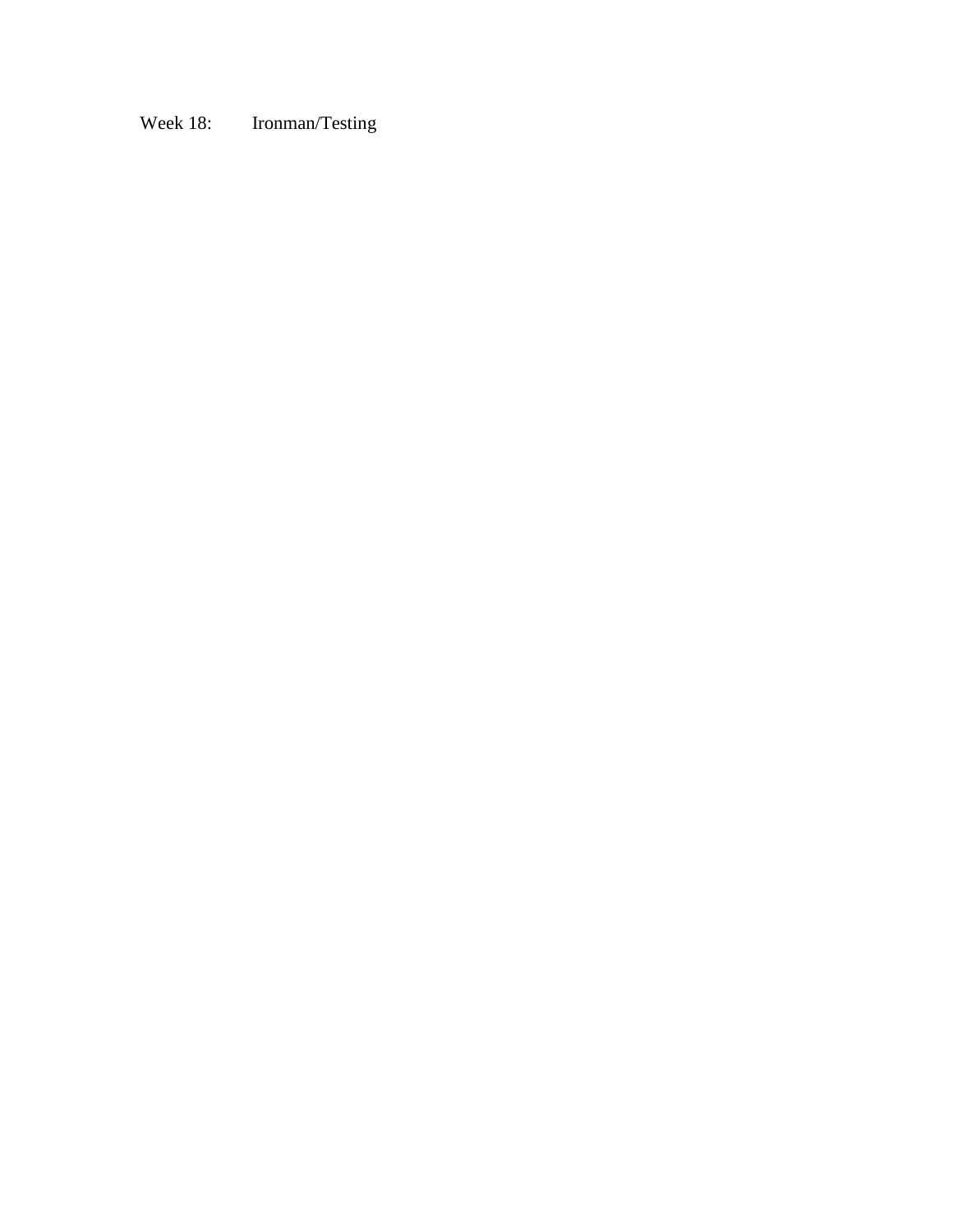## Week 18: Ironman/Testing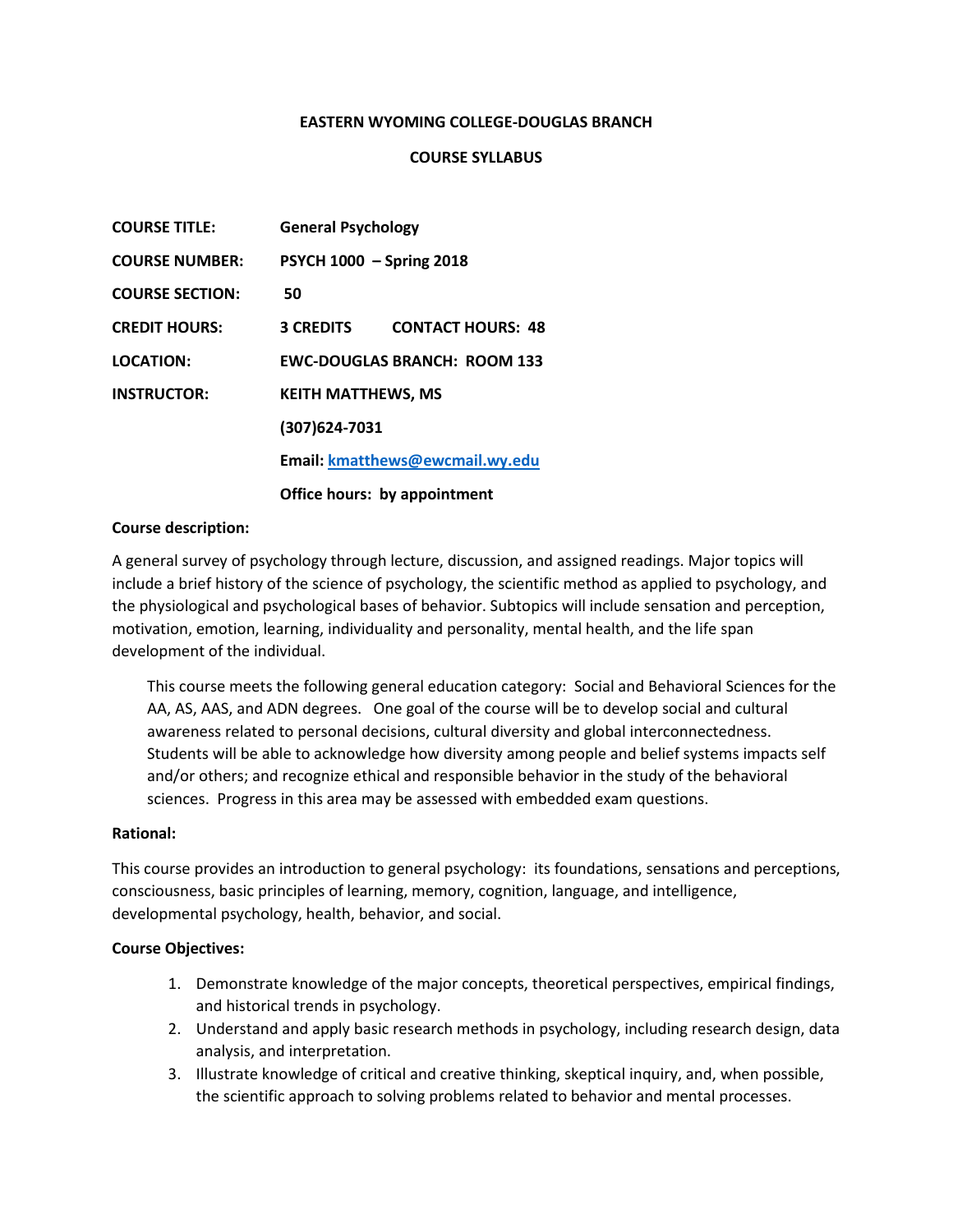#### **EASTERN WYOMING COLLEGE-DOUGLAS BRANCH**

#### **COURSE SYLLABUS**

| <b>COURSE TITLE:</b>   | <b>General Psychology</b>       |                                     |
|------------------------|---------------------------------|-------------------------------------|
| <b>COURSE NUMBER:</b>  | <b>PSYCH 1000 - Spring 2018</b> |                                     |
| <b>COURSE SECTION:</b> | 50                              |                                     |
| <b>CREDIT HOURS:</b>   | <b>3 CREDITS</b>                | <b>CONTACT HOURS: 48</b>            |
| LOCATION:              |                                 | <b>EWC-DOUGLAS BRANCH: ROOM 133</b> |
| <b>INSTRUCTOR:</b>     | <b>KEITH MATTHEWS, MS</b>       |                                     |
|                        | (307) 624-7031                  |                                     |
|                        |                                 | Email: kmatthews@ewcmail.wy.edu     |
|                        |                                 | Office hours: by appointment        |

#### **Course description:**

A general survey of psychology through lecture, discussion, and assigned readings. Major topics will include a brief history of the science of psychology, the scientific method as applied to psychology, and the physiological and psychological bases of behavior. Subtopics will include sensation and perception, motivation, emotion, learning, individuality and personality, mental health, and the life span development of the individual.

This course meets the following general education category: Social and Behavioral Sciences for the AA, AS, AAS, and ADN degrees. One goal of the course will be to develop social and cultural awareness related to personal decisions, cultural diversity and global interconnectedness. Students will be able to acknowledge how diversity among people and belief systems impacts self and/or others; and recognize ethical and responsible behavior in the study of the behavioral sciences. Progress in this area may be assessed with embedded exam questions.

#### **Rational:**

This course provides an introduction to general psychology: its foundations, sensations and perceptions, consciousness, basic principles of learning, memory, cognition, language, and intelligence, developmental psychology, health, behavior, and social.

#### **Course Objectives:**

- 1. Demonstrate knowledge of the major concepts, theoretical perspectives, empirical findings, and historical trends in psychology.
- 2. Understand and apply basic research methods in psychology, including research design, data analysis, and interpretation.
- 3. Illustrate knowledge of critical and creative thinking, skeptical inquiry, and, when possible, the scientific approach to solving problems related to behavior and mental processes.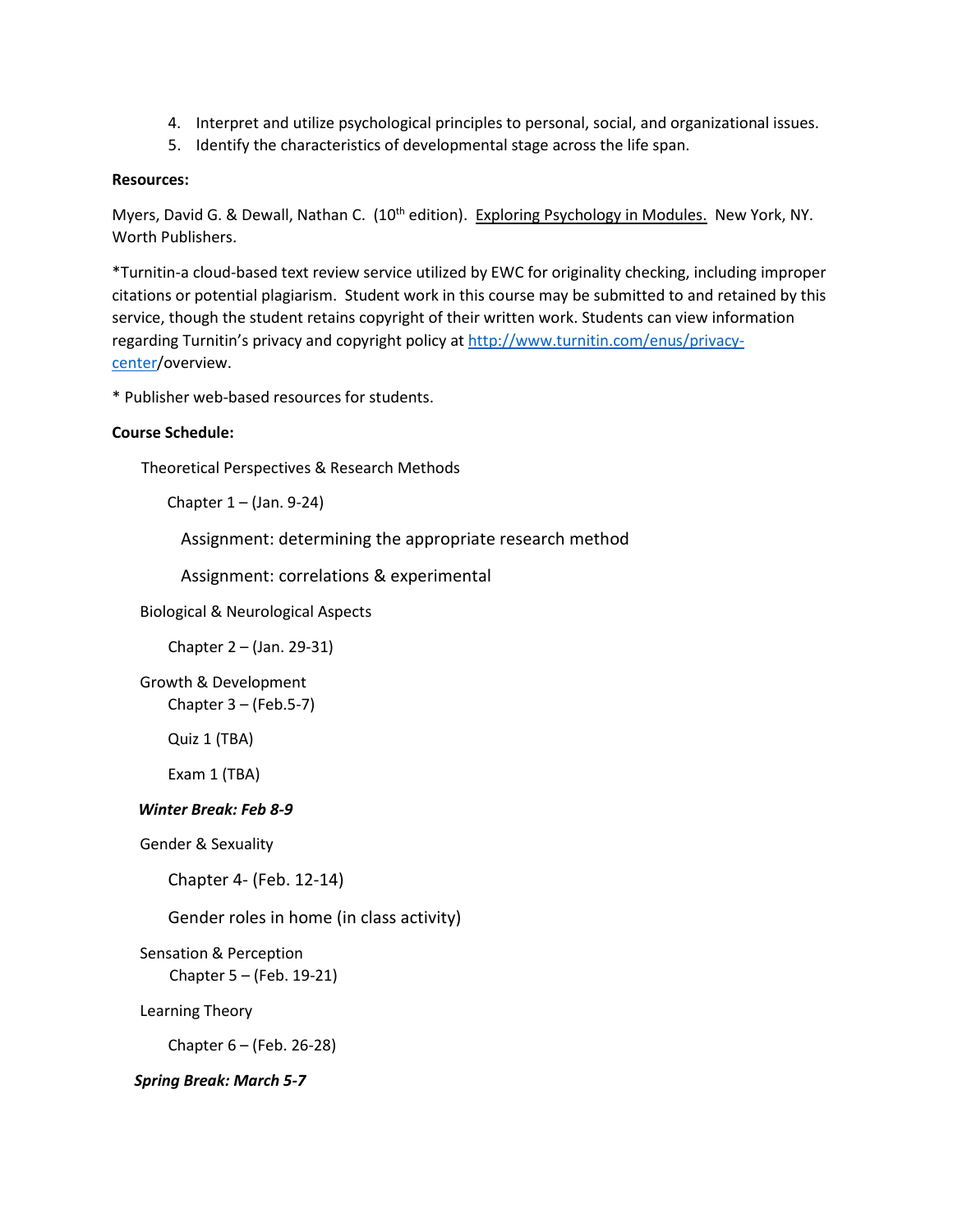- 4. Interpret and utilize psychological principles to personal, social, and organizational issues.
- 5. Identify the characteristics of developmental stage across the life span.

#### **Resources:**

Myers, David G. & Dewall, Nathan C. (10<sup>th</sup> edition). Exploring Psychology in Modules. New York, NY. Worth Publishers.

\*Turnitin-a cloud-based text review service utilized by EWC for originality checking, including improper citations or potential plagiarism. Student work in this course may be submitted to and retained by this service, though the student retains copyright of their written work. Students can view information regarding Turnitin's privacy and copyright policy at [http://www.turnitin.com/enus/privacy](http://www.turnitin.com/enus/privacy-center)[center/](http://www.turnitin.com/enus/privacy-center)overview.

\* Publisher web-based resources for students.

#### **Course Schedule:**

Theoretical Perspectives & Research Methods

Chapter 1 – (Jan. 9-24)

Assignment: determining the appropriate research method

Assignment: correlations & experimental

Biological & Neurological Aspects

Chapter 2 – (Jan. 29-31)

Growth & Development Chapter  $3 - (Feb.5-7)$ 

Quiz 1 (TBA)

Exam 1 (TBA)

#### *Winter Break: Feb 8-9*

Gender & Sexuality

Chapter 4- (Feb. 12-14)

Gender roles in home (in class activity)

Sensation & Perception Chapter 5 – (Feb. 19-21)

Learning Theory

Chapter 6 – (Feb. 26-28)

## *Spring Break: March 5-7*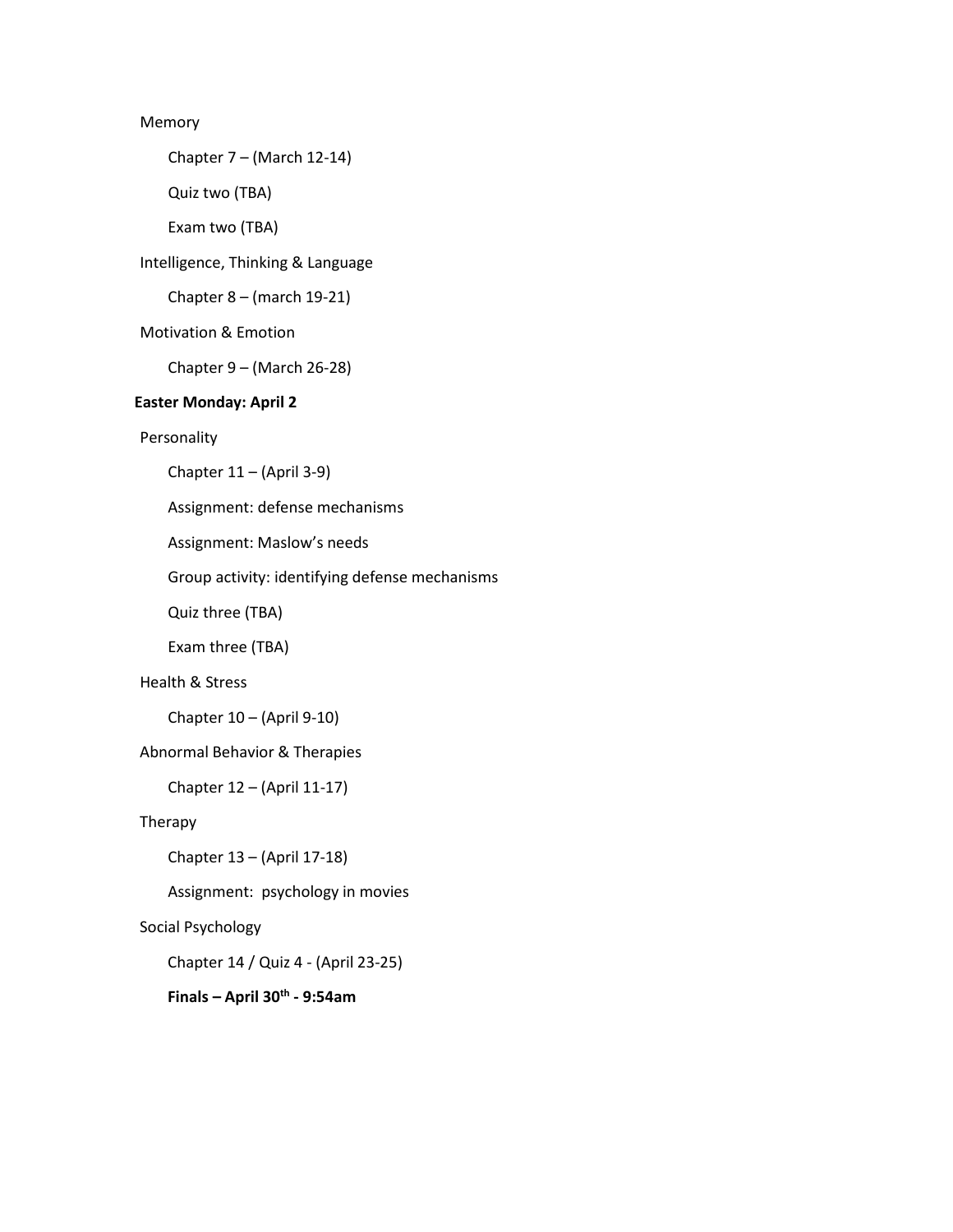#### Memory

Chapter 7 – (March 12-14)

Quiz two (TBA)

Exam two (TBA)

Intelligence, Thinking & Language

Chapter 8 – (march 19-21)

#### Motivation & Emotion

Chapter 9 – (March 26-28)

#### **Easter Monday: April 2**

#### Personality

Chapter 11 – (April 3-9)

Assignment: defense mechanisms

Assignment: Maslow's needs

Group activity: identifying defense mechanisms

Quiz three (TBA)

Exam three (TBA)

#### Health & Stress

Chapter 10 – (April 9-10)

#### Abnormal Behavior & Therapies

Chapter 12 – (April 11-17)

#### Therapy

Chapter 13 – (April 17-18)

Assignment: psychology in movies

#### Social Psychology

Chapter 14 / Quiz 4 - (April 23-25)

## **Finals – April 30th - 9:54am**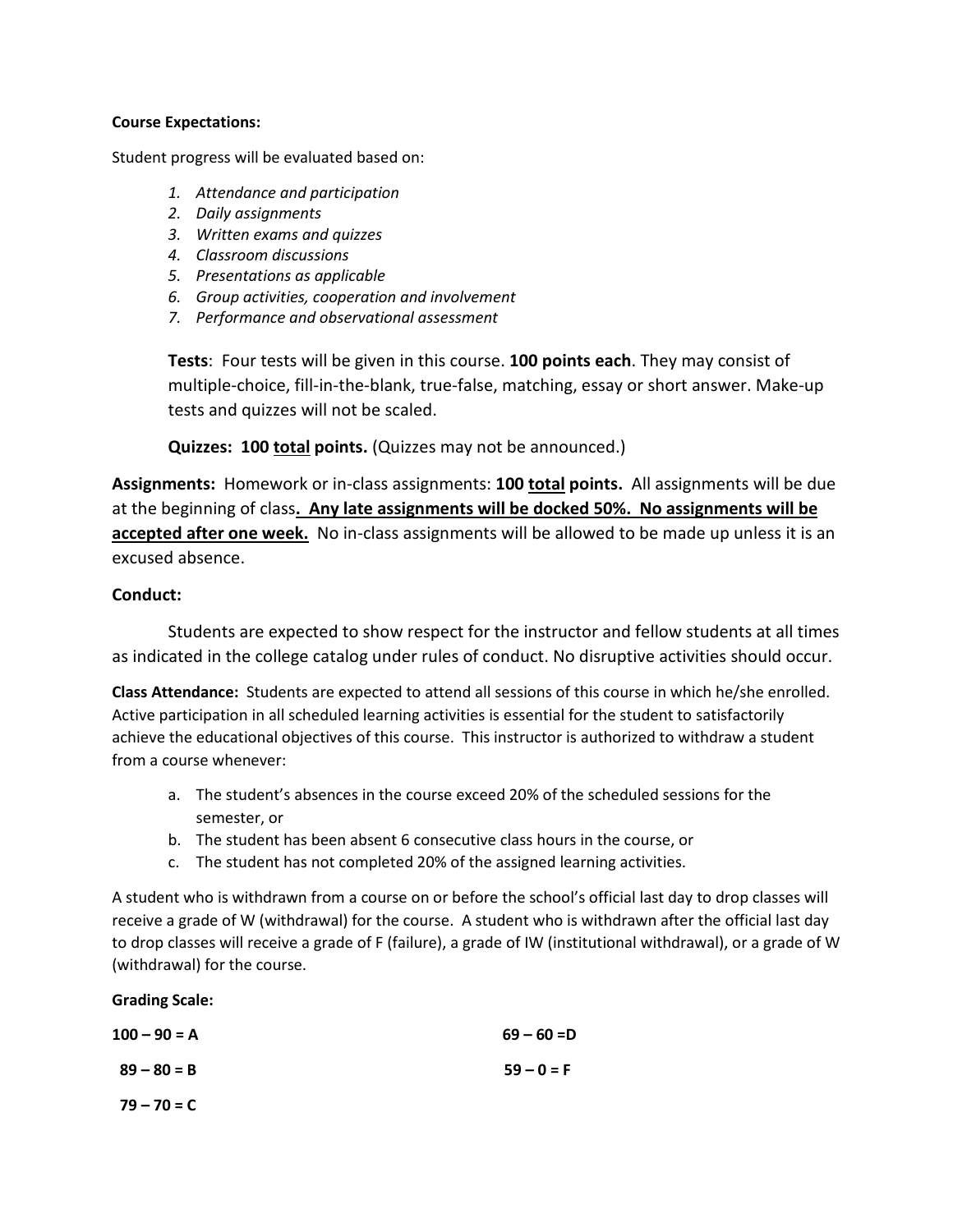#### **Course Expectations:**

Student progress will be evaluated based on:

- *1. Attendance and participation*
- *2. Daily assignments*
- *3. Written exams and quizzes*
- *4. Classroom discussions*
- *5. Presentations as applicable*
- *6. Group activities, cooperation and involvement*
- *7. Performance and observational assessment*

**Tests**: Four tests will be given in this course. **100 points each**. They may consist of multiple-choice, fill-in-the-blank, true-false, matching, essay or short answer. Make-up tests and quizzes will not be scaled.

**Quizzes: 100 total points.** (Quizzes may not be announced.)

**Assignments:** Homework or in-class assignments: **100 total points.** All assignments will be due at the beginning of class**. Any late assignments will be docked 50%. No assignments will be accepted after one week.** No in-class assignments will be allowed to be made up unless it is an excused absence.

## **Conduct:**

Students are expected to show respect for the instructor and fellow students at all times as indicated in the college catalog under rules of conduct. No disruptive activities should occur.

**Class Attendance:** Students are expected to attend all sessions of this course in which he/she enrolled. Active participation in all scheduled learning activities is essential for the student to satisfactorily achieve the educational objectives of this course. This instructor is authorized to withdraw a student from a course whenever:

- a. The student's absences in the course exceed 20% of the scheduled sessions for the semester, or
- b. The student has been absent 6 consecutive class hours in the course, or
- c. The student has not completed 20% of the assigned learning activities.

A student who is withdrawn from a course on or before the school's official last day to drop classes will receive a grade of W (withdrawal) for the course. A student who is withdrawn after the official last day to drop classes will receive a grade of F (failure), a grade of IW (institutional withdrawal), or a grade of W (withdrawal) for the course.

**Grading Scale:**

| $100 - 90 = A$ | $69 - 60 = D$ |
|----------------|---------------|
| $89 - 80 = B$  | $59 - 0 = F$  |
| $79 - 70 = C$  |               |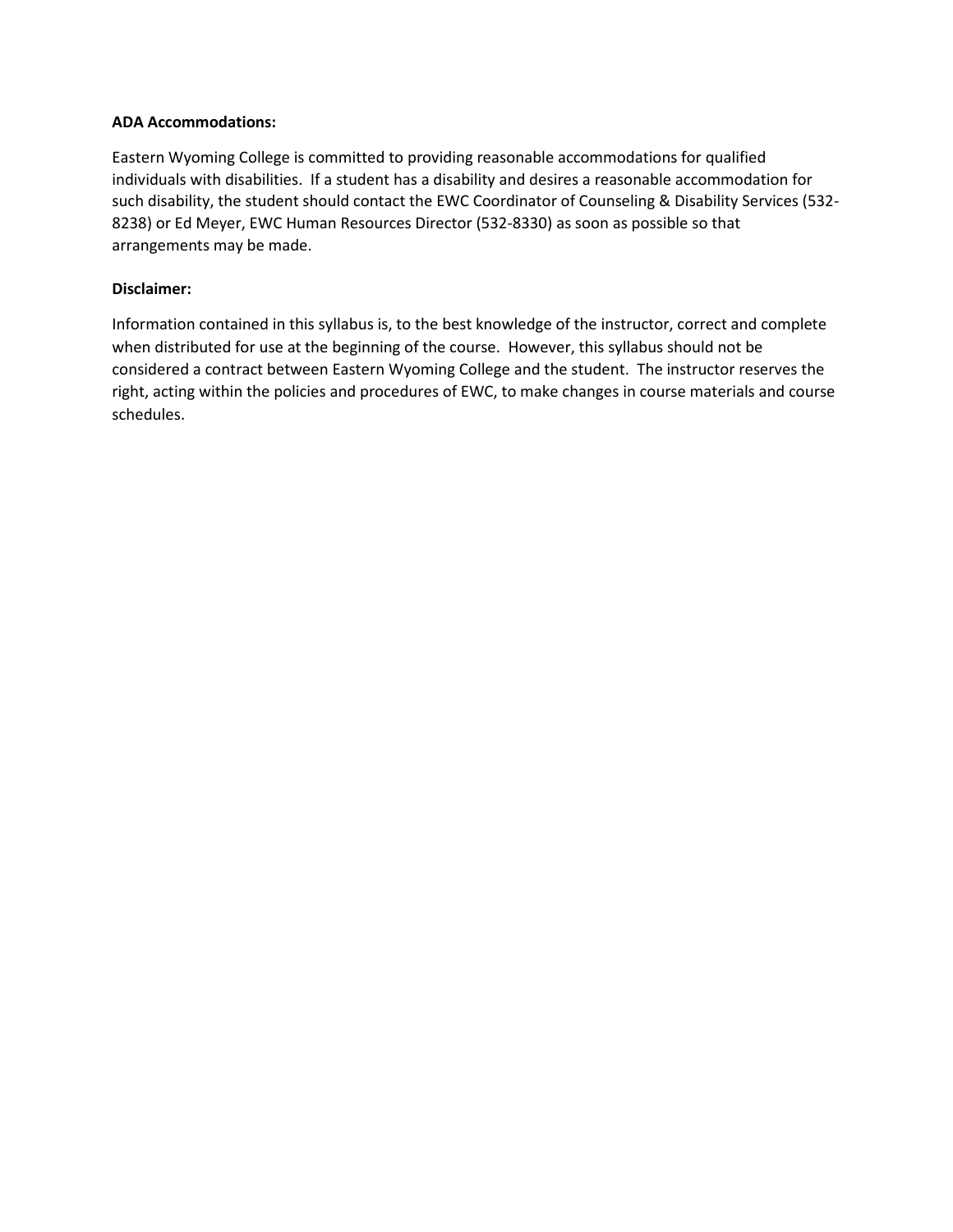#### **ADA Accommodations:**

Eastern Wyoming College is committed to providing reasonable accommodations for qualified individuals with disabilities. If a student has a disability and desires a reasonable accommodation for such disability, the student should contact the EWC Coordinator of Counseling & Disability Services (532- 8238) or Ed Meyer, EWC Human Resources Director (532-8330) as soon as possible so that arrangements may be made.

#### **Disclaimer:**

Information contained in this syllabus is, to the best knowledge of the instructor, correct and complete when distributed for use at the beginning of the course. However, this syllabus should not be considered a contract between Eastern Wyoming College and the student. The instructor reserves the right, acting within the policies and procedures of EWC, to make changes in course materials and course schedules.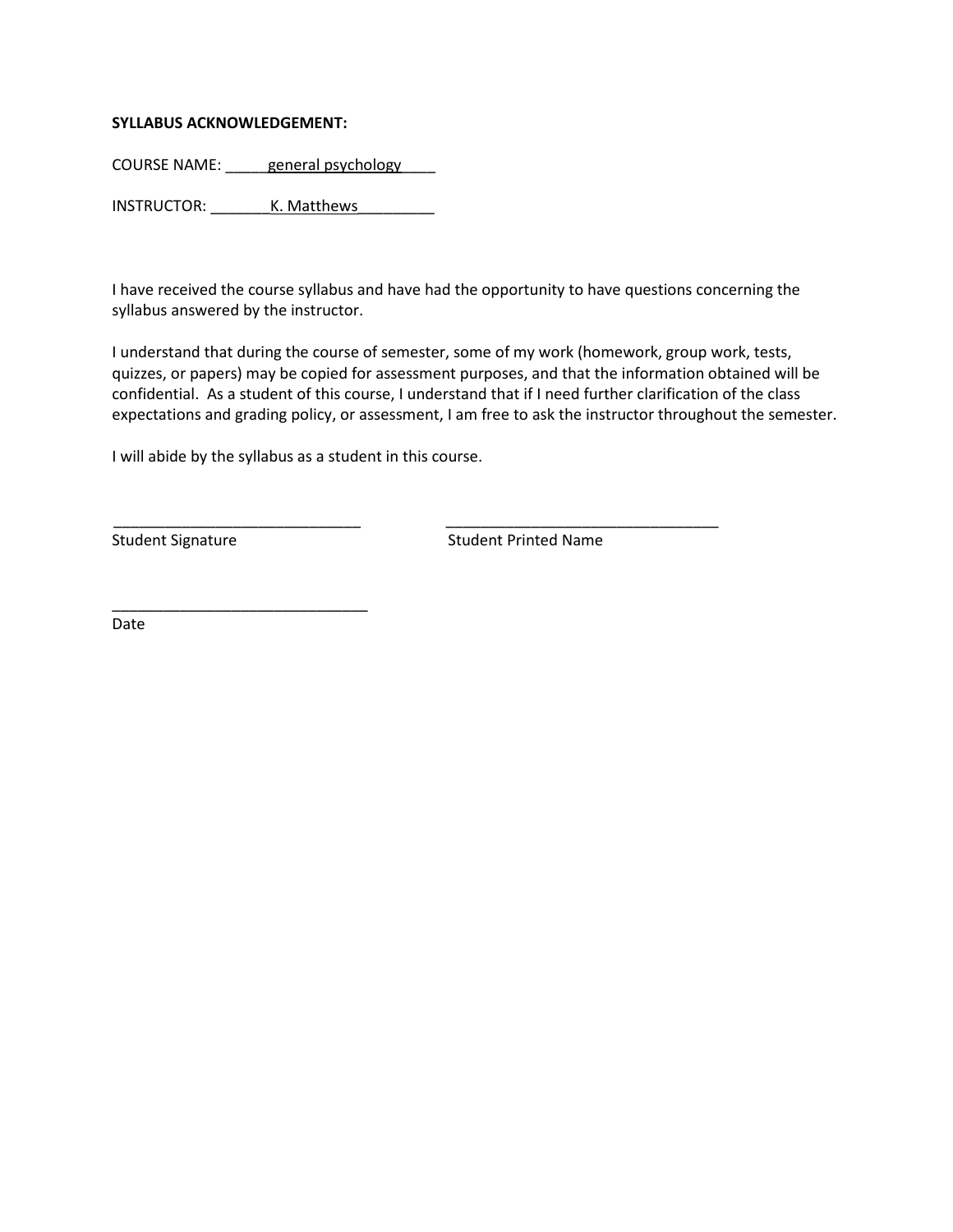#### **SYLLABUS ACKNOWLEDGEMENT:**

COURSE NAME: \_\_\_\_\_ general psychology

INSTRUCTOR: K. Matthews

I have received the course syllabus and have had the opportunity to have questions concerning the syllabus answered by the instructor.

I understand that during the course of semester, some of my work (homework, group work, tests, quizzes, or papers) may be copied for assessment purposes, and that the information obtained will be confidential. As a student of this course, I understand that if I need further clarification of the class expectations and grading policy, or assessment, I am free to ask the instructor throughout the semester.

\_\_\_\_\_\_\_\_\_\_\_\_\_\_\_\_\_\_\_\_\_\_\_\_\_\_\_\_\_ \_\_\_\_\_\_\_\_\_\_\_\_\_\_\_\_\_\_\_\_\_\_\_\_\_\_\_\_\_\_\_\_

I will abide by the syllabus as a student in this course.

\_\_\_\_\_\_\_\_\_\_\_\_\_\_\_\_\_\_\_\_\_\_\_\_\_\_\_\_\_\_

Student Signature Student Printed Name

Date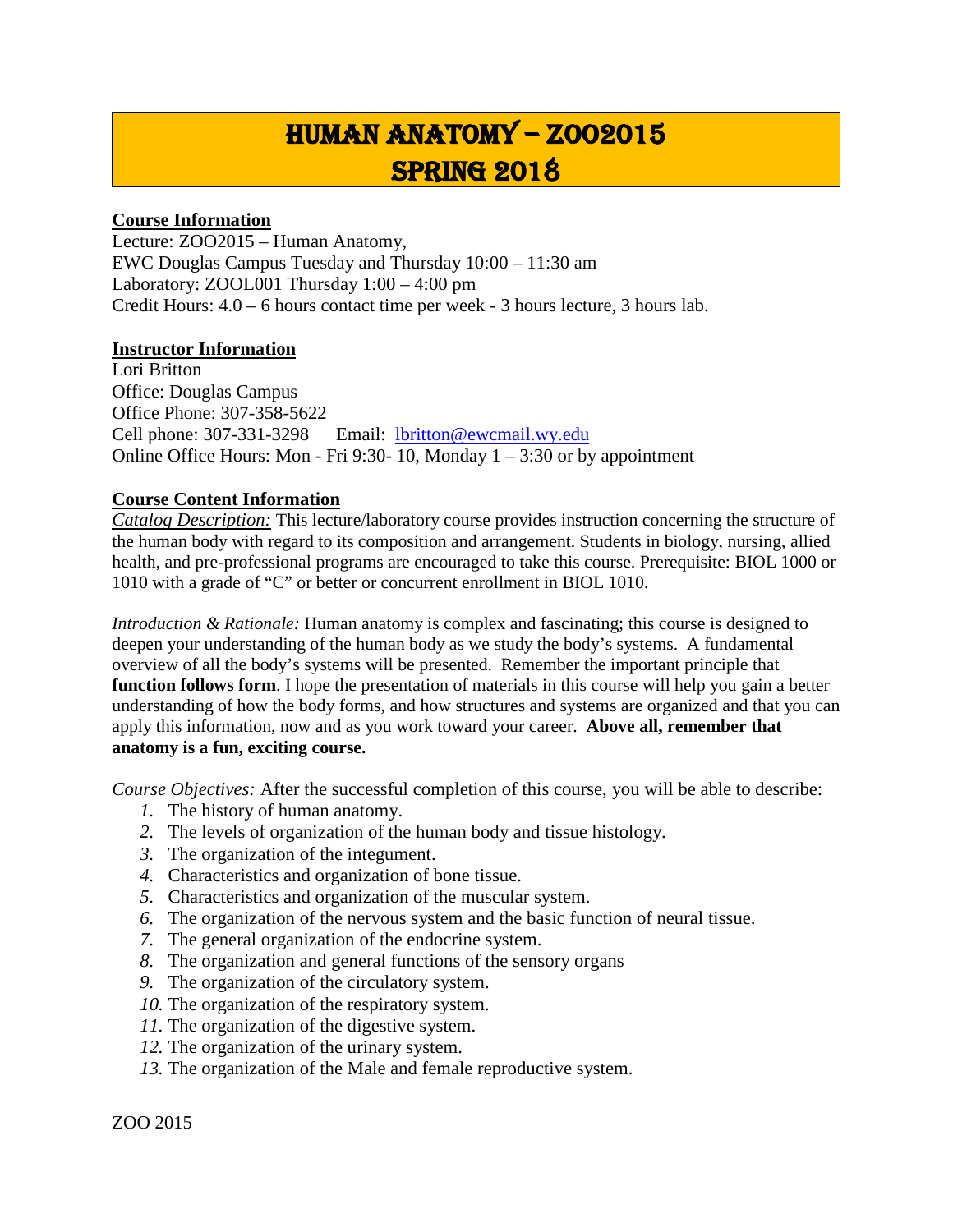## Human Anatomy – ZOO2015 Spring 2018

## **Course Information**

Lecture: ZOO2015 – Human Anatomy, EWC Douglas Campus Tuesday and Thursday 10:00 – 11:30 am Laboratory: ZOOL001 Thursday 1:00 – 4:00 pm Credit Hours: 4.0 – 6 hours contact time per week - 3 hours lecture, 3 hours lab.

## **Instructor Information**

Lori Britton Office: Douglas Campus Office Phone: 307-358-5622 Cell phone: 307-331-3298 Email: [lbritton@ewcmail.wy.edu](mailto:lbritton@ewcmail.wy.edu) Online Office Hours: Mon - Fri 9:30- 10, Monday  $1 - 3:30$  or by appointment

## **Course Content Information**

*Catalog Description:* This lecture/laboratory course provides instruction concerning the structure of the human body with regard to its composition and arrangement. Students in biology, nursing, allied health, and pre-professional programs are encouraged to take this course. Prerequisite: BIOL 1000 or 1010 with a grade of "C" or better or concurrent enrollment in BIOL 1010.

*Introduction & Rationale:* Human anatomy is complex and fascinating; this course is designed to deepen your understanding of the human body as we study the body's systems. A fundamental overview of all the body's systems will be presented. Remember the important principle that **function follows form**. I hope the presentation of materials in this course will help you gain a better understanding of how the body forms, and how structures and systems are organized and that you can apply this information, now and as you work toward your career. **Above all, remember that anatomy is a fun, exciting course.**

*Course Objectives:* After the successful completion of this course, you will be able to describe:

- *1.* The history of human anatomy.
- *2.* The levels of organization of the human body and tissue histology.
- *3.* The organization of the integument.
- *4.* Characteristics and organization of bone tissue.
- *5.* Characteristics and organization of the muscular system.
- *6.* The organization of the nervous system and the basic function of neural tissue.
- *7.* The general organization of the endocrine system.
- *8.* The organization and general functions of the sensory organs
- *9.* The organization of the circulatory system.
- *10.* The organization of the respiratory system.
- *11.* The organization of the digestive system.
- *12.* The organization of the urinary system.
- *13.* The organization of the Male and female reproductive system.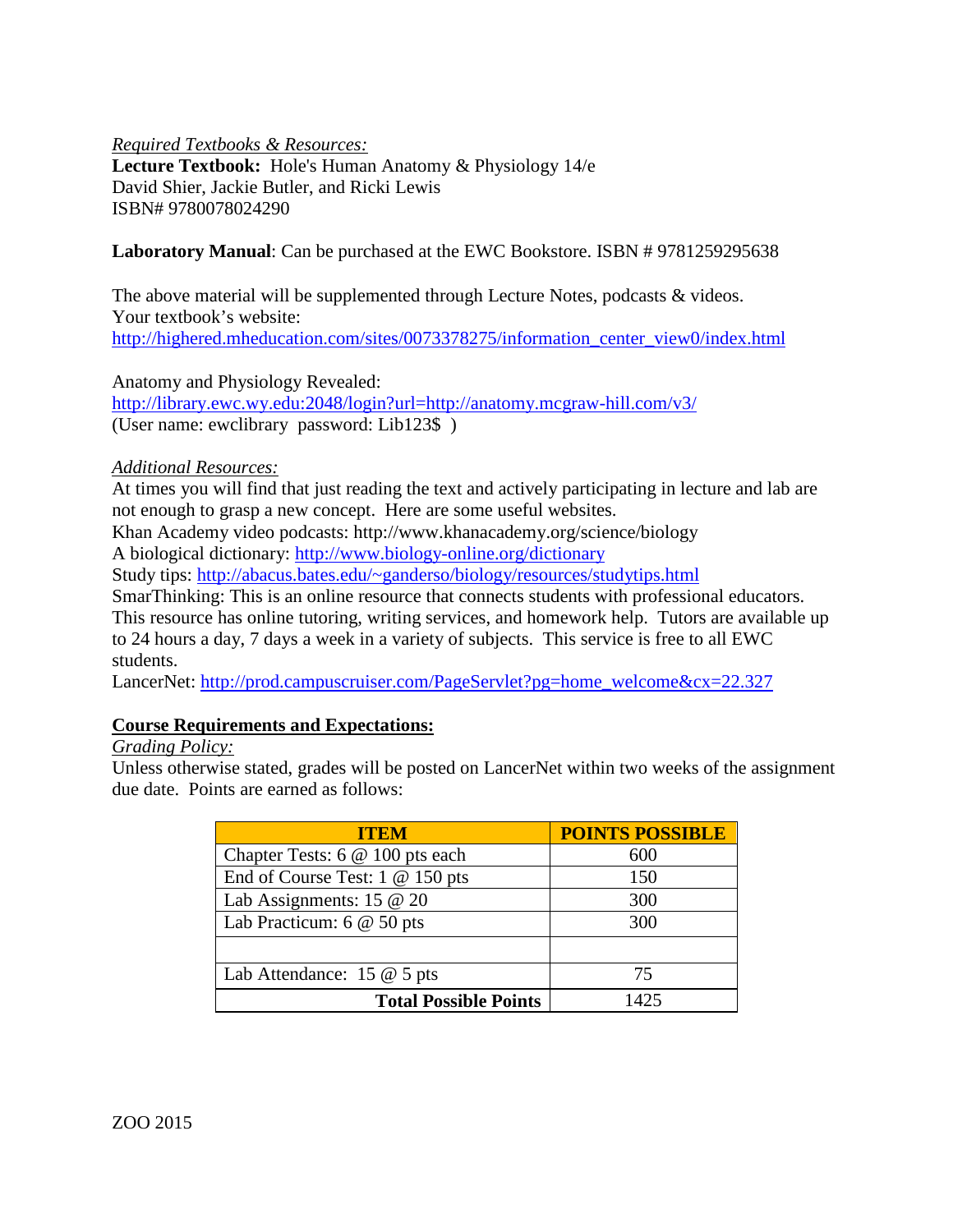*Required Textbooks & Resources:*

**Lecture Textbook:** Hole's Human Anatomy & Physiology 14/e David Shier, Jackie Butler, and Ricki Lewis ISBN# 9780078024290

## **Laboratory Manual**: Can be purchased at the EWC Bookstore. ISBN # 9781259295638

The above material will be supplemented through Lecture Notes, podcasts & videos. Your textbook's website: [http://highered.mheducation.com/sites/0073378275/information\\_center\\_view0/index.html](http://highered.mheducation.com/sites/0073378275/information_center_view0/index.html)

Anatomy and Physiology Revealed:

<http://library.ewc.wy.edu:2048/login?url=http://anatomy.mcgraw-hill.com/v3/> (User name: ewclibrary password: Lib123\$ )

*Additional Resources:*

At times you will find that just reading the text and actively participating in lecture and lab are not enough to grasp a new concept. Here are some useful websites.

Khan Academy video podcasts: http://www.khanacademy.org/science/biology

A biological dictionary:<http://www.biology-online.org/dictionary>

Study tips: [http://abacus.bates.edu/~ganderso/biology/resources/studytips.html](http://abacus.bates.edu/%7Eganderso/biology/resources/studytips.html)

SmarThinking: This is an online resource that connects students with professional educators.

This resource has online tutoring, writing services, and homework help. Tutors are available up to 24 hours a day, 7 days a week in a variety of subjects. This service is free to all EWC students.

LancerNet: [http://prod.campuscruiser.com/PageServlet?pg=home\\_welcome&cx=22.327](http://prod.campuscruiser.com/PageServlet?pg=home_welcome&cx=22.327)

## **Course Requirements and Expectations:**

## *Grading Policy:*

Unless otherwise stated, grades will be posted on LancerNet within two weeks of the assignment due date. Points are earned as follows:

| <b>ITEM</b>                          | <b>POINTS POSSIBLE</b> |
|--------------------------------------|------------------------|
| Chapter Tests: 6 @ 100 pts each      | 600                    |
| End of Course Test: $1 \& 150$ pts   | 150                    |
| Lab Assignments: 15 $@$ 20           | 300                    |
| Lab Practicum: $6 \& 50$ pts         | 300                    |
|                                      |                        |
| Lab Attendance: $15 \t@ 5 \tpt{pts}$ | 75                     |
| <b>Total Possible Points</b>         | 1425                   |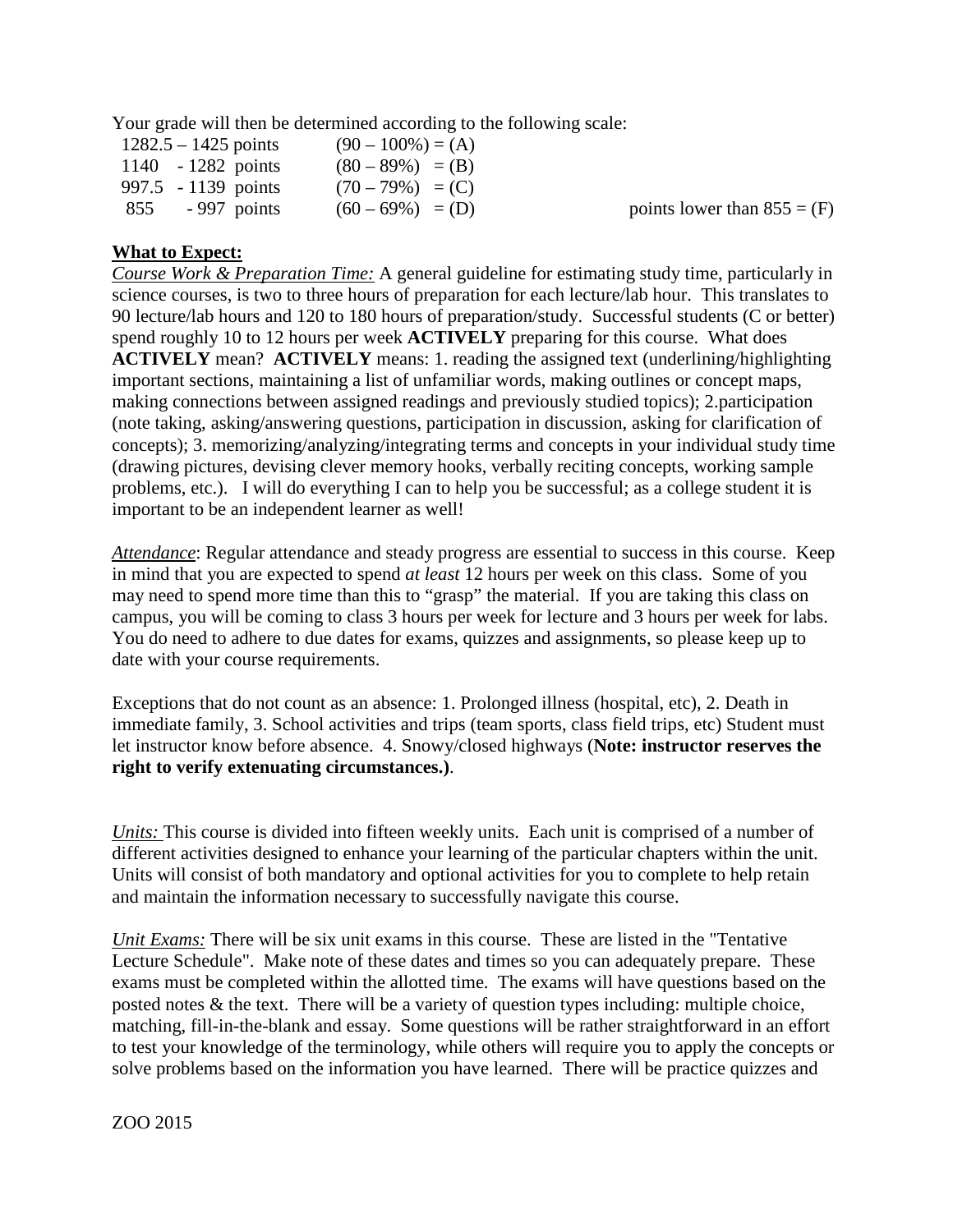Your grade will then be determined according to the following scale:

| $1282.5 - 1425$ points | $(90-100\%) = (A)$ |                               |
|------------------------|--------------------|-------------------------------|
| 1140 $-1282$ points    | $(80-89%) = (B)$   |                               |
| 997.5 $-1139$ points   | $(70-79%) = (C)$   |                               |
| $-997$ points<br>855   | $(60-69\%) = (D)$  | points lower than $855 = (F)$ |

## **What to Expect:**

*Course Work & Preparation Time:* A general guideline for estimating study time, particularly in science courses, is two to three hours of preparation for each lecture/lab hour. This translates to 90 lecture/lab hours and 120 to 180 hours of preparation/study. Successful students (C or better) spend roughly 10 to 12 hours per week **ACTIVELY** preparing for this course. What does **ACTIVELY** mean? **ACTIVELY** means: 1. reading the assigned text (underlining/highlighting important sections, maintaining a list of unfamiliar words, making outlines or concept maps, making connections between assigned readings and previously studied topics); 2.participation (note taking, asking/answering questions, participation in discussion, asking for clarification of concepts); 3. memorizing/analyzing/integrating terms and concepts in your individual study time (drawing pictures, devising clever memory hooks, verbally reciting concepts, working sample problems, etc.). I will do everything I can to help you be successful; as a college student it is important to be an independent learner as well!

*Attendance*: Regular attendance and steady progress are essential to success in this course. Keep in mind that you are expected to spend *at least* 12 hours per week on this class. Some of you may need to spend more time than this to "grasp" the material. If you are taking this class on campus, you will be coming to class 3 hours per week for lecture and 3 hours per week for labs. You do need to adhere to due dates for exams, quizzes and assignments, so please keep up to date with your course requirements.

Exceptions that do not count as an absence: 1. Prolonged illness (hospital, etc), 2. Death in immediate family, 3. School activities and trips (team sports, class field trips, etc) Student must let instructor know before absence. 4. Snowy/closed highways (**Note: instructor reserves the right to verify extenuating circumstances.)**.

*Units:* This course is divided into fifteen weekly units. Each unit is comprised of a number of different activities designed to enhance your learning of the particular chapters within the unit. Units will consist of both mandatory and optional activities for you to complete to help retain and maintain the information necessary to successfully navigate this course.

*Unit Exams:* There will be six unit exams in this course. These are listed in the "Tentative" Lecture Schedule". Make note of these dates and times so you can adequately prepare. These exams must be completed within the allotted time. The exams will have questions based on the posted notes & the text. There will be a variety of question types including: multiple choice, matching, fill-in-the-blank and essay. Some questions will be rather straightforward in an effort to test your knowledge of the terminology, while others will require you to apply the concepts or solve problems based on the information you have learned. There will be practice quizzes and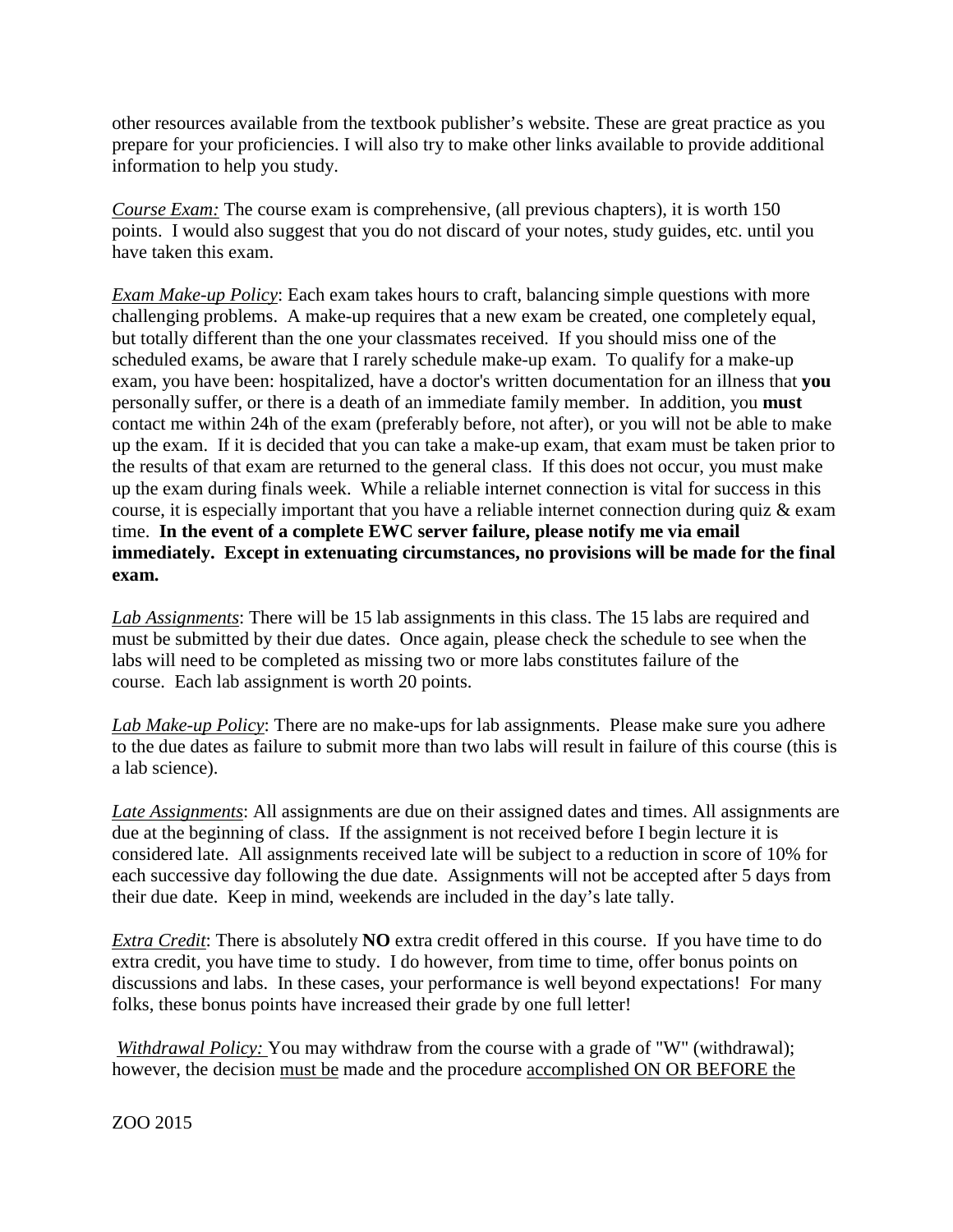other resources available from the textbook publisher's website. These are great practice as you prepare for your proficiencies. I will also try to make other links available to provide additional information to help you study.

*Course Exam:* The course exam is comprehensive, (all previous chapters), it is worth 150 points. I would also suggest that you do not discard of your notes, study guides, etc. until you have taken this exam.

*Exam Make-up Policy*: Each exam takes hours to craft, balancing simple questions with more challenging problems. A make-up requires that a new exam be created, one completely equal, but totally different than the one your classmates received. If you should miss one of the scheduled exams, be aware that I rarely schedule make-up exam. To qualify for a make-up exam, you have been: hospitalized, have a doctor's written documentation for an illness that **you** personally suffer, or there is a death of an immediate family member. In addition, you **must** contact me within 24h of the exam (preferably before, not after), or you will not be able to make up the exam. If it is decided that you can take a make-up exam, that exam must be taken prior to the results of that exam are returned to the general class. If this does not occur, you must make up the exam during finals week. While a reliable internet connection is vital for success in this course, it is especially important that you have a reliable internet connection during quiz & exam time. **In the event of a complete EWC server failure, please notify me via email immediately. Except in extenuating circumstances, no provisions will be made for the final exam.**

*Lab Assignments*: There will be 15 lab assignments in this class. The 15 labs are required and must be submitted by their due dates. Once again, please check the schedule to see when the labs will need to be completed as missing two or more labs constitutes failure of the course. Each lab assignment is worth 20 points.

*Lab Make-up Policy*: There are no make-ups for lab assignments. Please make sure you adhere to the due dates as failure to submit more than two labs will result in failure of this course (this is a lab science).

*Late Assignments*: All assignments are due on their assigned dates and times. All assignments are due at the beginning of class. If the assignment is not received before I begin lecture it is considered late. All assignments received late will be subject to a reduction in score of 10% for each successive day following the due date. Assignments will not be accepted after 5 days from their due date. Keep in mind, weekends are included in the day's late tally.

*Extra Credit*: There is absolutely **NO** extra credit offered in this course. If you have time to do extra credit, you have time to study. I do however, from time to time, offer bonus points on discussions and labs. In these cases, your performance is well beyond expectations! For many folks, these bonus points have increased their grade by one full letter!

*Withdrawal Policy:* You may withdraw from the course with a grade of "W" (withdrawal); however, the decision must be made and the procedure accomplished ON OR BEFORE the

## ZOO 2015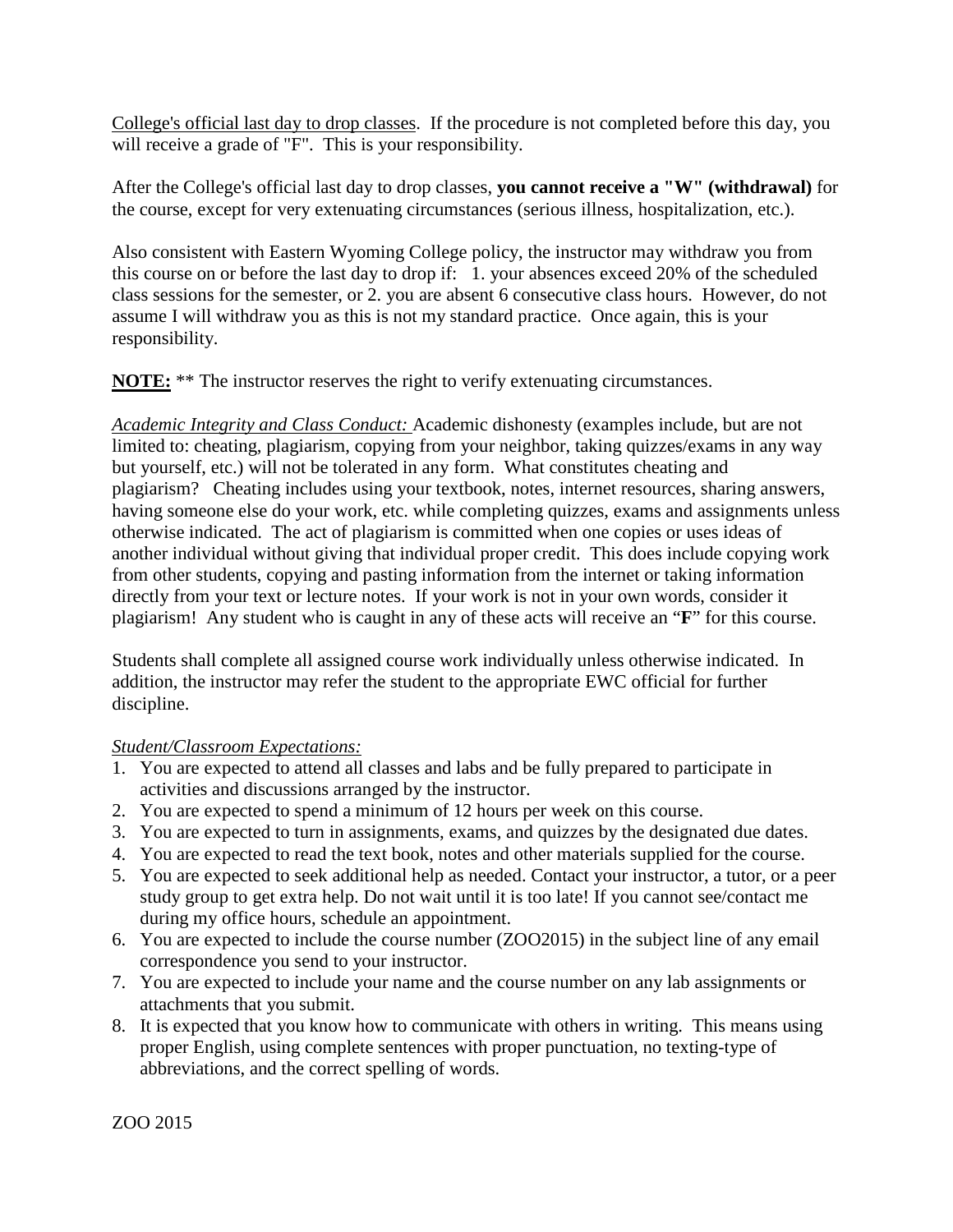College's official last day to drop classes. If the procedure is not completed before this day, you will receive a grade of "F". This is your responsibility.

After the College's official last day to drop classes, **you cannot receive a "W" (withdrawal)** for the course, except for very extenuating circumstances (serious illness, hospitalization, etc.).

Also consistent with Eastern Wyoming College policy, the instructor may withdraw you from this course on or before the last day to drop if: 1. your absences exceed 20% of the scheduled class sessions for the semester, or 2. you are absent 6 consecutive class hours. However, do not assume I will withdraw you as this is not my standard practice. Once again, this is your responsibility.

**NOTE:** \*\* The instructor reserves the right to verify extenuating circumstances.

*Academic Integrity and Class Conduct:* Academic dishonesty (examples include, but are not limited to: cheating, plagiarism, copying from your neighbor, taking quizzes/exams in any way but yourself, etc.) will not be tolerated in any form. What constitutes cheating and plagiarism? Cheating includes using your textbook, notes, internet resources, sharing answers, having someone else do your work, etc. while completing quizzes, exams and assignments unless otherwise indicated. The act of plagiarism is committed when one copies or uses ideas of another individual without giving that individual proper credit. This does include copying work from other students, copying and pasting information from the internet or taking information directly from your text or lecture notes. If your work is not in your own words, consider it plagiarism! Any student who is caught in any of these acts will receive an "**F**" for this course.

Students shall complete all assigned course work individually unless otherwise indicated. In addition, the instructor may refer the student to the appropriate EWC official for further discipline.

## *Student/Classroom Expectations:*

- 1. You are expected to attend all classes and labs and be fully prepared to participate in activities and discussions arranged by the instructor.
- 2. You are expected to spend a minimum of 12 hours per week on this course.
- 3. You are expected to turn in assignments, exams, and quizzes by the designated due dates.
- 4. You are expected to read the text book, notes and other materials supplied for the course.
- 5. You are expected to seek additional help as needed. Contact your instructor, a tutor, or a peer study group to get extra help. Do not wait until it is too late! If you cannot see/contact me during my office hours, schedule an appointment.
- 6. You are expected to include the course number (ZOO2015) in the subject line of any email correspondence you send to your instructor.
- 7. You are expected to include your name and the course number on any lab assignments or attachments that you submit.
- 8. It is expected that you know how to communicate with others in writing. This means using proper English, using complete sentences with proper punctuation, no texting-type of abbreviations, and the correct spelling of words.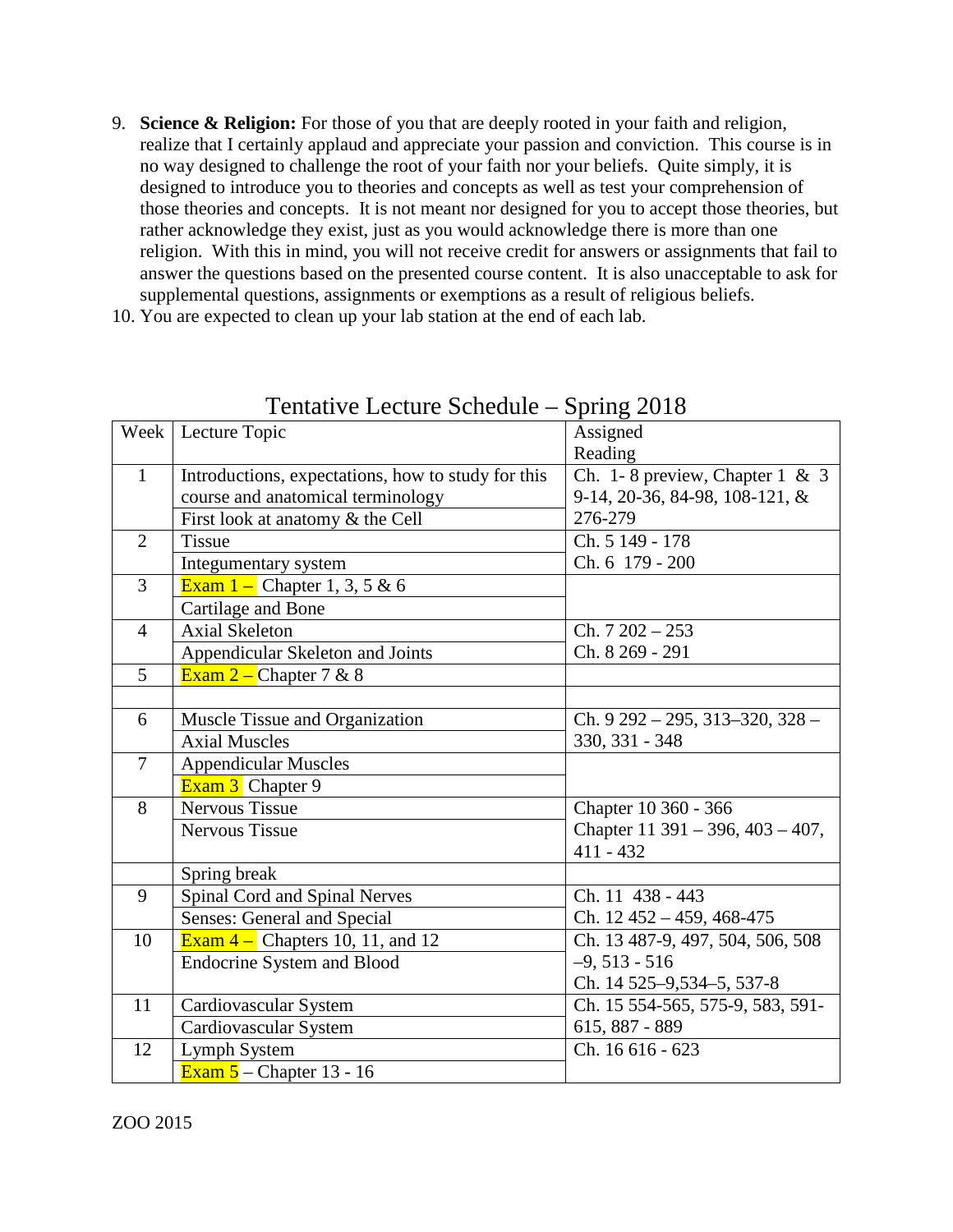9. **Science & Religion:** For those of you that are deeply rooted in your faith and religion, realize that I certainly applaud and appreciate your passion and conviction. This course is in no way designed to challenge the root of your faith nor your beliefs. Quite simply, it is designed to introduce you to theories and concepts as well as test your comprehension of those theories and concepts. It is not meant nor designed for you to accept those theories, but rather acknowledge they exist, just as you would acknowledge there is more than one religion. With this in mind, you will not receive credit for answers or assignments that fail to answer the questions based on the presented course content. It is also unacceptable to ask for supplemental questions, assignments or exemptions as a result of religious beliefs.

10. You are expected to clean up your lab station at the end of each lab.

|                | Week   Lecture Topic                               | Assigned                                 |
|----------------|----------------------------------------------------|------------------------------------------|
|                |                                                    | Reading                                  |
| $\mathbf{1}$   | Introductions, expectations, how to study for this | Ch. 1-8 preview, Chapter 1 & 3           |
|                | course and anatomical terminology                  | 9-14, 20-36, 84-98, 108-121, &           |
|                | First look at anatomy & the Cell                   | 276-279                                  |
| $\overline{2}$ | <b>Tissue</b>                                      | Ch. 5 149 - 178                          |
|                | Integumentary system                               | Ch. 6 179 - 200                          |
| $\overline{3}$ | <b>Exam 1</b> – Chapter 1, 3, 5 & 6                |                                          |
|                | Cartilage and Bone                                 |                                          |
| $\overline{4}$ | <b>Axial Skeleton</b>                              | $Ch. 7202 - 253$                         |
|                | Appendicular Skeleton and Joints                   | Ch. 8 269 - 291                          |
| $\overline{5}$ | Exam $2$ – Chapter 7 & 8                           |                                          |
|                |                                                    |                                          |
| 6              | Muscle Tissue and Organization                     | Ch. $9292 - 295$ , $313 - 320$ , $328 -$ |
|                | <b>Axial Muscles</b>                               | 330, 331 - 348                           |
| $\overline{7}$ | <b>Appendicular Muscles</b>                        |                                          |
|                | Exam 3 Chapter 9                                   |                                          |
| 8              | <b>Nervous Tissue</b>                              | Chapter 10 360 - 366                     |
|                | <b>Nervous Tissue</b>                              | Chapter 11 391 – 396, $403 - 407$ ,      |
|                |                                                    | $411 - 432$                              |
|                | Spring break                                       |                                          |
| 9              | Spinal Cord and Spinal Nerves                      | Ch. 11 438 - 443                         |
|                | Senses: General and Special                        | Ch. $12\,452 - 459, 468 - 475$           |
| 10             | Exam $4$ – Chapters 10, 11, and 12                 | Ch. 13 487-9, 497, 504, 506, 508         |
|                | <b>Endocrine System and Blood</b>                  | $-9,513 - 516$                           |
|                |                                                    | Ch. 14 525-9,534-5, 537-8                |
| 11             | Cardiovascular System                              | Ch. 15 554-565, 575-9, 583, 591-         |
|                | Cardiovascular System                              | 615, 887 - 889                           |
| 12             | Lymph System                                       | Ch. 16 616 - 623                         |
|                | $\overline{\text{Exam 5}}$ – Chapter 13 - 16       |                                          |

Tentative Lecture Schedule – Spring 2018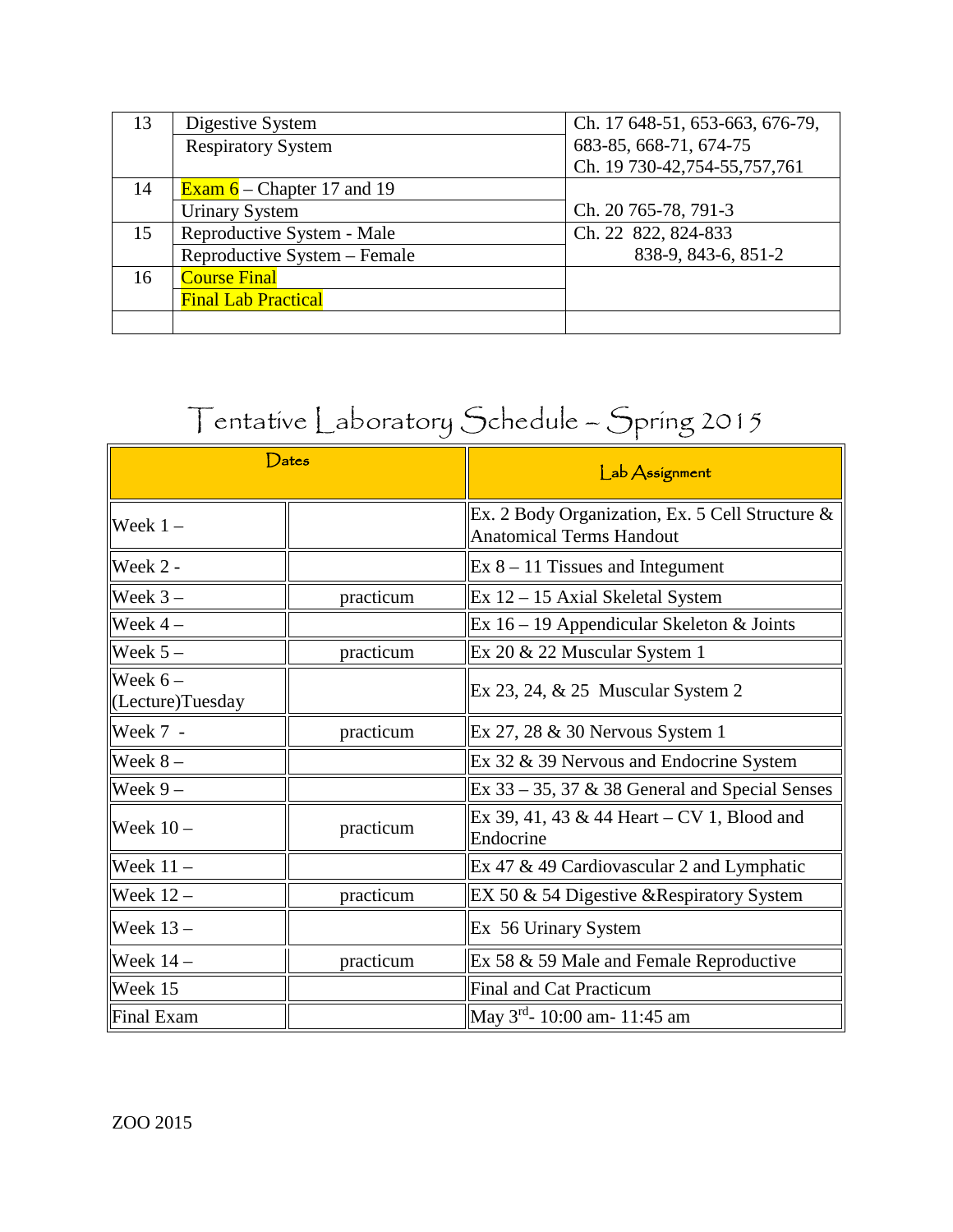| 13 | Digestive System                  | Ch. 17 648-51, 653-663, 676-79, |
|----|-----------------------------------|---------------------------------|
|    | <b>Respiratory System</b>         | 683-85, 668-71, 674-75          |
|    |                                   | Ch. 19 730-42, 754-55, 757, 761 |
| 14 | <b>Exam 6</b> – Chapter 17 and 19 |                                 |
|    | <b>Urinary System</b>             | Ch. 20 765-78, 791-3            |
| 15 | Reproductive System - Male        | Ch. 22 822, 824-833             |
|    | Reproductive System - Female      | 838-9, 843-6, 851-2             |
| 16 | <b>Course Final</b>               |                                 |
|    | <b>Final Lab Practical</b>        |                                 |
|    |                                   |                                 |

# Tentative Laboratory Schedule – Spring 2015

|                               | $\mathsf{Dates}$ | Lab Assignment                                                                     |  |
|-------------------------------|------------------|------------------------------------------------------------------------------------|--|
| $\vert$ Week 1 –              |                  | Ex. 2 Body Organization, Ex. 5 Cell Structure &<br><b>Anatomical Terms Handout</b> |  |
| $\mathbf{W}$ eek 2 -          |                  | $Ex 8 - 11$ Tissues and Integument                                                 |  |
| Week $3-$                     | practicum        | $Ex$ 12 – 15 Axial Skeletal System                                                 |  |
| Week $4-$                     |                  | Ex $16 - 19$ Appendicular Skeleton & Joints                                        |  |
| Week $5-$                     | practicum        | Ex 20 & 22 Muscular System 1                                                       |  |
| Week $6-$<br>CLecture)Tuesday |                  | $Ex 23, 24, \& 25$ Muscular System 2                                               |  |
| Week 7 -                      | practicum        | Ex $27, 28 \& 30$ Nervous System 1                                                 |  |
| Week $8-$                     |                  | Ex 32 & 39 Nervous and Endocrine System                                            |  |
| $\sqrt{W}$ eek 9 –            |                  | Ex $33 - 35$ , $37 & 38$ General and Special Senses                                |  |
| Week $10 -$                   | practicum        | Ex 39, 41, 43 & 44 Heart – CV 1, Blood and<br>Endocrine                            |  |
| $\vert$ Week 11 -             |                  | Ex 47 $\&$ 49 Cardiovascular 2 and Lymphatic                                       |  |
| $\vert$ Week 12 -             | practicum        | EX 50 & 54 Digestive & Respiratory System                                          |  |
| $\blacksquare$ Week 13 -      |                  | Ex 56 Urinary System                                                               |  |
| $\textsf{W}\text{eek}$ 14 –   | practicum        | Ex 58 & 59 Male and Female Reproductive                                            |  |
| Week 15                       |                  | <b>Final and Cat Practicum</b>                                                     |  |
| Final Exam                    |                  | May 3 <sup>rd</sup> - 10:00 am- 11:45 am                                           |  |